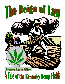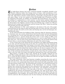# Preface

The Anglo-Saxon farmers had scarce conquered foothold, stronghold, freehold in the Western wildows: hefter that I Western wilderness before they became sowers of hemp—with remembrance of Virginia, with remembrance of dear ancestral Britain. Away back in the days when they lived with wife, child, flock in frontier wooden fortresses and hardly ventured forth for water, salt, game, tillage—in the very summer of that wild daylight ride of Tomlinson and Bell, by comparison with which, my children, the midnight ride of Paul Revere, was as tame as the pitching of a rocking-horse in a boy's nursery — on that history-making twelfth of August, of the year 1782, when these two backwoods riflemen, during that same Revolution the Kentuckians then fighting a branch of that same British army, rushed out of Bryan's Station for the rousing of the settlements and the saving of the West—hemp was growing tall and thick near the walls of the fort.

Hemp in Kentucky in 1782 — early landmark in the history of the soil, of the people. Cultivated first for the needs of cabin and clearing solely; for twine and rope, towel and table, sheet and shirt. By and by not for cabin and clearing only; not for tow-homespun, furclad Kentucky alone.

To the north had begun the building of ships, American ships for American commerce, for American arms, for a nation which Nature had herself created and had distinguished as a sea-faring race. To the south had begun the raising of cotton. As the great period of shipbuilding went on — greatest during the twenty years or more ending in 1860; as the great period of cotton-raising and cotton-baling went on — never so great before as that in that same year — the two parts of the nation looked equally to the one border plateau lying between them, to several counties of Kentucky, for most of the nation's hemp.

It was in those days of the North that the *Constitution* was rigged with Russian hemp on one side, and with American hemp on the other, for a patriotic test of the superiority of home-grown, home-prepared fiber; and thanks to the latter, before those days ended with the outbreak of the Civil War, the country had become second to Great Britain alone in her ocean craft, and but little behind that mistress of the seas. So that in response to this double demand for hemp on the American ship and hemp on the southern plantation, at the close of that period of national history on land and sea, from those few counties of Kentucky, in the year 1859, were taken well-nigh forty thousand tons of the well-cleaned bast.

What history it wrought in those years, directly for the republic, indirectly for the world! What ineffaceable marks it left on Kentucky itself, land, land-owners! To make way for it, a forest the like of which no human eye will ever see again was felled; and with the forest went its pastures, its waters.

The roads of Kentucky, those long limestone turnpikes connecting the towns and villages with the farms—they were early made necessary by the hauling of the hemp. For the sake of it slaves were perpetually being trained, hired, bartered; lands perpetually rented and sold; fortunes made or lost. The advancing price of farms, the westward movement of poor families and consequent dispersion of the Kentuckians over cheaper territory, whither they carried the same passion for the cultivation of the same plant—thus making Missouri the second hemp-producing state in the Union — the regulation of the hours in the Kentucky cabin, in the house, at the rope-walk, in the factory — what phase of life went unaffected by the pursuit and fascination of it. Thought, care, hope of the farmer oftentimes throughout the entire year! Upon it depending, it may be, the college of his son, the accomplishments of his daughter, the luxuries of his wife, the house he would build, the stock he could own. His own pleasures also: his deer hunting in the South, his fox hunting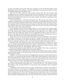at home, his fishing on the great lakes, his excursions on the old floating palaces of the Mississippi down to New Orleans — all these depending in large measure upon his hemp, that thickest gold-dust of his golden acres.

With the Civil War began the long decline, lasting still. The record stands that throughout the one hundred and twenty-five odd years elapsing from the entrance of the Anglo-Saxon farmers into the wilderness down to the present time, a few counties of Kentucky have furnished army and navy, the entire country, with all but a small part of the native hemp consumed.

Little comparatively is cultivated in Kentucky now. The traveler may still see it here and there, crowning those ever-renewing, self-renewing inexhaustible fields. But the time cannot be far distant when the industry there will have become extinct. Its place in the nation's markets will be still further taken by metals, by other fibers, by finer varieties of the same fiber, by the same variety cultivated in soils less valuable. The history of it in Kentucky will be ended, and, being ended, lost.

Some morning, when the roar of March winds is no more heard in the tossing woods, but along still brown boughs a faint, veil-like greenness runs; when every spring, welling out of the soaked earth, trickles through banks of sod unbarred by ice; before a bee is abroad under the calling sky; before the red of apple-buds becomes a sign in the low orchards, or the high song of the thrush is pouring forth far away at wet pale-green sunsets, the sower, the earliest sower of the hemp, goes forth into the fields.

Warm they must be, soft and warm, those fields, its chosen birthplace. Up-turned by the plough, crossed and re-crossed by the harrow, clodless, leveled, deep, fine, fertile some extinct river-bottom, some valley threaded by streams, some table-land of mild rays, moist airs, alluvial or limestone soils — such is the favorite cradle of the hemp in Nature.

Back and forth with measured tread, with measured distance, broadcast the sower sows, scattering with plenteous hand those small oval-shaped fruits, gray-green, blackstriped, heavily packed with living marrow. Lightly covered over by drag or harrow, under the rolled earth now they lie, those mighty, those inert seeds.

Down into the darkness about them the sun rays penetrate day by day, stroking them with the brushes of light, prodding them with spears of flame.

Drops of nightly dews, drops from the coursing clouds, trickle down to them, moistening the dryness, closing up the little hollows of the ground, drawing the particles of maternal earth more closely.

Suddenly — as an insect that has been feigning death cautiously unrolls itself and starts into action — in each seed the great miracle of life begins. Each awakens as from a sleep, as from pretended death. It starts, it moves, it bursts its ashen woody shell, it takes two opposite courses, the white, fibril-tapered root hurrying away from the sun; the tiny stem, bearing its lance-like leaves, ascending graceful, brave like a palm.

Some morning, not many days later, the farmer, walking out into his barn lot and casting a look in the direction of his field, sees — or does he not see? — the surface of it less dark. What is that uncertain flush low on the ground, that irresistible rush of multitudinous green?

A fortnight, and the field is brown no longer. Overflowing it, burying it out of sight, is the shallow tidal sea of the hemp, ever rippling. Green are the woods now with their varied greenness. Green are the pastures. Green here and there are the fields: with the bluish green of young oats and wheat; with the gray green of young barley and rye: with orderly dots of dull dark green in vast array — the hills of Indian maize. But as the eye sweeps the whole landscape undulating far and near, from the hues of tree, pasture, and corn of every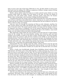kind, it turns to the color of the hemp. With that in view, all other shades in nature seem dead and count for nothing. Far reflected, conspicuous, brilliant, strange; masses of living emerald, saturated with blazing sunlight.

Darker, always darker turns the hemp as it rushes upward: scarce darker as to the stemless stalks which are hidden now; but darker in the tops. Yet here two shades of greenness: the male plants paler, smaller, maturing earlier, dying first; the females darker, taller, living longer, more luxuriant of foliage and flowering heads.

A hundred days from the sowing, and those flowering heads have come forth with their mass of leaves and bloom and earliest fruits, elastic, swaying six, ten, twelve feet from the ground and ripe for cutting. A hundred days reckoning from the last of March or the last of April, so that it is July, it is August.

And now, borne far through the steaming air floats an odor, balsamic, startling: the odor of those plumes and stalks and blossoms from which is exuding freely the narcotic resin of the great nettle. The nostril expands quickly, the lungs swell out deeply to draw it in: fragrance once known in childhood, ever in the memory afterward and able to bring back to the wanderer homesick thoughts of midsummer days in the shadowy, many-toned woods, over into which is blown the smell of the hemp-fields.

Who apparently could number the acres of these in the days gone by? A land of hemp, ready for the cutting! The oats heavy-headed, rustling, have turned to gold and been stacked in the stubble or stored in the lofts of white, bursting barns. The heavy-headed, rustling wheat has turned to gold and been stacked in the stubble or sent through the whirling thresher. The barley and the rye are garnered and gone, the landscape has many bare and open spaces. But separating these everywhere, rise the fields of Indian corn now in blade and tassel; and — more valuable than all else that has been sown and harvested or remains to be — everywhere the impenetrable thickets of the hemp.

Impenetrable! For close together stand the stalks, making common cause for soil and light, each but one of many, the fiber being better when so grown — as is also the fiber of men. Impenetrable, and therefore weedless; for no plant life can flourish there, nor animal nor bird.

Scarce a beetle runs bewilderingly through those forbidding colossal solitudes. The field-sparrow will flutter away from pollen-bearing to pollen-receiving top, trying to beguile you from its nest hidden near the edge. The crow and the blackbird will seem to love it, having a keen eye for the cutworm, its only enemy. The quail does love it, not for itself, but for its protection, leading her brood into its labyrinths out of the dusty road when danger draws near. Best of all winged creatures it is loved by the iris-eyed, burnish-breasted, murmuring doves, already beginning to gather in the deadened tree-tops with crops eager for the seed. Well remembered also by the long-flight passenger pigeon, coming into the land for the mast. Best of all wild things whose safety lies not in the wing but in the foot, it is loved by the hare for its young, for refuge. Those lithe, velvety, summer-thin bodies!

Observe carefully the tops of the still hemp: are they slightly shaken? Among the bases of those stalks a cotton-tail is threading its way inward beyond reach of its pursuer. Are they shaken violently, parted clean and wide to right and left? It is the path of the dog following the hot scent—ever baffled. A hundred days to lift out of those tiny seed these powerful stalks, hollow, hairy, covered with their tough fiber — that strength of cables when the big ships are tugged at by the joined fury of wind and ocean.

And now some morning at the corner of the field stand the black men with hooks and whetstones. The hook, a keen, straight blade, bent at right angles to the handle two feet from the hand. Let these men be the strongest; no weakling can handle the hemp from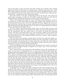seed to seed again. A heart, the doors and walls of which are in perfect order, through which flows freely the full stream of a healthy man's red blood; lungs deep, clear, easily filled, easily emptied; a body that can bend and twist and be straightened again in ceaseless rhythmical movement; limbs tireless; the very spirit of primeval man conquering primeval nature—all these go into the cutting of the hemp.

The leader strides to the edge, and throwing forward his left arm, along which the muscles play, he grasps as much as it will embrace, bends the stalks over, and with his right hand draws the blade through them an inch or more from the ground.

When he has gathered his armful, he turns and flings it down behind him, so that it lies spread out, covering when fallen the same space it filled while standing. And so he crosses the broad acres, and so each of the big black followers, stepping one by one to a place behind him, until the long, wavering, whitish green swaths of the prostrate hemp lie shimmering across the fields. Strongest now is the smell of it, impregnating the clothing of the men, spreading far throughout the air.

So it lies a week or more drying, dying, till the sap is out of the stalks, till leaves and blossoms and earliest ripened or un-ripened fruits wither and drop off, giving back to the soil the nourishment they have drawn from it; the whole top being thus otherwise wasted—that part of the hemp which every year the dreamy millions of the Orient still consume in quantities beyond human computation, and for the love of which the very history of this plant is lost in the antiquity of India and Persia, its home — land of narcotics and desires and dreams.

Then the rakers, with enormous wooden rakes; they draw the stalks into bundles, tying each with the hemp itself. Following the binders move the wagon-beds or slides, gathering the bundles and carrying them to where, huge, flat, and round, the stacks begin to rise. At last these are well built; the gates of the field are closed or the bars put up; wagons and laborers are gone; the brown fields stand deserted.

One day something is gone from earth and sky: Autumn has come, season of scales and balances, when the Earth, brought to judgment for its fruits, says, "I have done what I could — now let me rest!"

Fall! —and everywhere the sights and sounds of falling. In the woods, through the cool silvery air, the leaves, so indispensable once, so useless now. Bright day after bright day, dripping night after dripping night, the never-ending filtering or gusty fall of leaves. The fall of walnuts, dropping from bare boughs with muffled boom into the deep grass. The fall of the hickory-nut, rattling noisily down through the scaly limbs and scattering its hulls among the stones of the brook below. The fall of buckeyes, rolling like balls of mahogany into the little dust paths made by sheep in the hot months when they had sought those roofs of leaves. The fall of acorns, leaping out of their matted, green cups as they strike the rooty earth. The fall of red haw, persimmon, and pawpaw, and the odorous wild plum in its valley thickets. The fall of all seeds whatsoever of the forest, now made ripe in their high places and sent back to the ground, there to be folded in against the time when they shall arise again as the living generations; the homing, downward flight of the seeds in the many-colored woods all over the quiet land.

In the fields, too, the sights and sounds of falling, the fall of the standing fatness. The silent fall of the tobacco, to be hung head downward in fragrant sheds and barns. The felling whack of the corn-knife and the rustling of the blades, as the workman gathers within his arm the top-heavy stalks and presses them into the bulging shock. The fall of pumpkins into the slow-drawn wagons, the shaded side of them still white with the morning rime. In the orchards, the fall of apples shaken thunderously down, and the piling of these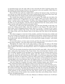in sprawling heaps near the cider mills. In the vineyards the fall of sugaring grapes into the baskets and the bearing of them to the winepress in the cool sunshine, where there is the late droning of bees about the sweet pomace.

But of all that the earth has yielded with or without the farmer's help, of all that he can call his own within the limits of his land, nothing pleases him better than those still, brown fields where the shapely stacks stand amid the deadened trees.

Two months have passed; the workmen are at it again. The stacks are torn down, the bundles scattered, the hemp spread out as once before. There to lie till it shall be dewretted or rotted; there to suffer freeze and thaw, chill rains, locking frosts and loosening snows — all the action of the elements — until the gums holding together the filaments of the fiber rot out and dissolve; until the bast be separated from the woody portion of the stalk, and the stalk itself be decayed and easily broken.

Some day you walk across the spread hemp, your foot goes through at each step, you stoop and, taking several stalks, snap them readily in your fingers. The ends stick out clean apart; and lo! Hanging between them, there it is at last — a festoon of wet, coarse, dark gray riband, wealth of the hemp, sail of the wild Scythian centuries before Horace ever sang of him, sail of the Roman, dress of the Saxon and Celt, dress of the Kentucky pioneer.

The rakers reappear at intervals of dry weather, and draw the hemp into armfuls and set it up in shocks of convenient size, wide flared at the bottom, well pressed in and bound at the top, so that the slanting sides may catch the drying sun and the sturdy base resist the strong winds. And now the fields are as the dark brown camps of armies — each shock a soldier's tent.

Yet not dark always; at times snow-covered; and then the white tents gleam for miles in the winter sunshine — the snow-white tents of the camping hemp.

Throughout the winter and on into early spring, as days may be warm or the hemp dry, the breaking continues. At each nightfall, cleaned and baled, it is hauled on wagonbeds or slides to the barns or the hemp-houses, where it is weighed for the work and wages of the day.

Last of all, the brakes having been taken from the field, some night—dear sport for the lads! —takes place the burning of the "hemp herds," thus returning their elements to the soil. To kindle a handful of tow and fling it as a firebrand into one of those masses of tinder; to see the flames spread and the sparks rush like swarms of red bees skyward through the smoke into the awful abysses of the night; to run from gray heap to gray heap, igniting the long line of signal fires, until the whole earth seems a conflagration and the heavens are as rosy as at morn; to look far away and descry on the horizon an array of answering lights; not in one direction only, but leagues away, to see the fainter ever fainter glow of burning hemp herds — this, too, is one of the experiences, one of the memories.

And now along the turnpikes the great loaded creaking wagons pass slowly to the towns, bearing the hemp to the factories, thence to be scattered over land and sea.

Some day, when the winds of March are dying down, the sower enters the field and begins where he began twelve months before. A round year of the earth's changes enters into the creation of the hemp. The planet has described its vast orbit ere it be grown and finished. All seasons are its servitors; all contradictions and extremes of nature meet in its making. The vernal patience of the warming soil; the long, fierce arrows of the summer heat, the long, silvery arrows of the summer rain; autumn's dead skies and sobbing winds; winter's sternest, all-tightening frosts.

Of none but strong virtues is it the sum. Sickness or infirmity it knows not. It will have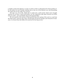a mother young and vigorous, or none; an old or weak or exhausted soil cannot produce it. It will endure no roof of shade, basking only in the eye of the fatherly sun, and demanding the whole sky for the walls of its nursery.

Ah! type, too, of our life, which also is earth-sown, earth-rooted; which must struggle upward, be cut down, rotted and broken, ere the separation take place between our dross and our worth — poor perishable shard and immortal fiber.

Oh, the mystery, the mystery of that growth from the casting of the soul as a seed into the dark earth, until the time when, led through all natural changes and cleansed of weakness, it is borne from the fields of its nativity for the long service.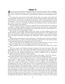# Chapter I

 $\sum_{i=1}^{\infty}$  he century just past had not begun the race of its many-footed years when a neighborhood of Kentucky pioneers, settled throughout the green valleys of the silvery Elkhorn, built a church in the wilderness, and constituted themselves a worshipping association.

For some time peace of one sort prevailed among them, if no peace of any other sort was procurable around. But by and by there arose sectarian quarrels with other backwoods folk who also wished to worship God in Kentucky, and hot personal disputes among the members — as is the eternal law. So that the church grew as grow infusorians and certain worms — by fissure, by periodical splittings and breakings to pieces, each spontaneous division becoming a new organism.

The first church, however, for all that it split off and cast off, seemed to lose nothing of its vitality or fighting qualities spiritual and physical (the strenuous life in those days!); and there came a time when it took offence at one particular man in its membership on account of the liberality of his religious opinions.

This settler, an old Indian fighter whose vast estate lay about halfway between the church and the nearest village, had built himself a good brick house in the Virginian style; and it was his pleasure and his custom to ask traveling preachers to rest under his roof as they rode hither and thither throughout the wilderness — Zion's weather-beaten, solitary scouts.

While giving entertainment to man and beast, if a Sunday came round, he would further invite his guest, no matter what kind of faith the vessel held, if it only held any faith, to ride with him through the woods and preach to his brethren.

This was the front of his offending. For since he seemed brother to men of every creed, they charged that he was no longer of *their* faith (the only true one).

They considered his case, and notified him that it was their duty under God to expel him.

After the sermon one Sunday morning of summer, the scene took place. They had asked what he had to say, and silence had followed. Not far from the church doors the bright Elkhorn (now nearly dry) swept past in its stately shimmering flood. The rush of the water over the stopped mill-wheel, that earliest woodland music of civilization, sounded loud amid the suspense and the stillness.

He rose slowly from his seat on the bench in front of the pulpit—for he was a deacon and turned squarely at them; speechless just then, for he was choking with rage.

"My brethren," he said at length slowly, for he would not speak until he had himself under control, "I think we all remember what it is to be persecuted for religion's sake. Long before we came together in Spottsylvania County, Virginia, and organized ourselves into a church and traveled as a church over the mountains into this wilderness, worshipping by the way, we knew what it was to be persecuted. Some of us were sent to jail for preaching the Gospel and kept there; we preached to the people through the bars of our dungeons. Mobs were collected outside to drown our voices; we preached the louder and some jeered, but some felt sorry and began to serve God. They burned matches and pods of red pepper to choke us; they hired strolls to beat drums that we might not be heard for the din. Some of us knew what it was to have live snakes thrown into our assemblages while at worship; or nests of live hornets. Or to have a crowd rush into the church with farming tools and whips and clubs. Or to see a gun leveled at one of us in the pulpit, and to be dispersed with firearms. Harder than any of these things to stand, we have known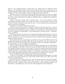what it is to be slandered. But no single man of us, thank God, ever stopped for these things, or for anything. Thirty years and more this lasted, until we and all such as we found a friend in Patrick Henry. Now, we hear that by statute all religious believers in Virginia have been made equal as respects the rights and favors of the law.

"But you know it was partly to escape intolerable tyranny that we left our mother country and traveled a path paved with suffering and lined with death into this wilderness. For in this virgin land we thought we should be free to worship God according to our consciences.

"Since we arrived you know what our life has been — how we have fought and toiled and suffered all things together. You recall how lately it was that when we met in the woods for worship—having no church and no seats—we men listened and sang and prayed with our rifles on our shoulders."

He paused, for the memories hurt him cruelly.

"And now you notify me that you intend to expel me from this church as a man no longer fit to worship my Maker in your company. Do you bring any charge against my life, my conduct? None. Nothing but that, as a believer in the living God—whom honestly I try to serve according to my erring light—I can no longer have a seat among you — not believing as you believe.

"But this is the same tyranny that you found unendurable in Spottsylvania. You have begun it in Kentucky. You have been at it already how long? Well, my brethren, I'll soon end your tyranny over me. You need not *turn* me out. And I need not change my religious opinions. I will *go* out. But—"

He wheeled round to the rough pulpit on which lay the copy of the Bible that they had brought with them from Virginia, their Ark of the Covenant on the way, seized it, and faced them again. He strode toward the congregation as far as the benches would allow not seeing clearly, for he was sightless with his tears.

"But," he roared, and as he spoke he struck the Bible repeatedly with his clenched fist, "by the Almighty, I will build a church of my own to Him! To Him! Do you hear? Not to your opinions of Him, nor mine, nor any man's! I will cut off a parcel of my farm and make a perpetual deed of it in the courts, to be held in trust forever. And while the earth stands, it shall stand, free to all Christian believers. I will build a school-house and a meetinghouse, where any child may be free to learn and any man or woman free to worship."

He put the Bible back with shaking arms and turned on them again.

"As for you, my brethren," he said, his face purple and distorted with passion, "you may be saved in your crooked, narrow way, if the mercy of God is able to do it. But you are close to the jaws of Hell this day!"

He went over into a corner for his hat, took his wife by the hand and held it tightly, gathered the flock of his children before him, and drove them out of the church. He mounted his horse, lifted his wife to her seat behind him, saw his children loaded on two other horses, and, leading the way across the creek, disappeared in the wilderness.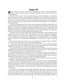## Chapter II

Some sixty-five years later, one hot day of midsummer in 1865—one Saturday after-<br>noon—a lad was cutting weeds in a woodland pasture; a big, raw-boned, demure boy of near eighteen.

He had on heavy shoes, the toes green with grass stain; the leather so seasoned by morning dews as to be like wood for hardness. These were to keep his feet protected from briers or from the bees scattered upon the wild white clover or from the terrible hidden thorns of the honey-locust. No socks. A pair of scant homespun trousers, long outgrown. A coarse clean shirt. His big shock-head thatched with yellow straw, a dilapidated sun-and-rain shed.

The lanky young giant cut and cut and cut: great purple-bodied poke, strung with crimson-juiced seed; great burdock, its green burrs a plague; great milkweed, its creamy sap gushing at every gash; great thistles, thousand-nettled; great ironweed, plumed with royal purple; now and then a straggling bramble prone with velvety berries — the outpost of a patch behind him; now and then—more carefully, lest he notch his blade—low sprouts of wild cane, survivals of the impenetrable brakes of pioneer days.

All these and more, the rank, mighty measure of the soil's fertility — low down. Measure of its fertility aloft, the tops of the trees, from which the call of the red-headed woodpecker sounded as faint as the memory of a sound and the bark of the squirrels was elfin-thin. A hot crowded land, crammed with undergrowth and overgrowth wherever a woodland stood; and around every woodland dense cornfields; or, denser still, the leagues of swaying hemp.

The smell of this now lay heavy on the air, seeming to be dragged hither and thither like a slow scum on the breeze, like a moss on a sluggish pond.

A deep, robust land; and among its growths he—this lad, in his way a self-unconscious human weed, the seed of his kind borne in from far some generations back, but springing out of the soil naturally now, sap of its sap, strength of its strength.

He paused by and by and passed his forefinger across his forehead, brushing the sweat away from above his quiet eyes. He moistened the tip of his thumb and slid it along the blade of his hemp hook — he was using that for lack of a scythe.

Turning, he walked back to the edge of the brier thicket, sat down in the shade of a black walnut, threw off his tattered head-gear, and, reaching for his bucket of water covered with poke leaves, lifted it to his lips and drank deeply, gratefully. Then he drew a whetstone from his pocket, spat on it, and fell to sharpening his blade.

The heat of his work, the stifling air, the many-toned woods, the sense of the vast summering land—these things were not in his thoughts.

Some days before, dispatched from homestead to homestead, rumors had reached him away off here at work on his father's farm, of a great university to be opened the following autumn at Lexington. The like of it with its many colleges Kentucky, the South, the Mississippi valley had never seen. It had been the talk among the farming people in their harvest fields, at the cross-roads, on their porches — the one deep sensation among them since the war.

For solemn, heart-stirring as such tidings would have been at any other time, more so at this. Here, on the tableland of this unique border state, Kentucky — between the halves of the nation lately at strife — scene of their advancing and retreating armies — pit of a frenzied commonwealth — here was to arise this calm university, pledge of the new times, plea for the peace and amity of learning, fresh chance for study of the revelation of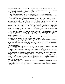the Lord of Hosts and God of battles. The animosities were over, the humanities re-begun.

Can you remember your youth well enough to be able to recall the time when the great things happened for which you seemed to be waiting?

The boy who is to be a soldier—one day he hears a distant bugle: at once he knows.

A second glimpses a bellying sail: straightway the ocean path beckons to him.

A third discovers a college, and toward its kindly lamps of learning turns young eyes that have been kindled and will stay kindled to the end.

For some years this particular lad, this obscure item in Nature's plan which always passes understanding, had been growing more unhappy in his place in creation. By temperament he was of a type the most joyous and self-reliant — those sure signs of health; and discontent now was due to the fact that he had outgrown his place.

Parentage—a farm and its tasks—a country neighborhood and its narrowness—what more are these sometimes than a starting-point for a young life; as a flowerpot might serve to sprout an oak, and as the oak would inevitably reach the hour when it would either die or burst out, root and branch, into the whole heavens and the earth; as the shell and yolk of an egg are the starting-point for the wing and eye of the eagle.

One thing only he had not outgrown, in one thing only he was not unhappy: his religious nature. This had always been in him as breath was in him, as blood was in him: it was his life. Dissatisfied now with his position in the world, it was this alone that kept him contented in himself.

Often the religious are the weary; and perhaps nowhere else does a perpetual vision of Heaven so disclose itself to the weary as above lonely toiling fields.

The lad had long been lifting his inner eye to this vision. When, therefore, the tidings of the university with its Bible College reached him, whose outward mould was hardship, whose inner bliss was piety, at once they fitted his ear as the right sound, as the gladness of long awaited intelligence. It was bugle to the soldier, sail to the sailor, lamp of learning to the innate student

At once he knew that he was going to the university — sometime, somehow — and from that moment felt no more discontent, void, restlessness, nor longing.

It was of this university, then, that he was happily day-dreaming as he whetted his hemp hook in the depths of the woods that Saturday afternoon. Sitting low amid heat and weeds and thorns, he was already as one who had climbed above the earth's eternal snowline and sees only white peaks and pinnacles — the last sublimities.

He felt impatient for tomorrow. One of the professors of the university, of the faculty of the Bible College, had been traveling over the state during the summer, pleading its cause before the people. He had come into that neighborhood to preach and to plead. The lad would be there to hear.

The church in which the professor was to plead for learning and religion was the one first set up in the Kentucky wilderness as a house of religious liberty; and the lad was a great-grandchild of the founder of that church, here emerging mysteriously from the deeps of life four generations down the line.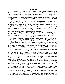### Chapter III

The church which David's grim old Indian-fighting great-grandfather had dedicated to freedom of belief in the wilderness, cutting off a parcel of his lands as he had hotly sworn and building on it a schoolhouse also, stood some miles distant across the country.

The vast estate of the pioneer had been cut to pieces for his many sons. With the next generation the law of partible inheritance had further subdivided each of these; so that in David's time a single small farm was all that had fallen to his father; and his father had never increased it.

The church was situated on what had been the opposite boundary of the original grant. But he with most of the other boys in the neighborhood had received his simple education in that school; and he had always gone to worship under that broad-minded roof, whatsoever the doctrines and dogmas haply preached.

These doctrines and dogmas of a truth were varied and conflicting enough; for the different flocks and herds of Protestant believers with their parti-colored guides had for over fifty years found the place a very convenient strip of spiritual pasture: one congregation now grazing there jealously and exclusively; afterwards another.

On this quiet bright Sunday morning in the summer of 1865, the building (a better than the original one, which had long before been destroyed by accidental burning) was overcrowded with farming folk, husbands and wives, of all denominations in the neighborhood, eager to hear the new plea, the new pleader.

David's father and mother, intense sectarians and dully pious souls, sat among them.

He himself, on a rearmost bench, was wedged fast between two other lads of about his own age — they dumb with dread lest they should be sent away to this university.

The minister soon turned the course of his sermon to the one topic that was uppermost and bottommost in the minds of all. He bade them understand now, if they had never realized it before, that from the entrance of educated men and women into the western wilderness, those real founders and builders of the great commonwealth, the dream of the Kentuckians had been the establishment of a broad, free institution of learning for their sons.

He gave the history of the efforts and the failures to found such an institution, from the year 1780 to the beginning of the Civil War; next he showed how, during those few awful years, the slow precious accumulations of that preceding time had been scattered; books lost, apparatus ruined, the furniture of lecture rooms destroyed, one college building burned, another seized and held as a hospital by the federal government; and he concluded with painting for them a vision of the real university which was now to arise at last, oldest, best passion of the people, measure of the height and breadth of the better times: knowing no North, no South, no latitude, creed, bias, or political end.

In speaking of its magnificent new endowments, he dwelt upon the share contributed by the liberal-minded farmers of the state, to some of whom he was speaking: showing how, forgetful of the disappointments and failures of their fathers, they had poured out money by the thousands and tens of thousands, as soon as the idea was presented to them again — the rearing of a great institution by the people and for the people in their own land for the training of their sons, that they might not be sent away to New England or to Europe.

His closing words were solemn indeed; they related to the college of the Bible, where his own labors were to be performed. For this, he declared, he pleaded not in the name of the new State, the new nation, but in the name of the Father. The work of this college was to be the preparation of young men for the Christian ministry, that they might go into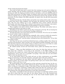all the world and preach the Gospel.

One truth he bade them bear in mind: that this training was to be given without sectarian theology; that his brethren themselves represented a revolution among believers, having cast aside the dogmas of modern teachers, and taken, as the one infallible guide of their faith and practice, the Bible simply; so making it their sole work to bring all modern believers together into one church, and that one church the church of the apostles. For this university, for this college of the Bible especially, he asked, then, the gift and consecration of their sons.

Toward dusk that day, David's father and mother were sitting side by side on the steps of their front porch. Some neighbors who had spent the afternoon with them were just gone. The two were talking over in low, confidential tones certain subjects discussed less frankly with their guests. These related to the sermon of the morning, to the university, to what boys in the neighborhood would probably be entered as students.

Their neighbors had asked whether David would go. The father and mother had exchanged quick glances and made no reply.

Something in the father's mind now lay like wormwood on the lips. He sat leaning his head on his hand, his eyes on the ground, brooding, embittered.

"If I had only had a son to have been proud of!" he muttered. "It's of no use; he wouldn't go. It isn't in him to take an education."

"No," said the mother, comforting him resignedly, after a pause in which she seemed to be surveying the boy's whole life; "it's of no use; there never was much in David."

"Then he shall work!" cried the father, striking his knee with clenched fist. "I'll see that he is kept at work."

Just then the lad came round from behind the house, walking rapidly. Since dinner he had been off somewhere, alone, having it out with himself, perhaps shrinking, most of all, from this first exposure to his parents. Such an ordeal is it for us to reveal what we really are to those who have known us longest and have never discovered us.

He walked quickly around and stood before them, pallid and shaking from head to foot.

"Father!" — There was filial dutifulness in the voice, but what they had never heard from those lips — authority. "I am going to the university, to the Bible College. It will be hard for you to spare me, I know, and I don't expect to go at once. But I shall begin my preparations, and as soon as it is possible I am going. I have felt that you and mother ought to know my decision at once."

As he stood before them in the dusk and saw on their countenances an incredible change of expression, he naturally mistook it, and spoke again with more authority.

"Don't say anything to me now, father! And don't oppose me when the time comes; it would be useless. Try to learn while I am getting ready to give your consent and to obtain mother's. That is all I have to say."

He turned quickly away and passed out of the yard gate toward the barn, for the evening feeding. The father and mother followed his figure with their eyes, forgetting each other, as long as it remained in sight. If the flesh of their son had parted and dissolved away into nothingness, disclosing a hidden light within him like the evening star, shining close to their faces, they could scarce have been struck more speechless. But after a few moments they had adjusted themselves to this lofty annunciation.

The mother, unmindful of what she had just said, began to recall little incidents of the lad's life to show that this was what he was always meant to be. She loosened from her throat the breast-pin containing the hair of the three heads braided together, and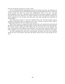drew her husband's attention to it with a smile.

He, too, disregarding his disparagement of the few minutes previous, now began to admit with warmth how good a mind David had always had. He prophesied that at college he would outstrip the other boys from that neighborhood. This, in its way, was also fresh happiness to him; for, smarting under his poverty among rich neighbors, and fallen from the social rank to which he was actually entitled, he now welcomed the secondary joy which originates in the revenge men take upon each other through the superiority of their children.

One thing both agreed in: that this explained their son. He had certainly always needed an explanation. But no wonder; he was to be a minister. And who had a right to understand a minister? He was entitled to be peculiar.

When David came in to supper that night and took his seat, shame-faced, frowning and blinking at the candle-light, his father began to talk to him as he had never believed possible; and his mother, placing his coffee before him, let her hand rest on his shoulder. He, long a-hungered for their affection and finding it now when least expected, filled to the brim, choked at every morsel, got away as soon as he could into the sacred joy of the night.

Ah, those thrilling hours when the young disciple, having for the first time confessed openly his love of the Divine, feels that the Divine returns his love and accepts his service!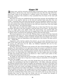## Chapter IP

Autumn came, and the university opened wide its harmonious doors, welcoming Youth and Peace. All that day a lad, alone at his field work away off on the edge of the bluegrass lands, toiled as one listening to a sublime sound in the distance — the tramping, tramping, tramping of the students as they assembled from the farms of the state and from other states.

Some boys out of his own neighborhood had started that morning, old schoolfellows. He had gone to say good-by; had sat on the bed and watched them pack their fine new trunks — cramming these with fond maternal gifts and the thoughtless affluence of necessary and unnecessary things; had heard all the wonderful talk about classes and professors and societies; had wrung their hands at last with eyes turned away, that none might see the look in them—the immortal hunger.

How empty now the whole land without those two or three boys! Not far away across the fields, soft-white in the clear sunshine, stood the home of one of them — the green shutters of a single upper room tightly closed. His heart-strings were twisted tight and wrung sore this day; and more than once he stopped short in his work (the cutting of briers along a fence), arrested by the temptation to throw down his hook and go.

The sacred arguments were on his side. Without choice or search of his they clamored and battered at his inner ear—those commands of the Gospels, the long reverberations of that absolute Voice, bidding irresolute workaday disciples leave the plough in the furrow, leave whatsoever task was impending or duty uppermost to the living or the dead, and follow — "Follow Me!"

Arguments, verily, had he in plenty; but raiment — no; nor scrip. And knew he ever so little of the world, sure he felt of this: that for young Elijahs at the university there were no ravens; nor wild honey for St. John; nor Galilean basketfuls left over by hungry fisherfolk, fishers of men.

So back to his briers. And back to the autumn soil, days of hard drudging, days of hard thinking. The chief problem for the nigh future being, how soonest to provide the raiment, fill the scrip; and so with time enough to find out what, on its first appearance, is so terrible a discovery to the young, straining against restraint: that just the lack of a coarse garment or two—of a little money for a little plain food—of a few candles and a few coverlets for light and warmth with a book or two thrown in—that a need so poor, paltry as this, may keep mind and heart back for years.

Ah, happy ye! with whom this last not too long—or for always! Yet happy ye, whether the waiting be for short time or long time, if only it bring on meanwhile, as it brought on with him, the struggle!

One sure reward ye have, then, as he had, though there may be none other — just the struggle: the marshalling to the front of rightful forces — will, effort, endurance, devotion; the putting resolutely back of forces wrongful; the hardening of all that is soft within, the softening of all that is hard: until out of the hardening and the softening results the better tempering of the soul's metal, and higher development of those two qualities which are best in man and best in his ideal of his Maker — strength and kindness, power and mercy. With an added reward also, if the struggle lead you to perceive (what he did not perceive), as the light of your darkness, the sweet of bitter, that real struggling is itself real living, and that no ennobling thing of this earth is ever to be had by man on any other terms: so teaching him, none too soon, that any divine end is to be reached but through divine means, that a great work requires a great preparation.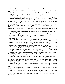Of the lad's desperate experience henceforth in mere outward matters the recital may be suppressed: the struggle of the Earth's poor has grown too common to make fresh reading.

He toiled direfully, economized direfully, to get to his college, but in this showed only the heroism too ordinary among American boys to be marveled at more.

One fact may be set down, as limning some true figure of him on the landscape of those years in that peculiar country. The war had just closed. The farmers, recollecting the fortunes made in hemp before, had hurried to the fields. All the more as the long interruption of agriculture in the South had resulted in scarcity of cotton; so that the earnest cry came to Kentucky for hemp at once to take many of its places. But meantime the slaves had been set free: where before ordered, they must now be hired. A difficult agreement to effect at all times, because will and word and bond were of no account. Most difficult when the breaking of hemp was to be bargained for; since the laborer is kept all day in the winter fields, away from the fireside, and must toil solitary at his brake, cut off from the talk and laughter which lighten work among that race. So that wages rose steadily, and the cost of hemp with them.

The lad saw in this demand for the lowest work at the highest prices his golden opportunity—and seized it.

When the hemp-breaking season opened that winter, he made his appearance on the farm of a rich farmer nearby, taking his place with the Negroes.

There is little art in breaking hemp. He soon had the knack of that: his muscles were toughened already.

He learned what it was sometimes to eat his dinner in the fields, warming it, maybe, on the coals of a stump set on fire near his brake; to bale his hemp at nightfall and follow the slide or wagon to the barn; there to wait with the Negroes till it was weighed on the steelyards; and at last, with muscles stiff and sore, throat husky with dust, to stride away rapidly over the bitter darkening land to other work awaiting him at home.

Had there been call to do this before the war, it might not have been done. But now men young and old, who had never known what work was, were replacing their former slaves. The preexisting order had indeed rolled away like a scroll; and there was the strange fresh universal stir of humanity over the land like the stir of nature in a boundless wood under a new spring firmament. He was one of a multitude of new toilers; but the first in his neighborhood, and alone in his grim choice of work.

So dragged that winter through.

When spring returned, he did better. With his father's approval, he put in some acres for himself—sowed it, watched it, prayed for it; in summer cut it; with hired help stacked it in autumn; broke it himself the winter following; sold it the next spring; and so found in his pocket the sorely coveted money. This was increased that summer from the sale of cord wood, through driblets saved by his father and mother; and when autumn once more advanced with her days of shadow and thoughtfulness—two years having now passed—he was in possession of his meager fortune, wrung out of earth, out of sweat and strength and devotion.

Only a few days remained now before his leaving for the university—very solemn tender days about the house with his father and mother.

And now for the lad's own sake, as for the clearer guidance of those who may care to understand what so incredibly befell him afterward, an attempt must be made to reveal somewhat of his spiritual life during those two years. It was this, not hard work, that writ his history.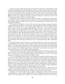As soon as he had made up his mind to study for the ministry, he had begun to read his Bible absorbingly, sweeping through that primitive dawn of life among the Hebrews and that second, brilliant one of the Christian era. He had few other books, none important; he knew nothing of modern theology or modern science. Thus he was brought wholly under the influence of that view of Man's place in Nature which was held by the earliest Biblical writers, has imposed itself upon countless millions of minds since then, and will continue to impose itself—how much longer?

As regarded, then, his place in Nature, this boy became a contemporary of the Psalmist; looked out upon the physical universe with the eye of Job; placed himself back beside that simple, audacious, sublime child — Man but awakening from his cradle of faith in the morning of civilization.

The meaning of all which to him was this: that the most important among the worlds swung in space was the Earth, on account of a single inhabitant — Man. Its shape had been molded, its surface fitted up, as the dwelling-place of Man. Land, ocean, mountain-range, desert, valley—these were designed alike for Man. The sun—it was for him; and the moon; and the stars, hung about the earth as its lights — guides to the mariner, reminders to the landsman of the Eye that never slumbered. The clouds — shade and shower — they were mercifully for Man. Nothing had meaning, possessed value, save as it derived meaning and value from him. The great laws of Nature—they, too, were ordered for Man's service, like the ox and the ass; and as he drove his ox and his ass whither he would, caused them to move forward or to stop at the word of command, so Man had only to speak properly (in prayer) and these laws would move faster or less fast, stop still, turn to the right or the left side of the road that he desired to travel. Always Man, Man, Man, nothing but Man!

To himself measure of the universe as to himself a little boy is sole reason for the food and furnishings of his nursery. This conception of Man's place in Nature has perhaps furnished a very large part of the history of the world. Even at this close of the nineteenth century, it is still, in all probability, the most important fact in the faith and conduct of the race, running with endless applications throughout the spheres of practical life and vibrating away to the extremities of the imagination.

In the case of this poor, devout, high-minded Kentucky boy, at work on a farm in the years 1866 and 1867, saving his earnings and reading his Bible as the twofold preparation for his entrance into the Christian ministry, this belief took on one of its purest shapes and wrought out in him some of its loftiest results.

Let it be remembered that he lived in a temperate, beautiful, bountiful country; that his work was done mostly in the fields, with the aspects of land and sky ever before him; that he was much alone; that his thinking was nearly always of his Bible and his Bible college. Let it be remembered that he had an eye which was not merely an opening and closing but a seeing eye — full of health and of enjoyment of the pageantry of things; and that behind this eye, looking through it as through its window, stood the dim soul of the lad, itself in a temple of perpetual worship: these are some of the conditions which yielded him during these two years the intense, exalted realities of his inner life.

When of morning he stepped out of the plain farm-house with its rotting doors and leaking roof and started off joyously to his day's work, at the sight of the great sun just rising above the low dew-wet hills, his soul would go soaring away to heaven's gate.

Sometimes he would be abroad late at night, summoning the doctor for his father or returning from a visit to another neighborhood. In every farmhouse that he passed on the country road the people were asleep — over all the shadowy land they were asleep.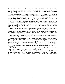And everywhere, guardian in the darkness, watched the moon, pouring its searching beams upon every roof, around every entrance, on kennel and fold, sty and barn — with light not enough to awaken but enough to protect: how he worshipped toward that lamp tended by the Sleepless!

There were summer noons when he would be lying under a solitary tree in a field—in the edge of its shade, resting; his face turned toward the sky. This would be one overbending vault of serenest blue, save for a distant flight of snow-white clouds, making him think of some earthward-wandering company of angels. He would lie motionless, scarce breathing, in that peace of the earth, that smile of the Father.

Or if this same vault remained serene too long; if the soil of the fields became dusty to his boots and his young grain began to wither, when at last, in response to his prayer, the clouds were brought directly over them and emptied down, as he stepped forth into the cooled, dripping, soaking green, how his heart blessed the Power that reigned above and did all things well!

It was always praise, gratitude, thanks-giving, whatever happened. If he prayed for rain for his crops and none was sent, then he thought his prayer lacked faith or was unwise, he knew not how; if too much rain fell, so that his grain rotted, this again was from some fault of his or for his good; or perhaps it was the evil work of the prince of the powers of the air — by permission of the Omnipotent.

In the case of one crop all the labor of nearly a year went for nothing: he explained this as a reminder that he must be chastened.

Come good, come ill, then, crops or no crops, increase or decrease, it was all the same to him: he traced the cause of all plenty as of all disappointment and disaster reaching him through the laws of nature to some benevolent purpose of the Ruler. And ever before his eyes also he kept that spotless Figure which once walked among men on Earth — that Savior of the world whose service he was soon to enter, whose words of everlasting life he was to preach: his father's farm became as the vineyard of the parables in the Gospels, he a laborer in it.

Thus this lad was nearer the first century and yet earlier ages than the nineteenth. He knew more of prophets and apostles than modern doctors of divinity.

When the long-looked-for day arrived for him to throw his arms around his father and mother and bid them good-by, he should have mounted a camel, like a youth of the Holy Land of old, and taken his solemn, tender way across the country toward Jerusalem.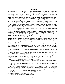## Chapter *P*

One crisp, autumn morning, then, of that year 1867, a big, raw-boned, bashful lad, having passed at the turnstile into the twenty-acre campus, stood reverently still before the majestic front of Morrison College. He was browned by heat and wind, rain and sun; straight of spine, fine of nerve, tough of muscle. In one hand he carried an enormous, faded valise, made of Brussels carpet copiously sprinkled with small, pink roses; in the other, held like a horizontal javelin, a family umbrella. A broken rib escaped his fingers.

It was no time and place for observation or emotion. The turnstile behind him was kept in a whirl by students pushing through and hurrying toward the college a few hundred yards distant; others, who had just left it, came tramping toward him and passing out.

In a retired part of the campus, he could see several pacing slowly to and fro in the grass, holding text-books before their faces. Some were grouped at the bases of the big Doric columns, at work together.

From behind the college on the right, two or three appeared running and disappeared through a basement entrance.

Out of the grass somewhere came the sound of a whistle as clear and happy as of a quail in the wheat; from another direction, the shouts and wrangling of a playground.

Once, barely audible, through the air surged and died away the last bars of a glorious hymn, sung by a chorus of fresh male voices.

The whole scene was one of bustle, work, sport and worship. A few moments the lad remained where he had halted, drinking through every thirsting pore; but most of all with his eyes satisfied by the sight of that venerable building which, morning and night, for over two years had shaped itself to his imagination — that seat of the university — that entrance into his future.

Three students came strolling along the path toward him on their way down town. One was slapping his book against his thigh; one was blowing a ditty through his nose, like music on a comb; one, in the middle, had his arms thrown over the shoulders of the others, and was at intervals using them as crutches.

As they were about to pass the lad, who had stepped a few feet to one side of the path, they wheeled and laughed at him.

"Hello, preachy!" cried one. His face was round, red, and soft, like the full moon; the disk was now broken up by smiling creases.

"Can you tell me," inquired the lad, coloring and wondering how it was already known that he was to be a preacher, "Can you tell me just the way to the Bible College?"

The one of the three on the right turned to the middle man and repeated the question gravely: "Can you tell me just the way to the Bible College?"

The middle man turned and repeated it gravely to the one on the left: "Can you tell me just the way to the Bible College?"

The one on the left seized a passing student: "Can you tell us all just the way to the Bible College?"

"Ministers of grace!" he said, "without the angels!" Then turning to the lad, he continued: "You see this path? Take it! Those steps? Go straight up those steps. Those doors? Enter! Then, if you don't see the Bible College, maybe you'll see the janitor — if he is there. But don't you fear! You may get lost, but you'll never get away!"

The lad knew he was being guyed, but he didn't mind: what hurt him was that his Bible College should be treated with such levity.

"Thank you," he said pleasantly but proudly.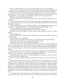"Have you matriculated?" one of the three called after him as he started forward.

David had never heard that word; but he entertained such a respect for knowledge that he hated to appear unnecessarily ignorant. "I don't think—I have," he observed vaguely.

The small eyes of the full moon disappeared altogether this time. "Well, you've got to matriculate, you know," he said. "You'd better do that sometime. But don't speak of it to your professors, or to anybody connected with the college. It must be kept secret."

"Will I be too late for the first recitations?"

The eager question was on the lad's lips but never uttered. The trio had wheeled carelessly away.

There passed them, coming toward David, a tall, gaunt, rough-whiskered man, wearing a paper collar without a cravat, and a shiny, long-tailed, black cloth coat. He held a Bible opened at Genesis.

"Good morning, brother," he said frankly, speaking in the simple kindness which comes from being a husband and father. "You are going to enter the Bible College, I see."

"Yes, sir," replied the lad. "Are you one of the professors?"

The middle-aged man laughed painfully. "I am one of the students."

David felt that he had inflicted a wound. "How many students are here?" he asked quickly.

"About a thousand."

The two walked side by side toward the college. "Have you matriculated?" inquired the lad's companion.

There was that awful word again!

"I don't know *how* to matriculate. How *do* you matriculate? What is matriculating?"

"*I'll* go with you. *I'll* show you," said the simple fatherly guide.

"Thank you, if you will," breathed the lad, gratefully.

After a brief silence his companion spoke again. "I'm late in life in entering college. I've got a son half as big as you and a baby; and my wife's here. But, you see, I've had a hard time. I've preached for years. But I wasn't satisfied. I wanted to understand the Bible better. And this is the place to do that." Now that he had explained himself, he looked relieved.

"Well," said David, fervently, entering at once into a brotherhood with this kindly soul, "that's what I've come for, too. I want to understand the Bible better — and if I am ever worthy—I want to preach it. And you have baptized people already?"

"Hundreds of them. Here we are," said his companion, as they passed under a low doorway, on one side of the pillared steps.

"Here I am at last," repeated the lad to himself with solemn joy, "and now, God be with me!"

By the end of that week he had the run of things; had met his professors, one of whom had preached that sermon two summers before, and now, on being told who the lad was, welcomed him as a sheaf out of that sowing; had been assigned to his classes; had gone down town to the little packed and crowded bookstore and bought the needful student's supplies—so making the first draught on his money; been assigned to a poor room in the austere dormitory behind the college; made his first failures in recitations, standing before his professor with no more articulate voice and no more courage than a sheep; and had awakened to a new sense—the brotherhood of young souls about him, the men of his college.

A revelation they were! Nearly all poor like himself; nearly all having worked their way to the university: some from farms, some by teaching distant country or mountain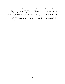schools; some by the peddling of books — out of unknown byways, from the hedges and ditches of life, they had assembled: Calvary's regulars.

One scene in his new life struck upon the lad's imagination like a vision out of the New Testament — his first supper in the bare dining room of that dormitory: the single long, rough table; the coarse, frugal food; the shadows of the evening hour; at every chair a form reverently standing; the saying of the brief grace—ah, that first supper with the disciples!

Among the things he had to describe in his letter to his father and mother, this scene came last; and his final words to them were a blessing that they had made him one of this company of young men.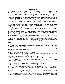#### Chapter *HI*

The lad could not study eternally. The change from a toiling body and idle mind to an idle body and toiling mind requires time to make the latter condition unirksome.

Happily there was small need to delve at learning. His brain was like that of a healthy wild animal freshly captured from nature. And as such an animal learns to snap at flung bits of food, springing to meet them and sinking back on his haunches keen-eyed for more; so mentally he caught at the lessons prepared for him by his professors: every faculty asked only to be fed—and remained hungry after the feeding.

Of afternoons, therefore, when recitations were over and his muscles ached for exercise, he donned his old farm hat and went, stepping in his high, awkward, investigating way around the town — unaware of himself, unaware of the light-minded who often turned to smile at that great gawk in grotesque garments, with his face full of beatitudes and his pockets full of apples.

For apples were beginning to come in from the frosty orchards, and the fruit dealers along the streets piled them into pyramids of temptation. It seemed a hardship to him to have to spend priceless money for a thing like apples, which had always been as cheap and plentiful as spring water. But those evening suppers in the dormitory with the disciples! Even when he was filled (which was not often) he was never comforted; and one day happening upon one of those pomological pyramids, he paused, yearned, and bought the apex. It was harder not to buy than to buy.

After that he fell into this fruitful vice almost diurnally; and with mortifying worldlymindedness he would sometimes find his thoughts straying apple-wards while his professors were personally conducting him through Canaan or leading him dry-shod across the Red Sea.

The little dealer soon learned to anticipate his approach; and as he drew up would have the requisite number ready and slide them into his pockets without a word—and without the chance of inspection.

A man's candy famine attacked him also. He usually bought some intractable, resisting medium: it left him rather tired of pleasure.

So during those crude days he went strolling solemnly about the town, eating, exploring, filling with sweetmeats and filled with wonder.

It was the first city he had ever seen, the chief interior city of the state. From childhood he had longed to visit it. The thronged streets, the curious stores, the splendid residences, the flashing equipages — what a new world it was to him!

But the first place he inquired his way to was the factory where he had sold his hemp. Awhile he watched the men at work, wondering whether they might not then be handling some that he had broken.

At an early date also he went to look up his dear old neighborhood schoolfellows who two years before had left him, to enter another college of the University.

By inquiry he found out where they lived — in a big, handsome boarding-house on a fashionable street. He thought he had never even dreamed of anything so fine as was this house—nor had he. As he sat in the rich parlors, waiting to learn whether his friends were at home, he glanced uneasily at his shoes to see whether they might not be soiling the carpet; and he vigorously dusted himself with his breath and hands — thus depositing on the furniture whatever dust there was to transfer.

Having been invited to come up to his friends' room, he mounted and found one of them waiting at the head of the stairs in his shirt sleeves, smoking. His greeting was hearty in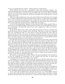its way, yet betokened some surprise, a little uneasiness, condescension.

David followed his host into a magnificent room with enormous windows, now raised and opening upon a veranda. Below was a garden full of old vines black with grapes and pear trees bent down with pears and beds bright with cool autumn flowers. (The lad made a note of how much money he would save on apples if he could only live in reach of those pear trees.)

There was a big rumpled bed in the room; and stretched across this bed on his stomach lay a student studying and waving his heels slowly in the air. A table stood in the middle of the room: the books and papers had been scraped off to the floor; four students were seated at it playing cards and smoking—among them his other friend, who rose and gave him a hearty grip, and, resuming his seat, asked what was trumps.

A voice he had heard before called out to him from the table: "Hello, preachy! Did you find your way to the Bible College?" Whereupon the student on the bed rolled heavily over, sat up dejectedly, and ogled him with red eyes and a sagging jaw. "Have you matriculated?" he asked.

David did not think of the cards, and he liked the greeting of the two strangers who guyed him better than the welcome of his old friends. That hurt: he had never supposed there was anything just like it in the nature of man. But during the years since he had seen them, old times were gone, old manners changed. And was it not in the hemp fields of the father of one of them that he had meantime worked with the Negroes? And is there any other country in the world where the clean laborer is so theoretically honored and so practically despised as by the American snob of each sex?

One afternoon he went over to the courthouse and got the county clerk to show him the entry where his great-grandfather had had the deed to his church recorded. There it all was! — all written down to hold good while the world lasted: that perpetual grant of part and parcel of his land, for the use of a free school and a free church. The lad went reverently over the plain, rough speech of the mighty old pioneer, as he spoke out his purpose.

During those early days also he sought out the different churches, respectfully scrutinizing their exteriors. How many they were, and how grand nearly all! Beyond anything he had imagined. He reasoned that if the buildings were so fine, how fine must be the singing and the sermons! The unconscious assumption, the false logic here, was creditable to his heart at least—to that green trust of the young in things as they should be which becomes in time the best seasoned staff of age.

He hunted out especially the Catholic Church. His great-grandfather had founded his as free for Catholics as Protestants, but he recalled the fact that no priest had ever preached there. He felt very curious to see a priest.

A synagogue in the town he could not find. He was sorry. He had a great desire to lay eyes on a synagogue — temple of that ancient faith which had flowed on its deep way across the centuries without a ripple of disturbance from the Christ. He had made up his mind that when he began to preach he would often preach especially to the Jews: the time perhaps had come when the Father, their Father, would reveal his Son to them also.

Thus he promptly fixed in mind the sites of all the churches, because he intended in time to go to them all. Meantime he attended his own, the size and elegance of which were a marvel; and in it especially the red velvet pulpit and the vast chandelier (he had never seen a chandelier before), blazing with stars (he had never seen illuminating gas).

It was under this chandelier that he himself soon found a seat. All the Bible students sat there who could get there, that being the choir of male voices; and before a month passed he had been taken into this choir: for a storm-like bass rolled out of him as easily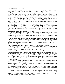as thunder out of a June cloud.

Thus uneventful flowed the tenor of his student life during those several initiatory weeks: then something occurred that began to make grave history for him.

The pastor announced at service one morning that he would that day begin a series of sermons on errors in the faith and practice of the different Protestant sects; though he would also consider in time the cases of the Catholics and Jews: it would scarcely be necessary to speak of the Mohammedans and such others. He was driven to do this, he declared, and was anxious to do it, as part of the work of his brethren all over the country; which was the restoration of Apostolic Christianity to the world. He asked the especial attention of the Bible students of the University to these sermons, the first of which he then proceeded to preach.

That night the lad was absent from his place: he was seated in the church which had been riddled with logic in the morning. Just why it would be hard to say. Perhaps his motive resembled that which prompts us to visit a battle-field and count the slain. Only, not a soul of those people seemed even to have been wounded. They sang, prayed, preached, demeaned themselves generally as those who believed that *they* were the express chosen of the Lord, and greatly enjoyed the notorious fact.

The series of sermons went on: every night the lad was missing from his place — gone to see for himself and to learn more about those worldly churches which had departed from the faith once delivered to the saints, and if saved at all, then by the mercy of God and much of it.

In the history of any human soul it is impossible to grasp the first event that starts up a revolution. But perhaps the troubles of the lad began here. His absences from Sunday night service of course attracted notice under the chandelier. His bass was missed. Another student was glad to take his place. His roommate and the several other dormitory students who had become his acquaintances discussed with him the impropriety of these absences: they agreed that he would better stick to his own church.

He gave reasons why he should follow up the pastor's demonstrations with actual visits to the others: he contended that the pastor established the fact of the errors; but that the best way to understand any error was to study the erring.

This was all new to him, however. He had not supposed that in educating himself to preach the simple Gospel, to the end that the world might believe in Christ, he must also preach against those who believed in Christ already. Besides, no one seemed to be convinced by the pastor but those who agreed with him in advance: the other churches flourished quite the same. He cited a sermon he had heard in one, which, to the satisfaction of all present, had riddled his own church, every word of the proof being based on Scripture: so there you were!

A little cloud came that instant between David and the students to whom he expressed these views. Some rejoined hotly at once; some maintained the cold silence which intends to speak in its own time. The next thing the lad knew was that a professor requested him to remain after class one day; and speaking with grave kindness, advised him to go regularly to his own church thereafter. The lad entered ardently into the reasons why he had gone to the others. The professor heard him through and without comment repeated his grave, kind advice.

Thereafter the lad was regularly in his own seat there — but with a certain mysterious, beautiful feeling gone. He could not have said what this feeling was, did not himself know. Only, a slight film seemed to pass before his eyes when he looked at his professor, so that he saw him less clearly and as more remote.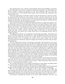One morning there was a sermon on the Catholics. David went dutifully to his professor. He said he had never been to a Catholic Church and would like to go. His professor assented cordially, evincing his pleasure in the lad's frankness. But the next Sunday morning he was in the Catholic Church again, thus for the first time missing the communion in his own.

Of all the congregations of Christian believers that the lad had now visited, the Catholic impressed him as being the most solemn, reverent, and best mannered. In his own church the place did not seem to become the house of God till services began; and one morning in particular, two old farmers in the pew behind him talked in smothered tones of stock and crops, till it fairly made him homesick.

The sermon of the priest, too, filled him with amazement. It weighed the claims of various Protestant sects to be reckoned as parts of the one true historic church of God. In passing, he barely referred to the most modern of these self-constituted Protestant bodies — David's own church—and dismissed it with one blast of scorn, which seemed to strike the lad's face like a hot wind: it left it burning. But to the Episcopal Church the priest dispensed the most vitriolic criticism. And that night, carried away by the old impulse, which had grown now almost into a habit, David went to the Episcopal Church: went to number the slain.

The Bishop of the diocese, as it happened, was preaching that night—preaching on the union of Christian believers. He showed how ready the Episcopal Church was for such a union if the rest would only consent: but no other church, he averred, must expect the Episcopal Church ever to surrender one article of its creed, namely: that it alone was descended not by historical continuity simply, but by Divine succession from the Apostles themselves.

The lad walked slowly back to the dormitory that night with knit brows and a heavy heart. A great change was coming over him. His old religious peace had been unexpectedly disturbed. He found himself in the thick of the wars of dogmatic theology. At that time and in that part of the United States, these were impassioned and rancorous to a degree which even now, less than half a century later, can scarce be understood; so rapidly has developed meantime that modern spirit which is for us the tolerant transition to a yet broader future. Had Kentucky been peopled by her same people several generations earlier, the land would have run red with the blood of religious persecutions, as never were England and Scotland at their worst. So that this lad, brought in from his solemn, cloistered fields and introduced to wrangling, sarcastic, envious creeds, had already begun to feel doubtful and distressed, not knowing what to believe nor whom to follow.

He had commenced by being so plastic a medium for faith, that he had tried to believe them all. Now he was in the intermediate state of trying to ascertain which. From that state there are two and two only final ones to emerge: "I shall among them believe this one only;" or, "I shall among them believe—none."

The constant discussion of some dogma and disproof of some dogma inevitably begets in a certain order of mind the temper to discuss and distrust *all* dogma.

Not over their theologies alone were the churches wrangling before the lad's distracted thoughts. If the theologies were rending religion, politics was rending the theologies.

The war just ended had not brought, as the summer sermon of the Bible College professor had stated, breadth of mind for narrowness, calm for passion. Not while men are fighting their wars of conscience do they hate most, but after they have fought; and Southern and Union now hated to the bottom and nowhere else as at their prayers.

David found a Presbyterian Church on one street called "Southern" and one a few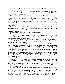blocks away called "Northern": how those brethren dwelt together. The Methodists were similarly divided. Of Baptists, the lad ascertained there had been so many kinds and parts of kinds since the settlement of Kentucky, that apparently any large-sized family anywhere could reasonably have constituted itself a church, if the parents and children had only been fortunate enough to agree.

Where politics did not cleave, other issues did. The Episcopal Church was cleft into a reform movement (and one unreformable). In his own denomination, internal discord raged over such questions as diabolic pleasures and Apostolic music. He saw young people haled before the pulpit as before a tribunal of exact statutes and expelled for moving their feet in certain ways. If in dancing they whirled like a top instead of being shot straight back and forth like a bobbin in a weaver's shuttle, their moral conduct was aggravated. A church organ was ridiculed as a sort of musical Behemoth—as a dark chamber of howling, roaring Belial.

These controversies overflowed from the congregation to the Bible College. The lad in his room at the dormitory one Sunday afternoon heard a debate on whether a tuning fork is a violation of the word of God. The debaters turned to him excited and angry. "What do you think?" they asked.

"I don't think it is worth talking about," he replied quietly.

They soon became reconciled to each other; they never forgave him.

Meantime, as for his Biblical studies, they enlarged enormously his knowledge of the Bible; but they added enormously to the questions that may be asked about the Biblequestions he had never thought of before.

And in adding to the questions that may be asked, they multiplied those that cannot be answered. The lad began to ask these questions, began to get no answers. The ground of his interest in the great Book shifted.

Out on the farm alone with it for two years, reading it never with a critical but always with a worshipping mind, it had been to him simply the summons to a great and good life, earthly and immortal. As he sat in the lecture rooms, studying it book by book, paragraph by paragraph, writing chalk notes about it on the blackboard, hearing the students recite it as they recited arithmetic or rhetoric, a little homesickness overcame him for the hours when he had read it at the end of a furrow in the fields, or by his candle the last thing at night before he kneeled to say his prayers, or of Sunday afternoons off by himself in the sacred leafy woods. The mysterious untouched Christ-feeling was in him so strong, that he shrank from these critical analyses as he would from dissecting the body of the crucified Redeemer.

A significant occurrence took place one afternoon some seven months after he had entered the University. On that day, recitations over, the lad left the college alone, and with a most thoughtful air crossed the campus and took his course into the city. Reaching a great central street, he turned to the left and proceeded until he stood opposite a large brick church. Passing along the outside of this, he descended a few steps, traversed an alley, knocked timidly at a door, and by a voice within was bidden to enter. He did so, and stood in his pastor's study.

He had told his pastor that he would like to have a little talk with him, and the pastor was there to have the little talk. During those seven months the lad had been attracting notice more and more. The Bible students had cast up his reckoning unfavorably: he was not of their kind—they moved through their studies as one flock of sheep through a valley, drinking the same water, nipping the same grass, and finding it what they wanted. His professors had singled him out as a case needing peculiar guidance. Not in his decorum as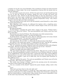a student: he was the very soul of discipline. Not in slackness of study: his mind consumed knowledge as a flame tinder. Not in any irregularities of private life: his morals were as snow for whiteness.

Yet none other caused such concern. All this the pastor knew; he had himself long had his eye on this lad. During his sermons, among the rows of heads and brows and eyes upturned to him, oftenest he felt himself looking at that big shock-head, at those grave brows, into those eager, troubled eyes. His persistent demonstrations that he and his brethren alone were right and all other churches Scripturally wrong — they always seemed to take the light out of that countenance.

There was silence in the study now as the lad modestly seated himself in a chair which the pastor had pointed out.

After fidgeting a few moments, he addressed the logician with a stupefying premise: "My great-grandfather," he said, "once built a church simply to God, not to any man's opinions of Him."

He broke off abruptly.

"So did Voltaire," remarked the pastor dryly, coming to the rescue. "Voltaire built a church to God: '*Erexit deo Voltaire*.' Your great-grandfather and Voltaire must have been kin to each other."

The lad had never heard of Voltaire. The information was rather prepossessing.

"I think I should admire Voltaire," he observed reflectively.

"So did the Devil," remarked the pastor. Then he added pleasantly, for he had a Scotch relish for a theological jest: "You may meet Voltaire some day."

"I should like to. Is he coming here?" asked the lad.

"Not immediately. He is in hell — or will be after the Resurrection of the Dead."

The silence in the study grew intense. "I understand you now," said the lad, speaking composedly all at once. "You think that perhaps I will go to the Devil also."

"Oh, no!" exclaimed the pastor, hiding his smile and stroking his beard with syllogistic self-respect. "My dear young brother, did you want to see me on any — *business*?"

"I did. I was trying to tell you. My great-grandfather…"

"Couldn't you begin with more modern times?"

"The story begins back there," insisted the lad, firmly. "The part of it, at least, that affects me. My great-grandfather founded a church free to all Christian believers. It stands in our neighborhood. I have always gone there. I joined the church there. All the different denominations in our part of the country have held services there. Sometimes they have all had services together. I grew up to think they were all equally good Christians in their different ways."

"Did you?" inquired the pastor. "You and your grandfather and Voltaire must *all* be kin to each other." His visage was not pleasant.

"My trouble since coming to College," said the lad, pressing across the interruption, "has been to know which *is* the right church —"

"Are you a member of *this* church?" inquired the pastor sharply, calling a halt to this folly.

"I am."

"Then don't you know that it is the only right one?"

"I do not. All the others declare it a wrong one. They stand ready to prove this by the Scriptures and do prove it to their satisfaction. They declare that if I become a preacher of what my church believes, I shall become a false teacher of men and be responsible to God for the souls I may lead astray. They honestly believe this."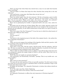"Don't you know that when Satan has entered into a man, he can make him honestly believe anything?"

"And you think it is Satan that keeps the other churches from seeing this is the only right one?"

"I do! And beware, young man, that Satan does not get into *you.*"

"He must be in me already."

There was silence again, then the lad continued. "All this is becoming a great trouble to me. It interferes with my studies — takes my interest out of my future. I come to you then. You are my pastor. Where is the truth — the reason — the proof — the authority? Where is the guiding *law* in all this? I must find *the law*, and that quickly."

There was no gainsaying his trouble: it expressed itself in his eyes, voice, entire demeanor.

The pastor was not seeing any of these things. Here was a plain, ignorant country lad who had rejected his logic and who apparently had not tact enough at this moment to appreciate his own effrontery. In the whole sensitiveness of man there is no spot so touchy as the theological.

"Have you a copy of the New Testament?" It was the tone in which the school-master of old times said, "Bring me that switch."

"I have."

"You can read it?"

"I can."

"You find in it the inspired account of the faith of the original church — the earliest history of Apostolic Christianity?"

"I do."

"Then, can you not compare the teachings of the Apostles, faith and *their* practice, with the teachings of this church? *Its* faith and *its* practice?"

"I have tried to do that."

"Then there is the truth. And the reason. And the proof. And the authority. And the *law*. We have no creed but the creed of the Apostolic churches; no practice but their practice; no teaching but their teaching in letter and in spirit."

"That is what was told me before I came to college. It was told me that young men were to be prepared to preach the simple Gospel of Christ to all the world. There was to be no sectarian theology."

"Well? Has any one taught you sectarian theology?"

"Not consciously, not intentionally. Inevitably — perhaps. That is my trouble now — *one* of my troubles."

"Well?"

"May I ask you some questions?"

"You may ask me some questions if they are not silly questions. You don't seem to have any creed, but you *do* seem to have a catechism! Well, on with the catechism! I hope it will be better than those I have read."

So bidden, the lad began. "Is it Apostolic Christianity to declare that infants should not be baptized?"

"It is!" The reply came like a flash of lightning.

"And those who teach to the contrary violate the word of God?"

"They do!"

"Is it Apostolic Christianity to affirm that only immersion is Christian baptism?" "It is!"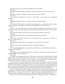"And those who use any other form violate the word of God?"

"They do!"

"Is it Apostolic Christianity to celebrate the Lord's Supper once every seven days?" "It is!"

"And all who observe a different custom violate the word of God?"

"They do!"

"Is it Apostolic Christianity to have no such officer in the church as an Episcopal bishop?"

"It is!"

"The office of Bishop, then, is a violation of Apostolic Christianity?"

"It is!"

"Is it Apostolic Christianity to make every congregation, no matter how small or influenced by passion, an absolute court of trial and punishment of his members?"

"It is!"

"To give every such body control over the religious standing of its members, so it may turn them out into the world, banish them from the church of Christ forever, if it sees fit?" "It is!"

"And those who frame any other system of church government violate the…"

"They do!"

"Is it Apostolic Christianity to teach that faith precedes repentance?"

"It is!"

"Those who teach that sorrow for sin is itself the great reason why we believe in Christ—do they violate...?"

"They do!"

"Is it Apostolic Christianity to turn people out of the church for dancing?"

"It is!"

"The use of an organ in worship — is that a violation of Apostolic…?"

"It is!"

"Is it Apostolic Christianity to require that the believer in it shall likewise believe everything in the old Bible?"

"It is."

"Did Christ and the Apostles themselves teach that everything contained in what we call the old Bible must be believed?"

"They did!"

The pastor was grasping the arms of his chair, his body bent toward the lad, his head thrown back, his face livid with sacred rage. He was a good man, tried and true: Godfearing, God-serving. No fault lay in him unless it may be imputed for unrighteousness that he was a staunch, trenchant sectary in his place and generation.

As he sat there in the basement study of his church, his pulpit of authority and his baptismal pool of regeneration directly over his head, all round him in the city the solid hundreds of his followers, he forgot himself as a man and a minister and remembered only that as a servant of the Most High he was being interrogated and dishonored. His soul shook and thundered within him to repel these attacks upon his Lord and Master.

As those unexpected random questions had poured in upon him thick and fast, all emerging, as it seemed to him, like disembodied evil spirits from the black pit of Satan and the damned, it was joy to him to deal to each that same straight, God-directed spearthrust of a reply — killing them as they rose. His soul exulted in that blessed carnage.

But the questions ceased. They had hurried out as though there were a myriad press-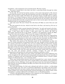ing behind — a few issuing bees of an aroused swarm. But they ceased.

The pastor leaned back in his chair and drew a quivering breath through his white lips. "Ask some more!"

On his side, the lad had lost divine passion as the pastor had gained it. His interest waned while the pastor's waxed. His last questions were put so falteringly, almost so inaudibly, that the pastor might well believe his questioner beaten, brought back to modesty and silence. To a deeper-seeing eye, however, the truth would have been plain that the lad was not seeing his pastor at all, but seeing *through* him into his own future: into his life, his great chosen life-work. His young feet had come in their travels nigh to the limits of his Promised Land: he was looking over into it.

"Ask some more! The last of them! Out with them *all*! Make an end of this now and here!"

The lad reached for his hat, which he had laid on the floor, and stood up. He was as pale as the dead.

"I shall never be able to preach Apostolic Christianity," he said, and turned to the door.

But reaching it, he wheeled and came back. "I am in trouble!" he cried, sitting down again. "I don't know what to believe. I don't know what I do believe. My God!" he cried again, burying his face in his hands. "I believe I am beginning to doubt the Bible. Great God, what am I coming to! What is my life coming to! *Me* doubt the Bible!"

The interview of that day was one of the signs of two storms which were approaching: one appointed to reach the University, one to reach the lad. The storm now gathering in many quarters and destined in a few years to burst upon the University was like its other storms that had gone before: only, this last one left it a ruin which will stay a ruin.

That oldest, best passion of the Kentucky people for the establishment in their own land of a broad institution of learning for their own sons, though revived in David's time on a greater scale than ever before, was not to be realized. The new University, bearing the name of the commonwealth and opening at the close of the Civil War as a sign of the new peace of the new nation, having begun so fairly and risen in a few years to fourth or fifth place in patronage among all those in the land, was already entering upon its decline.

The reasons of this were the same that had successively ruined each of its predecessors: the same old sectarian quarrels, enmities, revenges; the same old political oppositions and hatreds; the same personal ambitions, jealousies, strifes.

Away back in 1780, while every man, woman, and child in the western wilderness was in dire struggle for life itself, those far-seeing people had induced the General Assembly of Virginia to confiscate and sell in Kentucky the lands of British Tories, to found a public seminary for Kentucky boys—not a sectarian school.

These same broad-minded pioneers had later persuaded her to give twenty thousand acres of her land to the same cause and to exempt officers and students of the institution from military service. Still later, intent upon this great work, they had induced Virginia to take from her own beloved William and Mary one-sixth of all surveyors' fees in the district and contribute them.

The early Kentuckians, for their part, planned and sold out a lottery — to help along the incorruptible work. For such an institution Washington and Adams and Aaron Burr and Thomas Marshall and many another opened their purses. For it thousands and thousands of dollars were raised among friends scattered throughout the Atlantic states, these responding to a petition addressed to all religious sects, to all political parties.

A library and philosophical apparatus were wagoned over the Alleghenies. A committee was sent to England to choose further equipments.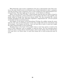When Kentucky came to have a legislature of its own, it decreed that each of the counties in the state should receive six thousand acres of land wherewith to start a seminary; and that all these county seminaries were to train students for this long-dreamed-of central institution. That they might not be sent away — to the North or to Europe.

When, at the end of the Civil War, a fresh attempt (and the last) was made to found in reality and in perpetuity a home institution to be as good as the best in the republic, the people rallied as though they had never known defeat. The idea resounded like a great trumpet throughout the land. Individual, legislative, congressional aid — all were poured out lavishly for that one devoted cause.

Sad chapter in the history of the Kentuckians! Perhaps the saddest among the many sad ones. For such an institution must in time have taught what all its court-houses and all its pulpits — laws human and divine — have not been able to teach: it must have taught the noble commonwealth to cease murdering.

Standing there in the heart of the people's land, it must have grown to stand in the heart of their affections: and so standing, to stand for peace. For true learning always stands for peace. Letters always stand for peace. And it is the scholar of the world who has ever come into it as Christ came: to teach that human life is worth saving and must be saved.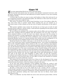# Chapter *HI*

 $\sum_{\text{Sovernal}}$  and  $\sum_{\text{Sovernal}}$  and  $\sum_{\text{Sovernal}}$  and  $\sum_{\text{Sovernal}}$  and  $\sum_{\text{Sogenal}}$  and  $\sum_{\text{Sogenal}}$  and  $\sum_{\text{Sogenal}}$  and  $\sum_{\text{Sogenal}}$  and  $\sum_{\text{Sogenal}}$  and  $\sum_{\text{Sogenal}}$  and  $\sum_{\text{Sogenal}}$  and  $\sum_{\text{Sogenal}}$  and  $\sum_{\text{Sogenal}}$  and

Several days had passed since his anxious and abruptly terminated interview with his pastor. During the interval he had addressed no further inquiries to any man touching his religious doubts.

A serious sign: for when we cease to carry such burdens to those who wait near by as our recognized counselors and appointed guides, the inference is that succor for our peculiar need has there been sought in vain.

This succor, if existent at all, will be found elsewhere in one of two places: either farther away from home in greater minds whose teaching has not yet reached us; or still nearer home in what remains as the last court of inquiry and decision: in the mind itself.

With greater intellects more remote the lad had not yet been put in touch; he had therefore grown reflective, and for nearly a week had been spending the best powers of his unaided thought in self-examination.

He was sitting one morning at his student's table with his Bible and note-book opened before him, wrestling with his problems still. The dormitory was very quiet. A few students remained indoors at work, but most were absent: some gone into the country to preach trial sermons to trying congregations; some down in the town; some at the college, practicing hymns, or rehearsing for society exhibitions; some scattered over the campus, preparing Monday lessons on a spring morning when animal sap stirs intelligently at its sources and sends up its mingled currents of new energy and new lassitude.

David had thrown his window wide open, to let in the fine air; his eyes strayed outward. A few yards away stood a stunted transplanted locust—one of those uncomplaining asses of the vegetable kingdom whose mission in life is to carry whatever man imposes. Year after year this particular tree had remained patiently backed up behind the dormitory, for the bearing of garments to be dusted or dried. More than once during the winter, the lad had gazed out of his snow-crusted panes at this dwarfed donkey of the woods, its feet buried deep in ashes, its body covered with kitchen wash-rags and Bible students' frozen underwear. He had reasoned that such soil and such servitude had killed it. But as he looked out of his window now, his eyes caught sight of the early faltering green in which this exile of the forest was still struggling to clothe itself — its own life vestments. Its enforced and artificial function as a human clothes-horse had indeed nearly destroyed it; but wherever a bud survived, there its true office in nature was asserted, its ancient kind declared, its growth stubbornly resumed.

The moment for the lad may have been one of those in the development of the young when they suddenly behold familiar objects as with eyes more clearly opened; when the neutral becomes the decisive; when the sermon is found in the stone.

As he now took curious cognizance of the budding wood which he, seeing it only in winter, had supposed could not bud again, he fell to marveling how constant each separate thing in nature is to its own life and how sole is its obligation to live that life only.

All that a locust had to do in the world was to be a locust; and be a locust it would though it perished in the attempt. It drew back with no hesitation, was racked with no doubt, puzzled with no necessity of preference. It knew absolutely the law of its own being and knew absolutely nothing else; found under that law its liberty, found under that liberty its life.

"But I," he reflected, "am that which was never sown and never grown before. All the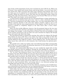ages of time, all the generations of men, have not fixed any type of life for me. What I am to become I must myself each instant choose; and having chosen, I can never know that I have chosen best. Often I do know that what I have selected I must discard. And yet no one choice can ever be replaced by its rejected fellow; the better chance lost once, is lost eternally. Within the limits of a locust, how little may the individual wander; within the limits of the wide and erring human, what may not a man become! What now am I becoming? What shall I now choose—as my second choice?"

A certain homely parallel between the tree and himself began to shape itself before his thought: how he, too, had been dug up far away — had, in a sense, voluntarily dug himself up — and been transplanted in the college campus; how, ever since being placed there, the different sectarian churches of the town had, without exception, begun to pin on the branches of his mind the many-shaped garments of their dogmas, until by this time he appeared to himself as completely draped as the little locust after a heavy dormitory washing.

There was this terrible difference, however: that the garments hung on the tree were anon removed; but these doctrines and dogmas were fastened to his mind to stay—as the very foliage of his thought — as the living leaves of Divine Truth. He was forbidden to strip off one of those sacred leaves. He was told to live and to breathe his religious life through them, and to grow only where they hung.

The lad declared finally to himself this morning, that realize his religious life through those dogmas he never could; that it was useless any longer to try. Little by little they would as certainly kill him in growth and spirit as the rags had killed the locust in sap and bud. Whatever they might be to others—and he judged no man—for him with his peculiar nature they could never be life-vestments; they would become his spiritual graveclothes.

The parallel went a little way further: that scant faltering green! That unconquerable effort of the tree to assert despite all deadening experiences its old wildwood state! Could he do the like, could he go back to his?

Yearning, sad, immeasurable filled him as he now recalled the simple faith of what had already seemed to him his childhood. Through the mist blinding his vision, through the doubts blinding his brain, still could he see it lying there clear in the near distance!

"No," he cried, "into whatsoever future I may be driven to enter, closed against me is the peace of my past. Return thither my eyes ever will, my feet never! But as I was true to myself then, let me be true now. If I cannot believe what I formerly believed, let me determine quickly what I *can* believe. The Truth, the Law—I must find these, and quickly!"

From all of which, though thus obscurely set forth, it will be divined that the lad had now reached, indeed for some days had stood halting at one of the great partings of the ways: when the whole of Life's road can be walked in by us no longer; when we must elect the half we shall henceforth follow, and having taken it, ever afterward perhaps look yearningly back upon the other as a lost trail of the mind.

The parting of the ways where he had thus faltered, summing up his bewilderment, and crying aloud for fresh directions, was one immemorially old in the history of man: the splitting of Life's single road into the by-paths of Doubt and Faith.

Until within less than a year, his entire youth had been passed in the possession of what he esteemed true religion. Brought from the country into the town, where each of the many churches was proclaiming itself the sole incarnation of this and all others the embodiment of something false, he had, after months of distracted wandering among their contradictory clamors, passed as so many have passed before him into that state of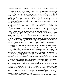mind which rejects them all and asks whether such a thing as true religion anywhere exists.

The parting of Life's road at Doubt and Faith! How many pilgrim feet throughout the ages, toiling devoutly thus far, have shrunk back before that unexpected and appalling sign! Disciples of the living Lord, saints, philosophers, scholars, priests, knights, statesmen—what a throng! What thoughts there born, prayers there ended, vows there broken, light there breaking, hearts there torn in twain! Mighty mountain rock! Rising full in the road of journeying humanity. Around its base the tides of the generations dividing as part the long racing billows of the sea about some awful cliff.

The lad closed his notebook, and, taking his chair to the window, folded his arms on the sill and looked out.

Soon he noticed what had escaped him before. Beyond the tree, at the foot of the ashheap, a single dandelion had opened. It burned like a steadfast yellow lamp, low in the edge of the young grass.

These two simple things — the locust leaves, touched by the sun, shaken by the south wind; the dandelion shining in the grass — awoke in him the whole vision of the spring now rising anew out of the Earth, all over the land: great Nature!

And the vision of this caused him to think of something else. On the Sunday following his talk with the lad, the pastor had preached the most arousing sermon that the lad had heard: it had grown out of that interview: it was on modern infidelity—the new infidelity as contrasted with the old.

In this sermon he had arraigned certain books as largely responsible. He called them by their titles. He warned his people against them. Here recommenced the old story: the lad was at once seized with a desire to read those books, thus exhibiting again the identical trait that had already caused him so much trouble. But this trait was perhaps himself—his core; the demand of his nature to hear both sides, to judge evidence, test things by his own reason, get at the deepest root of a matter: to see Truth, and to see Truth whole.

Curiously enough, these books, and some others, had been much heard of by the lad since coming to college: once; then several times; then apparently everywhere and all the time. For, intellectually, they had become atmospheric: they had to be breathed, as a newly introduced vital element of the air, whether liked or not liked by the breathers.

They were the early works of the great Darwin, together with some of that related illustrious group of scientific investigators and thinkers, who, emerging like promontories, islands, entire new countries, above the level of the world's knowledge, sent their waves of influence rushing away to every shore.

It was in those years that they were flowing over the United States, over Kentucky. And as some volcanic upheaval under mid-ocean will in time rock the tiny boat of a sailor boy in some little sheltered bay on the other side of the planet, so the sublime disturbance in the thought of the civilized world in the second half of the nineteenth century had reached David.

Sitting at his window, looking out blindly for help and helpers amid his doubts, seeing the young green of the locust, the yellow of the dandelion, he recalled the names of those anathematized books, which were described as dealing so strangely with nature and with man's place in it. The idea dominated him at last to go immediately and get those books.

A little later he might have been seen quitting the dormitory and taking his way with a dubious step across the campus into the town.

Saturday forenoons of spring were busy times for the town in those days. Farmers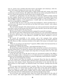were in, streets were crowded with their horses and buggies and rockaways, with livestock, with wagons hauling cord-wood, oats, hay, and hemp.

Once, at a crossing, David waited while a wagon loaded with soft, creamy, gray hemp creaked past toward a factory. He sniffed with relish the tar of the mud-packed wheels; he put out a hand and stroked the heads drawn close in familiar bales.

Crowded, too, of Saturdays was the book-shop to which the students usually resorted for their supplies. Besides town customers and country customers, the pastor of the church often dropped in and sat near the stove, discoursing, perhaps, to some of his elders, or to reverent Bible students, or old acquaintances. A small, tight, hot, metal-smelling stovewhy is it so enjoyable by a dogmatist?

As David made his way to the rear of the long bookshelves, which extended back toward the stove, the pastor rose and held out his hand with hearty warmth—and a glance of secret solicitude.

The lad looked sheepish with embarrassment; not until accosted had he himself realized what a stray he had become from his pastor's flock and fold. And he felt that he ought instantly to tell the pastor this was the case.

But the pastor had re-seated himself and re-gripped his masterful monologue.

The lad was more than embarrassed; he felt conscious of a new remorseful tenderness for this grim, righteous man, now that he had emancipated mind and conscience from his teaching: so true it often is that affection is possible only where obedience is not demanded.

He turned off sorrowfully to the counter, and a few moments later, getting the attention of the clerk, asked in a low conscience-stricken tone for *The Origin of Species* and *The Descent of Man*; conscience-stricken at the sight of the money in his palm to pay for them.

"What are you going to do with these?" inquired a Bible student who had joined him at the counter and fingered the books.

"Read them," said the lad, joyously, "and understand them if I can."

He pinned them against his heart with his elbow and all but ran back to the dormitory. Having reached there, he altered his purpose and instead of mounting to his room, went away off to a quiet spot on the campus and, lying down in the grass under the wide open sky, opened his wide Darwin.

It was the first time in his life that he had ever encountered outside of the Bible a mind of the highest order, or listened to it, as it delivered over to mankind the astounding treasures of its knowledge and wisdom in accents of appealing, almost plaintive modesty.

That day the lad changed his teachers.

Of the session more than two months yet remained. Every few days he might have been seen at the store, examining books, drawing money reluctantly from his pocket, hurrying away with another volume. Sometimes he would deliver to the clerk the title of a work written on a slip of paper: an unheard-of book; to be ordered—perhaps from the Old World.

For one great book inevitably leads to another. They have their parentage, kinship, generations. They are watch-towers in sight of each other on the same human highway. They are strands in a single cable belting the globe. Link by link David's investigating hands were slipping eagerly along a mighty chain of truths, forged separately by the giants of his time and now welded together in the glowing thought of the world.

Not all of these were scientific works. Some were works which followed in the wake of the new science, with rapid applications of its methods and results to other subjects,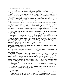scarce conterminous or not even germane.

For in the light of the great central idea of Evolution, all departments of human knowledge had to be reviewed, reconsidered, reconceived, rearranged, rewritten.

Every foremost scholar of the world, kindling his own personal lamp at that central sun-like radiance, retired straightway into his laboratory of whatsoever kind and found it truly illuminated for the first time. His lamp seemed to be of two flames enwrapped as one: a baleful and a benign. Whenever it shone upon anything that was true, it made this stand out the more clear, valuable, resplendent. But wherever it uncovered the false, it darted thereat a swift tongue of flame, consuming without mercy the ancient rubbish of the mind.

Vast purification of the world by the fire of truth! There have been such purifications before; but never perhaps in the history of the race was so much burned out of the intellectual path of man as during the latter half of the nineteenth century.

There is a sort of land which receives in autumn, year by year, the deposit of its own dead leaves and weeds and grasses without either the winds and waters to clear these away or the soil to reabsorb and reconvert them into the materials of reproduction.

Thus, year by year the land tends farther toward sterility by the very accumulation of what was once its life.

But send a forest fire across those smothering strata of vegetable decay; give once more a chance for every root below to meet the sun above; for every seed above to reach the ground below; soon again the barren will be the fertile, the desert blossom as the rose.

It is so with the human mind. It is ever putting forth a thousand things which are the expression of its life for a brief season. These myriads of things mature, ripen, bear their fruit, fall back dead upon the soil of the mind itself. That mind may be the mind of an individual; it may be the mind of a century, a race, a civilization.

To the individual, then, to a race, a civilization, a century, arrives the hour when it must either consume its own dead or surrender its own life. These hours are the moral, the intellectual revolutions of history.

The new science must not only clear the stagnant ground for the growth of new ideas, it must go deeper. Not enough that rubbish should be burned: old structures of knowledge and faith, dangerous, tottering, unfit to be inhabited longer, must be shaken to their foundations.

It brought on therefore a period of intellectual upheaval and of drift, such as was once passed through by the planet itself. What had long stood locked and immovable began to move; what had been high sank out of sight; what had been low was lifted.

The mental hearing, listening as an ear placed amid still mountains, could gather into itself from afar the slip and fall of avalanches. Whole systems of belief which had chilled the soul for centuries, dropped off like icebergs into the warming sea and drifted away, melting into nothingness.

The minds of many men, witnessing this double ruin by flame and earthquake, are at such times filled with consternation: to them it seems that nothing will survive, that beyond these cataclysms there will never again be stability and peace — a new and better age, safer footing, wider horizons, clearer skies.

It was so now. The literature of the New Science was followed by a literature of new Doubt and Despair.

But both of these were followed by yet another literature which rejected alike the New Science and the New Doubt, and stood by all that was included under the old beliefs.

The voices of these three literatures filled the world: they were the characteristic notes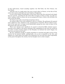of that half-century, heard sounding together: the Old Faith, the New Science, the New Doubt.

And they met at a single point; they met at man's place in Nature, at the idea of God, and in that system of thought and creed which is Christianity.

It was at this sublime meeting-place of the Great Three that this untrained and simple lad soon arrived—searching for the truth. Here he began to listen to them, one after another: reading a little in science (he was not prepared for that), a little in the old faith, but most in the new doubt.

For this he was ready; toward this he had been driven.

Its earliest effects were soon exhibited in him as a student. He performed all required work, slighted no class, shirked no rule, transgressed no restriction. But he asked no questions of any man now, no longer roved distractedly among the sects, took no share in the discussions rife in his own church.

There were changes more significant: he ceased to attend the Bible students' prayermeeting at the college or the prayer-meeting of the congregation in the town; he would not say grace at those evening suppers of the Disciples; he declined the Lord's Supper; his voice was not heard in the choir.

He was, singularly enough, in regular attendance at morning and night services of the church; but he entered timidly, apologetically, sat as near as possible to the door, and slipped out a little before the people were dismissed: his eyes had been fixed respectfully on his pastor throughout the sermon, but his thoughts were in other temples.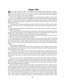### Chapter *HII*

 $\sigma$  he session reached its close. The students were scattered far among the villages, farms, cities of many states — some never to return, having passed from the life of a school into the school of life; some, before vacation ended, gone with their laughter and vigor into the silence of the better Teacher.

Over at the dormitory the annual breaking-up of the little band of Bible students had, as always, been affecting. Calm, cool, bright day of June! when the entire poor tenement house was fragrant with flowers brought from commencement; when a south wind sent ripples over the campus grass; and outside the campus, across the street, the yards were glowing with roses.

Oh, the roses of those young days, how sweet, how sweet they were! How much sweeter now after the long, cruel, evil suffering years which have passed and gone since they faded!

The students were dispersed, and David sat at his table by his open window, writing to his father and mother.

After telling them he had stood well in his classes, and giving some descriptions of the closing days and ceremonies of the college, for he knew how interested they would be in reading about these things, he announced that he was not coming home.

He enclosed a part of the funds still on hand, and requested his father to hire a man in his place to work on the farm during the summer.

He said nothing of his doubts and troubles, but gave as the reason of his remaining away what indeed the reason was: that he wished to study during the vacation; it was the best chance he had ever had, perhaps would ever have; and it was of the utmost importance to him to settle a great many questions before the next session of the Bible College opened.

His expenses would be small.

He had made arrangements with the wife of the janitor to take charge of his room and his washing and to give him his meals: his room itself would not cost him anything, and he did not need any more clothes.

It was hard to stay away from them. Not until separated had he realized how dear they were to him. He could not bear even to write about all that. And he was homesick for the sight of the farm — the horses and cows and sheep — and for the sight of Captain. But he must remain where he was; what he had to do must be done quickly—a great duty was involved.

And they must write to him oftener because he would need their letters, their love, more than ever now. And so God keep them in health and bless them. And he was their grateful son, who too often had been a care to them, who could never forget the sacrifices they had made to send him to college, and whose only wish was that he might not cause them any disappointment in the future.

This letter drew a quick reply from his father. He returned the money, saying that he had done better on the farm than he had expected and did not need it, and that he had a man employed, his former slave. Sorry as they were not to see him that summer, still they were glad of his desire to study through vacation. His own life had not been very successful; he had tried hard, but had failed. For a longtime now he had been accepting the failure as best he could. But compensation for all this were the new interests, hopes, ambitions, which centered in the life of his son. To see him a minister, a religious leader among men — that would be happiness enough for him. His family had always been a reli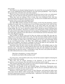gious people.

One thing he was already looking forward to: he wanted his son to preach his first sermon in the neighborhood church founded by the lad's great-grandfather — that would be the proudest hour of his life and in the lad's mother's.

There were times in the past when perhaps he had been hard on him, not understanding him; this only made his wish the greater to aid him now in every way, at any cost.

When they were not talking of him at home, they were thinking of him. And they blessed God that He had given them such a son. Let him not be troubled about the future; they knew that he would never disappoint them.

David sat long immovable before that letter.

One other Bible student remained. On the campus, not far from the dormitory, stood a building of a single story, of several rooms. In one of these rooms there lived, with his family, that tall, gaunt, shaggy, middle-aged man, in his shiny black coat and paper collars, without any cravats, who had been the lad's gentle monitor on the morning of his entering college. He, too, was to spend the summer there, having no means of getting away with his wife and children. Though he sometimes went off himself, to hold meetings where he could and for what might be paid him; now preaching and baptizing in the mountains; now back again, laboring in his shirt-sleeves at the Pentateuch and the elementary structure of the English language.

Such troubles as David's were not for him; nor science nor doubt. His own age contained him as a green field might hold a rock. Not that this kind, faithful, helpful soul was a lifeless stone; but that he was as unresponsive to the movements of his time as a boulder is to the energies of a field. Alive in his own sublime way he was, and inextricably rooted in one ever-living book alone — the Bible. This middle-aged, childlike man, settled near David as his neighbor, was forever a reminder to him of the faith he once had had—the faith of his earliest youth, the faith of his father and mother.

Sometimes when the day's work was done and the sober, still twilights came on, this reverent soul, sitting with his family gathered about him near the threshold of his single homeless room—his oldest boy standing beside his chair, his wife holding in her lap the sleeping babe she had just nursed—would begin to sing. The son's voice joined the father's; the wife's followed the son's, in their usual hymn:

"How firm a foundation, ye saints of the Lord, Is laid for your faith in His excellent word."

Up in his room, a few hundred yards away, the lad that moment might be trimming his lamp for a little more reading.

More than once he waited, listening in the darkness, to the reliant music of the stalwart, stern old poem. How devotedly he too had been used to sing it!

That summer through, then, he kept on at the work of trying to settle things before college reopened—things which involved a great duty.

Where the new thought of the age attacked dogma, Revelation, Christianity most, there most he read. He was not the only reader. He was one of a multitude which no man could know or number; for many read in secret.

Ministers of the Gospel read in secret in their libraries, and locked the books away when their church officers called unexpectedly. On Sunday, mounting their pulpits, they preached impassioned sermons concerning faith — addressed to the doubts ravaging their own convictions and consciences.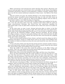Elders and deacons read and kept the matter hid from their pastors. Physicians and lawyers read and spoke not a word to their wives and children. In the church, from highest ecclesiastic and layman, wherever in the professions a religious, scientific, scholarly mind, there was felt the central intellectual commotion of those years — the Battle of the Great Three.

And now summer was gone, the students flocking in, the session beginning. David reentered his classes. Inwardly he drew back from this step; yet, take any other, throw up the whole matter — that he could not do. With all his lifelong religious sense he held on to the former realities, even while his grasp was loosening.

But this could not endure. University life as a Bible student and candidate for the ministry, every day and many times every day, required of him duties which he could not longer conscientiously discharge; they forced from him expressions regarding his faith which made it only too plain both to himself and to others how much out of place he now was.

So the crisis came, as come it must. Autumn had given place to winter, to the first snows, thawing during the day, freezing at night. The roofs of the town were partly brown, partly white; icicles hung lengthening from the eaves. It was the date on which the university closed for the Christmas holidays — Friday afternoon preceding. All day through the college corridors, or along the snow-paths leading to the town, there had been the glad noises of that wild riotous time: whistle and song and shout and hurrying feet, gripping hands, good wishes and good-bys.

One by one the sounds had grown fewer, fainter, and had ceased; the college was left in emptiness and silence, except in a single lecture room in one corner of the building, from the windows of which you looked out across the town and toward the west; there the scene took place.

It was at the door of this room that the lad, having paused a moment outside to draw a deep, quivering breath, knocked, and being told to come in, entered, closed the door behind him, and sat down white and trembling in the nearest chair.

About the middle of the room were seated the professors of the Bible College and his pastor. They rose, and calling him forward shook hands with him kindly, sorrowfully, and pointed to a seat before them, resuming their own.

Before them, then, sat the lad, facing the wintry light; and there was a long silence.

Every one knew beforehand what the result would be. It was the best part of a year since that first interview in the pastor's study; there had been other interviews — with the pastor, with the professors. They had done what they could to check him, to bring him back. They had long been counselors; now in duty they were authorities, sitting to hear him finally to the end, that they might pronounce sentence: that would be the severance of his connection with the university and his expulsion from the church.

Old, old scene in the history of Man—the trial of his Doubt by his Faith: strange day of judgment, when one half of the human spirit arraigns and condemns the other half.

Only five persons sat in that room — four men and a boy. The room was of four bare walls and a blackboard, with perhaps a map or two of Palestine, Egypt, and the Roman Empire in the time of Paul. The era was the winter of the year 1868, the place was an old town of the Anglo-Saxon backwoodsmen, on the blue-grass highlands of Kentucky.

But in how many other places has that scene been enacted, before what other audiences of the accusing and the accused, under what laws of trial, with what degrees and rigors of judgment! Behind David, sitting solitary there in the flesh, the imagination beheld a throng so countless as to have been summoned and controlled by the deep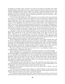arraigning eye of Dante alone. Unawares, he stood at the head of an invisible host, which stretched backward through time till it could be traced no farther. Witnesses all to that sublime, indispensable part of man which is his Doubt — Doubt respecting his origin, his meaning, his Maker, and his destiny. That perpetual half-night of his planet-mind — that shadowed side of his orbit-life — forever attracted and held in place by the force of Deity, but destined never to receive its light.

Yet from that chill, bleak side, what things have not reached round and caught the sun! And as of the Earth's plants, some grow best and are sweetest in darkness; what strange blossoms of faith open and are fragrant in that eternal umbra! Sacred, sacred Doubt of Man. His agony, his searching! which has led him always onward from more ignorance to less ignorance, from less truth to more truth; which is the inspiration of his mind, the sorrow of his heart; which has spoken everywhere in his science, philosophy, literature, art — in his religion itself; which keeps him humble, not vain, changing not immutable, charitable not bigoted; which attempts to solve the universe and knows that it does not solve it, but ever seeks to trace law, to clarify reason, and so to find whatever truth it can.

As David sat before his professors and his pastor, it was one of the moments that sum up civilization. Across the room, behind them also, what a throng! Over on that side was Faith, that radiant part of the soul which directly basks in the light of God, the sun. There, visible to the eye of imagination, were those of all times, places, and races, who have sat in judgment on doubters, actual or suspected. In whatsoever else differing, united in this: that they have always held themselves to be divinely appointed agents of the Judge of all the earth: His creatures chosen to punish His creatures.

And so behind those professors, away back in history, were ranged Catholic popes and Protestant archbishops, and kings and queens, Protestant and Catholic, and great mediaeval jurists, and mailed knights and palm-bearing soldiers of the cross, and holy inquisitors drowning poor old bewildered women, tearing living flesh from flesh as paper, crushing bones like glass, burning the shrieking human body to cinders: this in the name of a Christ whose Gospel was mercy, and by the authority of a God whose law was love.

They were all there, tier after tier, row above row, a vast shadowy coliseum of intent judicial faces — Defenders of the Faith.

But no inquisitor was in this room now, nor punitive intention, nor unkind thought.

Slowly throughout the emerging life of man this identical trial has gained steadily in charity and mildness. Looking backward over his long pathway through bordering mysteries, man himself has been brought to see, time and again, that what was his doubt was his ignorance; what was his faith was his error; that things rejected have become believed, and that things believed have become rejected; that both his doubt and his faith are the temporary condition of his knowledge, which is ever growing; and that rend him faith and doubt ever will, but destroy him, never.

No Smithfield fire, then, no Jesuitical rack, no cup of hemlock, no thumb-screw, no torture of any kind for David. Still, here was a duty to be done, an awful responsibility to be discharged in sorrow and with prayer; and grave good men they were.

Blameless was this lad in all their eyes save in his doubt. But to doubt — was not that the greatest of sins?

The lad soon grew composed. These judges were still his friends, not his masters. His masters were the writers of the books in which he believed, and he spoke for them, for what he believed to be the truth, so far as man had learned it.

The conference lasted through that short winter afternoon. In all that he said the lad showed that he was full of many confusing voices: the voices of the new science, the voices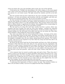of the new doubt. One voice only had fallen silent in him: the voice of the old faith.

It had grown late. Twilight was descending on the white campus, on the snow-capped town. Away in the west, beyond the clustered house- tops, there had formed itself the solemn picture of a red winter sunset. The light entered the windows and fell on the lad's face.

One last question had just been asked him by the most venerable and beloved of his professors — in tones awe-stricken, and tremulous with his own humility, and with compassion for the erring boy before him: "Do you not even believe in God?"

Ah, that question! which shuts the gates of consciousness upon us when we enter sleep, and sits close outside our eyelids as we waken; which was framed in us ere we were born, which comes fullest to life in us as life itself ebbs fastest. That question which exacts of the finite to affirm whether it apprehends the Infinite, that prodding of the evening midge for its opinion of the polar star. "Do you not even believe in God?"

The lad stood up, he whose life until these months had been a prayer, whose very slumbers had been worship. He stood up, from some impulse — perhaps the respectful habit of rising when addressed in class by this professor. At first he made no reply, but remained looking over the still heads of his elders into that low red sunset sky. How often had he beheld it, when feeding the stock at frozen twilights.

One vision rose before him now of his boyhood life at home — his hopes of the ministry — the hemp fields where he had toiled — his father and mother waiting before the embers this moment, mindful of him. He recalled how often, in the last year, he had sat upon his bedside at midnight when all were asleep, asking himself that question: "Do I believe in God?" And now he was required to lay bare what his young soul had been able to do with that eternal mystery.

He thrust his big coarse hand into his breast-pocket and drew out a little red morocco Testament which had been given him when he was received into the congregation. He opened it at a place where it seemed used to lie apart. He held it before his face, but could not read. At last, controlling himself, he said to them with dignity, and with the common honesty which was the life of him, "I will read you a line which is the best answer I can give just now to your last question." And so he read: "Lord, I believe; help Thou my unbelief!"

A few moments later he turned to another page and said to them: "These lines also I desire to read to you who believe in Christ and believe that Christ and God are one. I may not understand them, but I have thought of them a great deal: 'if any man hear my words and believe not, I judge him not: for I came not to judge the world but to save the world. He that rejecteth me and receiveth not my words, hath one that judgeth him: the word that I have spoken, the same shall judge him in the last day.'"

He shut his Testament and put it back into his pocket and looked at his judges.

"I understand this declaration of Christ to mean," he said, "that whether I believe in Him or do not believe in Him, I am not to be judged till God's Day of Judgment."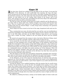# Chapter IX

A few days later, David was walking across the fields on his way home. It was past the middle of the afternoon. At early candle-light that morning, the huge red stagecoach, leaving town for his distant part of the country, had rolled, creaking and rattling, to the dormitory entrance, the same stage that had conveyed him thither. Throwing up his window, he had looked out at the curling white breath of the horses, and at the driver, who, buried in coats and rugs, and holding the lash of his whip in his mittened fist, peered up and called out with no uncertain temper.

The lad was ready. He hastily carried down the family umbrella and the Brussels carpet valise with its copious pink roses, looking strangely out of season amid all that hoar frost. Then he leaped back upstairs for something which had been added to his worldly goods since he entered college—a small, cheap trunk, containing a few garments and the priceless books.

These things the driver stored in the boot of the stage, bespattered with mud now frozen.

Then, running back once more, the lad seized his coat and hat, cast one troubled glance around the meaningless room which had been the theatre of such a drama in his life, went over to the little table, and blew out his Bible Student's lamp forever; and hurrying down with a cordial "all ready," climbed to the seat beside the driver and was whirled away.

He turned as he passed from the campus to take a last look at Morrison College, standing back there on the hill, venerable, majestic, tight-closed, its fires put out.

As he crossed the city (for there were passengers to be picked up and the mail-bag to be gotten), he took unspoken leave of many other places: of the bookstore where he had bought the masterpieces of his masters; of the little Italian apple-man — who would never again have so simple a customer for his slightly damaged fruit; of several tall, proud, wellfrosted church spires now turning rosy in the sunrise; of a big, handsome house standing in a fashionable street, with black coal smoke pouring out of the chimneys. There the friends of his boyhood "boarded"; there they were now, asleep in luxurious beds, or gone away for the holidays, he knew not which: all he did know was that they were gone far away from him along life's other pathways.

Soon the shops on each side were succeeded by homesteads; gradually these stood farther apart as farm-houses set back from the highroad; the street had become a turnpike, they were in open country and the lad was on his way to his father and mother.

In the afternoon, at one of the stops for watering horses, he had his traps and trappings put out. From this place a mud road wound across the country to his neighborhood; and at a point some two miles distant, a pair of bars tapped it as an outlet and inlet for the travel on his father's land.

Leaving his things at the roadside farmhouse with the promise that he would return for them, the lad struck out—not by the lane, but straight across country. It was a mild winter day without wind, without character—one of the days on which Nature seems to take no interest in herself and creates no interest in others. The sky was overcrowded with low, ragged clouds, without discernible order or direction. Nowhere a yellow sunbeam glinting on any object, but vast jets of misty radiance shot downward in far-diverging lines toward the world: as though above the clouds were piled the waters of light and this were scant escaping spray.

He walked on, climbing the fences, coming on the familiar sights of winter woods and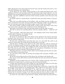fields. Having been away from them for the first time and that during more than a year, with what feelings he now beheld them!

Crows about the corn shocks, flying leisurely to the stake-and-ridered fence: there alighting with their tails pointing toward him and their heads turned sideways over one shoulder; but soon presenting their breasts, seeing he did not hunt. The solitary caw of one of them — that thin, indifferent comment of their sentinel, perched on the silver-gray twig of a sycamore.

In another field the startled flutter of field larks from pale-yellow bushes of ground apple.

Some boys out rabbit-hunting in the holidays, with red cheeks and gay woollen comforters around their hot necks and jeans jackets full of Spanish needles: one shouldering a gun, one carrying a game-bag, one eating an apple: a pack of dogs and no rabbit.

The winter brooks, trickling through banks of frozen grass and broken reeds; their clear brown water sometimes open, sometimes covered with figured ice.

Red cattle in one distant wood, moving tender-footed around the edge of a pond.

The fall of a forest tree sounding distinct amid the reigning stillness — felled for cord wood.

And in one field—right there before him!—the chopping sound of busy hemp brakes and the sight of Negroes, one singing a hymn.

Oh, the memories, the memories!

By and by he reached the edge of his father's land, climbed to the topmost rail of the boundary fence and sat there, his eyes glued to the whole scene. It lay outspread before him, the entirety of that farm.

He had never realized before how little there was of it, how little! He could see all around it, except where the woods hid the division fence on one side.

And the house, standing in the still air of the winter afternoon, with its rotting roof and low red chimneys partly obscured by scraggy cedars — how small it had become! How poor, how wretched everything—the woodpile, the cabin, the hen-house, the ice-house, the barn! Was this any part of the great world? It was one picture of desolation, the creeping paralysis of a house and farm. Did anything even move?

Something did move. A column of blue smoke moved straight and thin from the chimney of his father's and mother's room.

In a far corner of the stable lot, pawing and nozzling some remnants of fodder, were the old horses.

By the hay-rick he discovered one of the sheep, the rest being on the farther side.

The cows by and by filed slowly around from behind the barn and entered the doorless milking stalls.

Suddenly his dog emerged from one of those stalls, trotting cautiously, then with a playful burst of speed went in a streak across the lot toward the kitchen.

A Negro man issued from the cabin, picked out a log, knocked the ashes out of his pipe in the palm of his hand, and began to cut the firewood for the night.

All this did not occur at once: he had been sitting there a long time — heart-sick with the thought of the tragedy he was bringing home. How could he ever meet them, ever tell them? How would they ever understand? If he could only say to his father: "I have sinned and I have broken your heart: but forgive me." But he could not say this: he did not believe that he had done wrong. Yet all that he would now have to show in their eyes would be the year of his wasted life, and a trunk full of the books that had ruined him.

Ah, those two years before he had started to college, during which they had lived hap-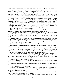pily together! Their pride in him! their self- denial, affection — all because he was to be a scholar and a minister! He fancied he could see them as they sat in the house this moment, not dreaming he was anywhere near. One on each side of the fireplace; his mother wearing her black dress and purple shawl: a ball of yarn and perhaps a tea-cake in her lap; some knitting on her needles; she knit, she never mended. But his father would be mending — leather perhaps, and sewing, as he liked to sew, with hog bristles — the beeswax and the awls lying in the bottom of a chair drawn to his side.

There would be no noises in the room otherwise: he could hear the stewing of the sap in the end of a fagot, the ticking of one clock, the fainter ticking of another in the adjoining room, like a disordered echo. They would not be talking; they would be thinking of him.

He shut his eyes, compressed his lips, shook his head resolutely, and leaped down. He had gone about twenty yards, when he heard a quick, incredulous bark down by the house and his dog appeared in full view, looking up that way, motionless. Then he came on running and barking resentfully, and a short distance off stopped again.

"Captain," he called with a quivering voice.

With ears laid back and one cry of joy the dog was on him. The lad stooped and drew him close. Neither at that moment had any articulate speech, nor needed it.

As soon as he was released, the dog, after several leaps toward his face, was off in despair either of expressing or of containing his joy, to tell the news at the house.

David laggingly followed. As he stepped upon the porch, piled against the wall beside the door were fagots as he used to see them.

When he reached the door itself, he stopped, gazing foolishly at those fagots, at the little gray lichens on them: he could not knock, he could not turn the knob without knocking.

But his step had been heard. His mother opened the door and peered curiously out.

"Why, it's Davy!" she cried. "Davy! Davy!"

She dropped her knitting and threw her arms around him.

"David! David!" exclaimed his father, with a glad proud voice inside. "Why, my son, my son!"

"Ah, he's sick — he's come home sick!" cried the mother, holding him a little way off to look at his face. "Ah! the poor fellow's sick! Come in, come in. And this is why we had no letter! And to think yesterday was Christmas Day! And we had the pies and the turkey!"

"My son, are you unwell—have you been unwell? Sit here, lie here."

The lad's face was overspread with ghastly pallor; he had lost control of himself. "I have not been sick. I am perfectly well," he said at length, looking from one to the other with forlorn, remorseful affection. They had drawn a chair close, one on each side of him. "How are you, mother? How are you, father?"

The change in *him*! That was all they saw.

As soon as he spoke, they knew he was in good health. Then the trouble was something else, more terrible.

The mother took refuge in silence as a woman instinctively does at such times. The father sought relief in speech.

"What is the matter? What happened?"

After a moment of horrible silence, David spoke: "Ah, father! How can I ever tell you!"

"How can you ever tell me?" The rising anger mingled with distrust and fear in those words! How many a father knows!

"Oh, what is it!" cried his mother, wringing her hands, and bursting into tears. She rose and went to her seat under the mantelpiece.

"What have you done?" said his father, also rising and going back to his seat. There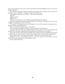was a new sternness in his voice; but the look which returned suddenly to his eyes was the old life-long look.

The lad sat watching his father, dazed by the tragedy he was facing. "It is my duty to tell you as soon as possible—I suppose I ought to tell you now."

"Then speak — why do you sit there —" the words choked him.

"Oh! oh!"

"Mother, don't!"

"What is it?"

"Father, I have been put out of college and expelled from the church."

How loud sounded the minute noises of the fire — the clocks — the blows of an axe at the woodpile—the lowing of a cow at the barn.

"*For what*?" The question was put at length in a voice flat and dead. It summed up a lifetime of failure and admitted it.

After an interval it was put again: "*For what*?"

"I do not believe the Bible any longer. I do not believe in Christianity."

"Oh, don't do *that*!" The cry proceeded from David's mother, who crossed quickly and sat beside her husband, holding his hand, perhaps not knowing her own motive.

This, then, was the end of hope and pride, the reward of years of self-denial, the insult to all this poverty. For the time, even the awful nature of his avowal made no impression.

After a long silence, the father asked feebly, "Why have you come back here?"

Suddenly he rose, and striding across to his son, struck him one blow with his mind: "*Oh, I always knew there was nothing in you!*"

It was a kick of the foot.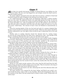# Chapter X

**for** ore than two months had passed. Twilight of closing February was falling over the frozen fields. The last crow had flapped low and straight toward the black wood beyond the southern horizon.

No sunset radiance streamed across the wide land, for all day a solitude of cloud had stretched around the earth, bringing on the darkness now before its time.

In a small hemp field on an edge of the vast Kentucky table-land, a solitary breaker kept on at his work. The splintered shards were piled high against his brake: he had not paused to clear them out of his way except around his bootlegs. Near by, the remnant of the shock had fallen over, clods of mingled frost and soil still sticking to the level buttends. Several yards to windward, where the dust and refuse might not settle on it, lay the pile of gray- tailed hemp — the coarsest of man's work, but finished as conscientiously as an art.

From the warming depths of this rose the head and neck of a common shepherd dog, his face turned uneasily but patiently toward the worker. Whatever that master should do, whether understood or not, was right to him; he did not ask to understand, but to love and to serve.

Farther away in another direction leaned the charred rind of a rotting stump. At intervals the rising wind blew the ashes away, exposing live coals—that fireside of the laborer, wandering with him from spot to spot over the bitter lonely spaces.

The hemp breaker had just gone to the shock and torn away another armful, dragging the rest down. Exhausting to the picked and powerful, the work seemed easy to him; for he was a young man of the greatest size and strength, molded in the proportions which Nature often chooses for her children of the soil among that people.

Striding rapidly back to his brake, the clumsy five-slatted device of the pioneer Kentuckians, he raised the handle and threw the armful of stalks crosswise between the upper and the lower blades. Then, swinging the handle high, with his body wrenched violently forward and the strength of his good right arm put forth, he brought it down. The *crash*, *crash*, *crash* could have been heard far through the still air; for it is the office of those dull blades to hack their way as through a bundle of dead rods.

A little later he stopped abruptly, with silent inquiry turning his face to the sky: a raindrop had fallen on his hand. Two or three drops struck his face as he waited.

It had been very cold that morning, too cold for him to come out to work. Though by noon it had moderated, it was cold still; but out of the warmer currents of the upper atmosphere, which was now the noiseless theatre of great changes going forward unshared as yet by the strata below, sank these icy globules of the winter rain. Their usual law is to freeze during descent into the crystals of snow; rarely they harden after they fall, covering the earth with sleet.

David, by a few quick circular motions of the wrist, freed his left hand from the halfbroken hemp, leaving the bundle trailing across the brake. Then he hurried to the heap of well-cleaned fiber: that must not be allowed to get wet.

The dog leaped out and stood to one side, welcoming the end of the afternoon labor and the idea of returning home.

Not many minutes were required for the hasty baling, and David soon rested a moment beside his hemp, ready to lift it to his shoulders. But he felt disappointed. There lay the remnant of the shock. He had worked hard to finish it before sunset. Would there not still be time?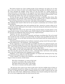The field occupied one of the swelling knolls of the landscape; his brake was set this day on the very crown of a hill. As he asked himself that question, he lifted his eyes and, far away through the twilight, lower down, he saw the flash of a candle already being carried about in the kitchen. At the opposite end of the house the glow of firelight fell on the window panes of his father's and mother's room. Even while he observed this, it was intercepted: his mother thus early was closing the shutters for the night.

Too late! He gave up the thought of finishing his shock, recollecting other duties. But he remained in his attitude a few moments; for the workman has a curious unconscious habit of taking a final survey of the scene of his labor before quitting it.

David now glanced first up at the sky, with dubious forethought of tomorrow's weather. The raindrops had ceased to fall, but he was too good a countryman not to foresee unsettled conditions.

The dog, standing before him and watching his face, uttered an uneasy whine as he noted that question addressed to the clouds: at intervals during the afternoon he had been asking his question also.

Then those live coals in the rind of the stump and the danger of sparks blown to the hemp herds or brake, or fence farther away: David walked over and stamped them out. As he returned, he fondled the dog's head in his big, roughened hand.

"Captain," he said, "are you hungry?"

All at once he was attracted by a spectacle and forgot everything else. For as he stood there beside his bale of hemp in the dead fields, his throat and eyes filled with dust, the dust all over him, low on the dark red horizon there had formed itself the solemn picture of a winter sunset.

Amid the gathering darkness the workman remained, gazing toward that great light into the stillness of it—the loneliness—the eternal peace.

On his rugged face an answering light was kindled, the glory of a spiritual passion, the flame of immortal things alive in his soul. More akin to him seemed that beacon fire of the sky — more nearly his real pathway home appeared that distant road and gateway to the Infinite — than the flickering, near house-taper in the valley below.

Once before, on the most memorable day of his life, David had beheld a winter sunset like that; but then across the roofs of a town — roofs half white, half brown with melting snow, and with lengthening icicles dripping in the twilight.

Suddenly, as if to shut out troubled thoughts, he stooped and, throwing his big, long arms about the hemp, lifted it to his shoulder.

"Come, Captain," he called to his companion, and stalked heavily away. As he went, he began to hum an ancient, sturdy hymn:

How firm a foundation, ye saints of the Lord, Is laid for your faith in His excellent Word. The flame shall not hurt thee; I only design Thy dross to consume and thy gold to refine.

 He had once been used to love those words and to feel the rocklike basis of them as fixed unshakably beneath the rolling sea of the music; now he sang the melody only. A little later, as though he had no right to indulge himself even in this, it died on the air; and only the noise of his thick, stiffened boots could have been heard crushing the frozen stubble, as he went staggering under his load toward the barn.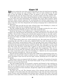#### Chapter XI

When he reached the worn fence of the hemp field, he threw his load from his shoulder upon the topmost rail, and, holding it there with one hand, climbed over. He had now to cross the stable lot. Midway of this, he passed a rick of hay. Huddled under the sheltered side were the sheep of the farm, several in number and of the common sort.

 At the sight of him, they always bleated familiarly, but this evening their long, quavering, gray notes were more penetrating, more insistent than usual. These sensitive, gentle creatures, whose instincts represent the accumulating and inherited experiences of age upon age of direct contact with nature, run far ahead of us in our forecasting wisdom; and many a time they utter their disquietude and warning in language that is understood only by themselves.

The scant flock now fell into the wake of David, their voices blending in a chorus of meek elegiacs, their fore feet crowding close upon his heels.

The dog, yielding his place, fell into their wake, as though covering the rear; and so this little procession of friends moved in a close body toward the barn.

David put his hemp in the saddle-house; a separate hemp-house they were not rich enough to own. He had chosen this particular part of the barn because it was driest in roof and floor. Several bales of hemp were already piled against the logs on one side; and besides these, the room contained the harness, the cart and the wagon gear, the box of tar, his maul and wedges, his saddle and bridle, and sundry implements used in the garden or on the farm.

It was almost dark in there now, and he groped his way. The small estate of his father, comprising only some fifty or sixty acres, supported little live stock: the sheep just mentioned, a few horses, several head of cattle, a sow and pigs. Every soul of these inside or outside the barn that evening had been waiting for David. They had begun to think of him and call for him long before he had quit work in the field. Now, although it was not much later than usual, the heavy cloud made it appear so; and all these creatures, like ourselves, are deceived by appearances and suffer greatly from imagination. They now believed that it was far past the customary time for him to appear, that they were nearing the verge of starvation; and so they were bewailing in a dejected way his unaccountable absence and their miserable lot — with no one to listen.

Scarcely had the rattling of the iron latch of the saddle-house apprised them of his arrival before every dumb brute— dumb, as dumb men say — experienced a cheerful change of mind, and began to pour into his ears the eager, earnest, gratifying tale of its rights and its wrongs.

What honest voices as compared with the human—sometimes. No question of sincerity could have been raised by any one who heard them speak. It may not have been music; but every note of it was God's truth.

The man laughed heartily as he paused a moment and listened to that rejoicing uproar. But he was touched, also. To them he was the answerer of prayer. Not one believed that he ever refused to succor in time of need, or turned a deaf ear to supplication. If he made poor provision for them sometimes, though they might not feel satisfied, they never turned against him.

The barn was very old. The chemical action of the elements had first rotted away the shingles at the points where the nails pinned them to the roof; and, thus loosened, the winds of many years had dislodged and scattered them. Through these holes, rain could penetrate to the stalls of the horses, so that often they would get up mired and stiff and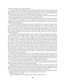shivering; but they never reproached him.

On the northern side of the barn the weather-boarding was quite gone in places, and the wind blew freely in. Of winter mornings the backs of the cows would sometimes be flecked with snow, or this being stubbornly melted by their own heat, their hides would be hung with dew-drops: they never attributed that fact to him as a cruelty.

In the whole stable there was not one critic of his providence: all were of the household of faith: the members being in good standing and full fellowship.

Remembrance of this lay much in his mind whenever, as often, he contrasted his association with his poor animals, and the troublous problem of faith in his own soul. It weighed with especial heaviness upon his heart, this nightfall in the barn, over which hung that threatening sky.

Do what he could for their comfort, it must be insufficient in a rotting, windswept shelter like that. And here came the pinch of conscience, the wrench of remorse: the small sums of money which his father and mother had saved up at such a sacrifice on the farm — the money which he had spent lavishly on himself in preparation, as he had supposed, for his high calling in life — if but a small part of that had been applied to the roof and weather-boarding of the stable, the stock this night might have been housed in warmth and safety.

The feeding and bedding attended to, with a basket of cobs in his hand for his mother, he hurried away to the woodpile. This was in the yard near the Negro cabin and a hundred yards or more from the house. There he began to cut and split the wood for the fires that night and for next morning. Three lengths of this: first, for the grate in his father's and mother's room—the best to be found among the logs of the woodpile: good dry hickory for its ready blaze and rousing heat; to be mixed with seasoned oak, lest it burn out too quickly — an expensive wood; and perhaps also with some white ash from a tree he had felled in the autumn. Then sundry back-logs and knots of black walnut for the cabin of the two Negro women (there being no sense of the value of this wood in the land in those days, nearly all of it going to the cabins, to the kitchens, to cord-wood, or to the fences of the farm; while the stumps were often grubbed up and burned on the spot). Then fuel of this same sort for the kitchen stove. Next, two or three big armfuls of very short sticks for the small grate in his own small room above stairs — a little more than usual, with the idea that he might wish to sit up late.

There was scarce light enough to go by. He picked his logs from the general pile by the feel of the bark; and having set his foot on each, to hold it in place while he chopped, he struck rather by habit than by sight. Loud and rapid the strokes resounded; for he went at it with a youthful will, and with hunger gnawing him; and though his arms were stiff and tired, the axe to him was always a plaything — a plaything that he loved.

At last, from under the henhouse near by he drew out and split some pieces of kindling, and then stored his axe in that dry place with fresh concern about soft weather: for more raindrops were falling and the wind was rising.

Stooping down now, he piled the fagots in the hollow of his arm, till the wood rose cold and damp against his hot neck, against his ear, and carried first some to the kitchen; and then some to the side porch of the house, where he arranged it carefully against the wall, close to the door, and conveniently for a hand reaching outward from within.

As he was heaping up the last of it, having taken three turns to the woodpile, the door was opened slowly, and a slight, slender woman peered around at him.

"What makes you so late?"

Her tone betrayed minute curiosity rather than any large concern.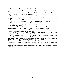"I wanted to finish a shock, mother. But it isn't much later than usual; it's the clouds. Here's some good kindling for you in the morning and a basket of cobs," he added tenderly.

She received in silence the feed basket he held out to her, and watched him as he kneeled, busily piling up the last of the fagots.

"I hope you haven't cut any more of that green oak; your father couldn't keep warm."

"This is hickory, dead hickory, with some seasoned oak. Father'll have to take his coat off and you'll have to get a fan."

There was a moment of silence.

"Supper's over," she said simply. She held in one hand a partly eaten biscuit.

"I'll be in soon now. I've nothing to do but kindle my fire."

After another short interval she asked: "Is it going to snow?"

"It's going to do something."

She stepped slowly back into the warm room and closed the door. David hurried to the woodpile and carried the sticks for his own grate upstairs, making two trips of it.

The stairway was dark; his room dark and damp, and filled with the smell of farm boots and working clothes left wet in the closets.

Groping his way to the mantelpiece, he struck a sulphur match, lighted a half-burned candle, and, kneeling down, began to kindle his fire.

As it started and spread, little by little it brought out of the cheerless darkness all the features of the rough, homely, kind face, bent over and watching it so impatiently and yet half absently. It gave definition to the shapeless black hat, around the brim of which still hung filaments of tow, in the folds of which lay white splinters of hemp stalk. There was the dust of field and barn on the edges of the thick hair about the ears; dust around the eyes and the nostrils. He was resting on one knee; over the other his hands were crossed — enormous, powerful, coarsened hands, the skin so frayed and chapped that around the finger-nails and along the cracks here and there a little blood had oozed out and dried.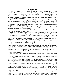# Chapter XII

When David came down to his supper, all traces of the day's labor that were removable had disappeared. He was clean; and his working clothes had been laid aside for the cheap black-cloth suit, which he had been used to wear on Sundays while he was a student. Grave, gentle, looking tired but looking happy, with his big shock head of hair and a face rugged and majestic like a youthful Beethoven. A kind mouth, most of all, and an eye of wonderfully deep intelligence.

The narrow, uncarpeted stairway down which he had noisily twisted his enormous figure, with some amusement, as always, had brought him to the dining room. This was situated between the kitchen and his father's and mother's bedroom. The door of each of these stood ajar, and some of the warmth of the stove on one side and of the grate on the other dried and tempered the atmosphere.

His mother sat in her place at the head of the table, quietly waiting for him, and still holding in one hand the partially eaten biscuit.

As he took his seat, she rose, and, walking listlessly to the kitchen door, made a listless request of one of the two Negro women.

When the coffee had been brought in, standing, she poured out a cup, sweetened, stirred, and tasted it, and putting the spoon into it, placed it before him. Then she resumed her seat (and the biscuit) and looked on, occasionally scrutinizing his face, with an expression perhaps the most tragic that can ever be worn by maternal eyes: the expression of a lowly mother who has given birth to a lofty son, and who has neither the power to understand him, nor the grace to realize her own inferiority.

She wore, as usual, a dress of plain mourning, although she had not the slightest occasion to mourn—at least, from the matter of death.

In the throat of this was caught a large, thin, oval-shaped breastpin, containing a plait of her own and her husband's hair, braided together; and through these there ran a silky strand cut from David's head when an infant, and long before the parents discovered how unlike their child was to themselves. This breastpin, with the hair of the three heads of the house intertwined, was the only symbol in all the world of their harmony or union.

Around her shoulders she had thrown, according to her wont, a home-knit crewel shawl of black and purple.

Her hair, thick and straight and pasted down over the temples of her small head, looked like a long-used wig.

Her contracted face seemed to have accumulated the wrinkles of the most drawn-out, careworn life. Yet she was not old; and these were not the lines of care; for her years had been singularly uneventful and—for her—happy. The markings were, perhaps, inherited from the generations of her weather-beaten, toiling, plain ancestors — with the added creases of her own personal habits. For she lived in her house with the regularity and contentment of an insect in a dead log. And few causes age the body faster than such willful indolence and monotony of mind as hers—the mind, that very principle of physical youthfulness. Save only that it can also kill the body ere it age it; either by too great rankness breaking down at once the framework on which it has been reared, or afterward causing this to give way slowly under the fruitage of thoughts, too heavy any longer to be borne.

That from so dark a receptacle as this mother there should have emerged such a child of light, was one of those mysteries that are the perpetual delight of Nature and the despair of Science. This did not seem one of those instances — also a secret of the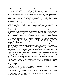great Creatress — in which she produces upon the stem of a common rose a bud of alien splendor. It was as if potter's clay had conceived marble.

The explanation of David did not lie in the fact that such a mother had produced him. One of the truest marks of her small, cold mind was the rigid tyranny exercised over it by its own worthless ideas. Had she not sat beside her son while he ate, had she not denied herself the comfort of the fireside in the adjoining room, in order that she might pour out for him the coffee that was unfit to be drunk, she would have charged herself with being an unfaithful, undutiful mother. But this done, she saw no further, beheld nothing of the neglect, the carelessness, the cruelty, of all the rest, part of which this very moment was outspread beneath her eyes.

For at the foot of the table, where David's father had sat, were two partly eaten dishes: one of spare-rib, one of sausage. The gravy in each had begun to whiten into lard. Plates heaped with cornbread and with biscuit, poorly baked and now cold, were placed on each side. In front of him had been set a pitcher of milk; this rattled, as he poured it, with its own bluish ice.

On all that homely, neglected board one thing only put everything else to shame. A single candle, in a low, brass candlestick in the middle of the table, scarce threw enough light to reveal the scene; but its flame shot deep into the golden, crystalline depths of a jar of honey standing close beside it — honey from the bees in the garden — a scathing but unnoticed rebuke from the food and housekeeping of the bee to the food and housekeeping of the woman.

Work in the hemp fields leaves a man's body calling in every tissue for restoration of its waste. David had hardly taken his seat before his eye swept the prospect before him with savage hope. In him was the hunger, not of toil alone, but of youth still growing to manhood, of absolute health.

Whether he felt any mortification at his mother's indifference is doubtful. Assuredly life-long experience had taught him that nothing better was to be expected from her. How far he had unconsciously grown callous to things as they were at home, there is no telling. Ordinarily we become in such matters what we must; but it is likewise true that the first and last proof of high personal superiority is the native, irrepressible power of the mind to create standards which rise above all experience and surroundings; to carry everywhere with itself, whether it will or not, a blazing, scorching censorship of the facts that offend it.

Regarding the household management of his mother, David at least never murmured; what he secretly felt he alone knew, perhaps not even he, since he was no self-examiner. As to those shortcomings of hers which he could not fail to see, for them he unconsciously showed tenderest compassion. She had indulged so long her sloth even in the operation of thinking, that few ideas now rose from the inner void to disturb the apathetic surface; and she did not hesitate to recur to any one of these any number of times in a conversation with the same person.

"What makes you so late?"

"I wanted to finish a shock. Then there was the feeding, and the wood to cut. And I had to warm my room up a little before I could wash."

"Is it going to snow?"

"It's hard to say. The weather looks very unsettled and threatening. That's one reason why I wanted to finish my shock."

There was silence for a while. David was too ravenous to talk; and his mother's habit was to utter one sentence at a time.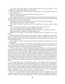"I got three fresh eggs today; one had dropped from the roost and frozen; it was cracked, but it will do for the coffee in the morning."

"Winter must be nearly over if the hens are beginning to lay: *they* know. They must have some fresh nests."

"The cook wants to kill one of the old ones for soup to-morrow."

"What an evil-minded cook!"

It was with his mother only that David showed the new cheerfulness that had begun to manifest itself in him since his return from college. She, however, did not understand the reasons of this and viewed it unfavorably.

"We opened a hole in the last hill of turnips to-day." She spoke with uneasiness.

"There'll be enough to last, I reckon, mother."

"You needn't pack any more chips to the smoke-house: the last meat's smoked enough."

"Very well, then. You shall have every basketful of them for your own fire."

"If you can keep them from the Negroes: Negroes love chips."

"I'll save them while I chop. You shall have them, if I have to catch them as they fly."

His hunger had been satisfied: his spirits began to rise.

"Mother, are you going to eat that piece of biscuit? If not, just hand it over to me, please."

She looked dryly down at the bread in her fingers: humor was denied her—that playfulness of purest reason. David had commenced to collect a plateful of scraps — the most appetizing of the morsels that he himself had not devoured. He rose and went out into the porch to the dog.

"Now, mother," he said, reentering; and with quiet dignity he preceded her into the room adjoining.

His father sat on one side of the fireplace, watching the open door for the entrance of his son. He appeared slightly bent over in his chair. Plainly the days of rough farm-work and exposure were over for him, prematurely aged and housed.

There was about him—about the shape and carriage of the head—in the expression of the eye most of all, perhaps—the not wholly obliterated markings of a thoughtful and powerful breed of men. His appearance suggested that some explanation of David might be traceable in this quarter. For while we know nothing of these deep things, nor ever shall, in the sense that we can supply the proofs of what we conjecture; while Nature goes ever about her ancient work, and we cannot declare that we have ever watched the operations of her fingers, think on we will, and reason we must, amid her otherwise intolerable mysteries. Though we accomplish no more in our philosophy than the poor insect, which momentarily illumines its wandering through the illimitable night by a flash from its own body.

Lost in obscurity, then, as was David's relation to his mother, there seemed some gleams of light discernible in that between father and son. For there are men whom nature seems to make use of to connect their own offspring not with themselves but with earlier sires. They are like sluggish canals running between far-separated oceans — from the deeps of life to the deeps of life, allowing the freighted ships to pass. And no more does the stream understand what moves across its surface than do such commonplace agents comprehend the sons who have sprung from their own loins.

Here, too, is one of Nature's greatest cruelties to the parent. As David's father would not have recognized his remote ancestors if brought face to face, so he did not discover in David the image of them—the reappearance in the world, under different conditions,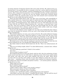of certain elements of character found of old in the stock and line. He could not have understood how it was possible for him to transmit to the boy a nature which he himself did not actively possess. And, therefore, instead of beholding here one of Nature's mysterious returns, after a long period of quiescence, to her suspended activities and the perpetuation of an interrupted type, so that his son was but another strong link of descent joined to himself, a weak one; instead of this, he saw only with constant secret resentment that David was at once unlike him and his superior.

These two had worked side by side, year after year on the farm; such comradeship in labor usually brings into consciousness again the primeval bond of Man against Nature the brotherhood, at least, of the merely human. But while they had mingled their toil, sweat, hopes, and disappointments, their minds had never met. The father had never felt at home with his son; David, without knowing why—and many a sorrowful hour it had cost him — had never accepted as father the man who had brought him into the world. Each soon perceived that a distance separated them which neither could cross, though vainly both should try, and often both did try, to cross it.

As he sat in the chimney-corner tonight, his very look as he watched the door made it clear that he dreaded the entrance of his son; and to this feeling had lately been added deeper estrangement.

When David walked in, he took a seat in front of the fire. His mother followed, bringing the sugar-bowl and the honey, which she locked in a closet in the wall: the iron in her blood was parsimony. Then she seated herself under the mantelpiece on the opposite side and looked silently across at the face of her husband. (She was his second wife. His offspring by his first wife had died young. David was the only child of mature parents.)

She looked across at him with the complacent expression of the wife who feels that she and her husband are one, even though their offspring may not be of them.

The father looked at David; David looked into the fire. There was embarrassment all round.

"How are you feeling tonight, father?" he asked affectionately, a moment later, without lifting his eyes.

"I've been suffering a good deal. I think it's the weather."

"I'm sorry."

"Do you think it's going to snow?"

The husband had lived so long and closely with his wife, that the mechanism of their minds moved much like the two wall-clocks in adjoining rooms of the house; which ticked and struck, year after year, never quite together and never far apart. When David was first with one and then with another, he was often obliged to answer the same questions twice — sometimes thrice, since his mother alone required two identical responses. He replied now with his invariable and patient courtesy — yet scarcely patient, inasmuch as this did not try him.

"What made you so late?"

David explained again.

"How much hemp did you break?"

"I didn't weigh it, father. Fifty or sixty pounds, perhaps."

"How many more shocks are there in the field?"

"Twelve or fifteen. I wish there were a hundred."

"I wish so, too," said David's mother, smiling plaintively at her husband.

"John Bailey was here after dinner," remarked David's father. "He has sold his crop of twenty-seven acres for four thousand dollars. Ten dollars a hundred."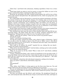"That's fine," said David with enthusiasm, thinking regretfully of their two or three acres.

"Good hemp lands are going to rent for twenty or twenty-five dollars an acre in the spring," continued his father, watching the effect of his words.

David got up, and going to the door, reached around against the wall for two or three sticks of the wood he had piled there. He replenished the fire, which was going down, and resumed his seat.

For a while father and son discussed in a reserved way matters pertaining to the farm: the amount of feed in the barn and the chances of its lasting; crops to be sown in the spring, and in what fields; the help they should hire—a new trouble at that time. For the Negroes, recently emancipated, were wandering hither and thither over the farms, or flocking to the towns, unused to freedom, unused to the very wages they now demanded, and nearly everywhere seeking employment from any one in preference to their former masters as part of the proof that they were no longer in slavery.

David's father had owned but a single small family of slaves: the women remained, the man had sought work on one of the far richer estates in the neighborhood.

They threshed over once more the straw of these familiar topics and then fell into embarrassed silence. The father broke this with an abrupt, energetic exclamation and a sharp glance: "If hemp keeps up to what it is now, I am going to put in more."

"Where?" asked the son, quietly. "I don't see that we have any ground to spare."

"I'll take the woods."

"*Father!*" cried David, wheeling on him.

"I'll take the woods!" repeated his father, with a flash of anger, of bitterness. "And if I'm not able to hire the hands to clear it, then I'll rent it. Bailey wants it. He offered twenty-five dollars an acre. Or I'll sell it," he continued with more anger, more bitterness. "He'd rather buy it than rent."

"How could we do without the woods?" inquired the son, looking like one dazed— "without the timber and the grazing?"

"What will we do without the woods?" cried his father, catching up the words excitedly. "What will we do without the *farm*?"

"What do you mean by all this, father? What is back of it?" cried David, suddenly aroused by vague fears.

"I mean," exclaimed the father, with a species of satisfaction in his now plain words, "I mean that Bailey wants to buy the farm. I mean that he urges me to sell out for my own good! tells me I must sell out! must move! leave Kentucky! go to Missouri — like other men when they fail."

"Go to Missouri," echoed the wife with dismal resignation, smiling at her husband.

"Have you sold it?" asked David, with flushed, angry face.

"No."

"Nor promised?"

"No!"

"Then, father, don't! Bailey is trying again to get the farm away from you. You and mother shall never sell your home and move to Missouri on my account."

The son sat looking into the fire, controlling his feelings. The father sat looking at the son, making a greater effort to control his. Both of them realized the poverty of the place and the need of money.

The hour was already past the father's early bed-time. He straightened himself up now, and turning his back, took off his coat, hung it on the back of his chair, and began to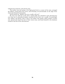unbutton his waistcoat, and rub his arms.

The mother rose and, going to the high-posted bed in a corner of the room, arranged the pillows, turned down the covers, and returning, sat provisionally on the edge of her chair and released her breastpin.

David started up. "Mother, give me a candle, will you?"

He went over with her to the closet, waited while she unlocked it and, thrusting her arm deep into its disordered depths, searched till she drew out a candle. No good-night was spoken; and David, with a look at his father and mother which neither of them saw, opened and closed the door of their warm room, and found himself in the darkness outside at the foot of the cold staircase.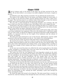### Chapter XIII

A bed of crimson coals in the bottom of the grate was all that survived of his own fire. He sat down before it, not seeing it, his candle unlighted in his hand, a tragedy in his eyes.

A comfortless room. Rag carpeting on the floor. No rug softening the hearth-stones.

The sashes of the windows loose in the frames and shaken tonight by twisty gusts. A pane of glass in one had been broken and the opening pasted over with a sheet of letter paper. This had been burst by an indolent hand, thrust through to close the shutters outside; and a current of cold air now swept across the small room.

The man felt it, shook himself free of depressing thoughts, rose resolutely. He took from a closet one of his most worthless coats, and rolling it into a wad, stopped the hole.

Going back to the grate, he piled on the wood, watching the blaze as it rushed up over the logs, devouring the dried lichens on the bark; then sinking back to the bottom rounds, where it must slowly rise again, reducing the wood to ashes.

Beside him as he sat in his rush-bottomed chair stood a small square table, and on this a low brass candlestick, the companion of the one in the dining room. A half-burnt candle rose out of the socket. As David now lighted it and laid the long fresh candle alongside the snuffers, he measured with his eye the length of his luminaries and the amount of his wood—two friends.

The little grate had commenced to roar at him bravely, affectionately; and the candle sputtered to him and threw sparks into the air — the rockets of its welcoming flame.

It was not yet ten o'clock: two hours of the long winter evening remained.

He turned to his treasury. This was a trunk in a corner, the trunk he had bought while at college; small and cheap in itself, not in what it held. For here were David's books-the great, grave books which had been the making of him, or the undoing of him, according as one may have enough of God's wisdom and mercy to decide whether it were the one or the other.

As the man now moved his chair over, lifted the lid, and sat gazing down at the backs of them, arranged in a beautiful order of his own, there was in the lofty, solemn look of him some further evidence of their power over him.

The coarse toil of the day was forgotten; his loved dependent animals in the windswept barn forgotten; the evening with his father and mother, the unalterable emptiness of it, the unkindness, the threatening tragedy, forgotten. Not that desolate room with firelight and candle; not the poor farmhouse; not the meager farm, nor the whole broad Kentucky plateau of fields and woods, heavy with winter wealth, heavy with comfortable homesteads — any longer held him as domicile, or native region: he was gone far away into the company of his high-minded masters, the writers of those books.

Choosing one, he closed the lid of the trunk reluctantly over the rest, and with the book in one hand and the chair in the other, went back to the fire. An hour passed, during which, one elbow on the table, the shaded side of his face supported in the palm of his hand, he read, scarce moving except to snuff the wick or to lay on a fresh fagot.

At the end of this time other laws than those which the writer was tracing began to assert their supremacy over David — the laws of strength and health, warmth and weariness. Sleep was descending on him, relaxing his limbs, spreading a quiet mist through his brain, caressing his eyelids.

He closed the pages and turned to his dying fire. The book caused him to wrestle; he wanted rest. And now, floating to him through that mist in his brain, as softly as a nearing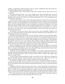melody, as radiantly as dawning light, came the image of Gabriella: after David had pursued Knowledge awhile he was ready for Love.

But knowledge, truth, wisdom before every other earthly passion—that was the very soul of him.

His heart yearned for her now in this closing hour, when everything else out of his way, field-work, stable-work, wood-cutting, filial duties, study, he was alone with the thought of her, the newest influence in his life, taking heed of her solely, hearkening only to his heart's need of her.

In all his rude existence she was the only being he had ever known who seemed to him worthy of a place in the company of his great books. Had the summons come to pack his effects tomorrow and, saying good-by to everything else, start on a journey to the congenial places where his mighty masters lived and wrought, he would have wished her alone to go with him, sharer of life's loftiness. Her companionship wherever he might be—to have just that; to feel that she was always with him, and always one with him; to be able to turn his eyes to hers before some vanishing firelight at an hour like this, with deep rest near them side by side!

He lingered over the first time he had ever seen her; that memorable twilight in the town, the roofs and chimneys of the houses, half-white, half-brown with melting snow, outlined against the low, red sunset sky.

He had not long before left the room in the university where his trial had taken place, and where he had learned that it was all over with him. He was passing along one of the narrow cross streets, when at a certain point his course was barred by a heap of fresh cedar boughs, just thrown out of a wagon. Some children were gay and busy, carrying them through the side doors, the sexton aiding. Other children inside the lighted church were practicing a carol to organ music; the choir of their voices swelled out through the open doors, and some of the little ones, tugging at the cedar, took up the strain.

She was standing on the low steps of the church, in charge of the children. In one hand she held an unfinished wreath, and she was binding the dark, shining leaves with the other. A swarm of snowflakes, scarce more than glittering crystals, danced merrily about her head and flecked her black fur on one shoulder.

As David, not very mindful just then of whither he was going, stepped forward across the light and paused before the pile of cedar boughs, she glanced at him with a smile, seeing how his path was barred. Then she said to them, "Hurry, children! The night comes when we cannot work!"

It was an hour of such good-will on earth to men that no one could seem a stranger to her. He instantly became a human brother, next of kin to her — that was all; she was wholly under the influence of the innocence and purity within and without.

As he made no reply and for a moment did not move, she glanced quickly at him, regretting the smile. When she saw his face, he saw the joy go down out of hers; and he felt, as he turned off, that she went with him along the black street: alone, he seemed not alone any more.

Though he had been with her many times since, no later impression had effaced one line of that first picture. There she stood ever to him, and would stand: on the step of the church, smiling in her mourning, binding her wreath, the jets of the chandelier streaming out on her snow-sprinkled shoulder, the children caroling among the fragrant cedar boughs scattered at her feet; she there, decorating the church, happy to be of pious service.

Ah, to have her there in the room with him now; to be able to turn his eyes to hers in the vanishing firelight, near sleep awaiting them, side by side.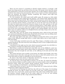There was the sound of a scratching on David's window shutters, as though a stiff brush were being moved up and down across the slats. He became aware that this sound had reached him at intervals several times already, but as often happens, had been disregarded by him owing to his preoccupation. Now it was so loud as to force itself positively upon his attention. He listened, puzzled, wondering. His window stood high from the ground and clear of any object.

In a few moments, the sound made itself audible again. He sprang up, wide awake now, and raising the sash, pushed open the shutters — one of them easily; against the other there was resistance from outside. This yielded before his pressure; and as the shutter was forced wide open and David peered out, there swung heavily against his cheek what felt like an enormous brush of thorns, covered with ice. It was the end of one of the limbs of the cedar tree which stood several feet from his window on one side, and close to the wall of the house. Before David was born, it had been growing there, a little higher, more farreaching laterally, every year, until several topmost boughs had long since risen above the level of the eaves and dropped their dry needles on the rotting shingles. Now one of the limbs, bent over sidewise under its ice-freighted berries and twigs, hung as low as his window, and the wind was tossing it.

Sleet! This, then, was the nature of the threatening storm, which all day had made man and beast foreboding and distressed. David held out his hand: rain was falling steadily, each drop freezing on whatsoever it fell, adding ice to ice.

The moon rode high by this time; and its radiance pouring from above on the roof of riftless cloud, diffused enough light below to render large objects near at hand visible in bulk and outline.

A row of old cedars stretched across the yard. Their shapes, so familiar to him, were already disordered. The sleet must have been falling for hours to have weighed them down this way and that.

A peculiarity of the night was the wind, which increased constantly, but with fitful violence, giving no warning of its high swoop, seizure, and wrench.

Sleet! Scarce a winter but he had seen some little: once, in his childhood, a great one. He had often heard his father talk of others which *he* remembered — with comment on the destruction they had wrought far and wide, on the suffering of all stock and of the wild creatures.

The ravage had been more terrible in the forests, his father had thought, than what the cyclones cause when they rush upon the trees, heavy in their full summer-leaves, and sweep them down as easily as umbrellas set up on the ground.

So much of the finest forests of Kentucky had been lost through its annual summer tempests and its rarer but more awful wintry sleets.

No work for him in the hemp fields to-morrow, nor for days. No school for Gabriella; the more distant children would be unable to ride; the nearest unable to foot it through the mirrored woods; unless the weather should moderate before morning and melt the ice away as quickly as it had formed—as sometimes was the case.

A good sign of this, he took it, was the ever rising wind: for a rising wind and a falling temperature seldom appeared together.

As he bent his ear listening, he could hear the wild roar of the surges of air breaking through the forest, the edge of which was not fifty yards away. David sprang from his chair; there was a loud crack, and the great limb of the cedar swept rattling down across his shutters, twisted, snapped off at the trunk, rolled over in the air, and striking the ground on its back, lay like a huge animal knocked lifeless.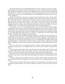He forgot bed and sleep and replenished his fire. His ear, trained to catch and to distinguish sounds of country life, was now becoming alive to the commencement of one of those vast appalling catastrophes in Nature, for which man sees no reason and can detect the furtherance of no plan—law being turned with seeming blindness, and in the spirit of sheer wastage, upon what it has itself achieved, and spending its sublime forces in a work of self- desolation.

Of the two windows in his room, one opened upon the back yard, one upon the front. Both back yard and front contained, according to the custom of the country, much shrubbery, with aged fruit trees, mostly cherry and peach. There were locusts also at the rear of the house, the old-time yard favorite of the people; other forest trees stood around. Through both his windows there began to reach him a succession of fragile sounds; the snapping of rotten, weakest, most overburdened twigs. On fruit tree and forest tree these went down first—as is also the law of storm and trial of strength among men.

The ground was now as one flooring of glass; and as some of these small branches dropped from the tree-tops, they were broken into fragments, like icicles, and slid rattling away into the nearest depressions of the ground. Starting far up in the air sometimes, they struck sheer upon other lower branches, bringing them along also; this gathering weight in turn descended upon others lower yet, until, so augmented, the entire mass swept downward and fell, shivered against crystal flooring.

But soon these more trivial facts held his attention no longer: they were the mere reconnaissance of the elements — the first light attack of Nature upon her own weakness. By and by from the surging, roaring depths of the woods, there suddenly reverberated to him a deep boom as of a cannon: one of the great trees — two-forked at the mighty summit and already burdened in each half by its tons of timber, split in twain at the fork as though cleft by lightning; and now only the pointed trunk stood like a funeral shaft above its own ruins.

For hours this went on: the light incessant rattling, closest around; the creaking, straining, tearing apart as of suffering flesh, less near; the sad, sublime booming of the forest.

Now the man would walk the floor; now drop into his chair before the fire. His last bit of candle flickered blue, deep in the socket, and sent up its smoke. His wood was soon burnt out: only red coals in the bottom of the grate then, and these fast whitening.

More than once he strode across and stood over his trunk in the shadowy corner—looking down at his books — those books that had guided him thus far, or misguided him, who can say?

When his candle gave out and later his fire, he jerked off his clothes and, getting into bed, rolled himself in the bedclothes and lay listening to the mournful sublimity of the storm.

Toward three o'clock the weather grew colder, the wind died down, the booming ceased; and David, turning wearily, over, with an impulse to prayer, but with no prayer, went to sleep.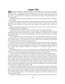# Chapter XI<del>P</del>

When David awoke late and drowsily the next morning after the storm, he lay awhile, listening. No rending, crashing, booming in the woods now, nor rattling of his window-frames. No contemplative twitter of winter birds about the cedars in the yard, nor caw of crow, crossing the house chimneys toward the corn shocks. All things hushed, silent, immovable.

Following so quickly upon the sublime roar and ravage of the night before, the stillness was disturbing.

He sprang up and dressed quickly — admonished by the coldness of his room — before hurrying to his window to look out. When he tried the sash, it could not be raised. He thrust his hand through the broken pane and tugged at the shutters; they could not be shaken.

Running downstairs to the kitchen and returning with hot water, he melted away the ice embedding the bolts and hinges.

A marvel of nature, terrible, beautiful, met his eyes: ice-rain and a great frost.

Cloud, heavy still, but thinner than on the day before, enwrapped the Earth. The sun, descending through this translucent roof of gray, filled the air beneath with a radiance as of molten pearl; and in this under-atmosphere of pearl all earthly things were tipped and hung in silver.

Tree, bush, and shrub in the yard below, the rose clambering the pillars of the porch under his window, the scant ivy lower down on the house wall, the stiff little junipers, every blade of grass—all encased in silver. The ruined cedars trailed from sparlike tops their sweeping sails of incrusted emerald and silver.

Along the eaves, like a row of inverted spears of unequal lengths, hung the argent icicles. No; not spun silver all this, but glass; all things buried, not under a tide of liquid silver, but of flowing and then cooling glass: Nature for once turned into a glass house, fixed in a brittle mass, nowhere bending or swaying; but if handled roughly, sure to be shivered.

The ground under every tree in the yard was strewn with boughs; what must be the ruin of the woods whence the noises had reached him in the night? Looking out of his window now, he could see enough to let him understand the havoc, the wreckage.

He went at once to the stable for the feeding and found everything strangely quiet the stilling influence of a great frost on animal life. There had been excitement and uneasiness enough during the night; now ensued the reaction, for man is but one of the many animals with nerves and moods. A catastrophe like this which covers with ice the earth — grass, winter edible twig and leaf, roots and nuts for the brute kind that turns the soil with the nose, such putting of all food whatsoever out of reach of mouth or hoof or snout — brings these creatures face to face with the possibility of starving: they know it and are silent with apprehension of their peril; know it perhaps by the survival of prehistoric memories reverberating as instinct still.

And there is another possible prong of truth to this repression of their characteristic cries at such times of frost: then it was in ages past that the species which preyed on them grew most ravenous and far ranging. The silence of the modern stable in a way takes the place of that primeval silence which was a law of safety in the bleak fastnesses, hunted over by flesh-eating prowlers. It is the prudent noiselessness of many a species today, as the deer and the moose.

The sheep, having enjoyed little shelter beside the hayrick, had encountered the worst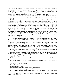of the storm. When David appeared in the stable lot, they beheld him at once; for their faces were bunched expectantly toward the yard gate through which he must emerge. But they spoke not a word to one another or to him as they hurried slipping forward. The man looked them over pityingly, yet with humor; for they wore many undesirable pendants of glass and silver dangling under their bellies and down their tails.

"You shall come into the barn this night," he vowed within himself. "I'll make a place for you this day." Little did he foresee what awful significance to him lay wrapped in those simple words.

Breakfast was ready when, carrying his customary basket of cobs for his mother, he returned to the house. One good result at least the storm had wrought for the time: it drew the members of the household more closely together, as any unusual event—danger, disaster — generally does. So that his father, despite his outburst of anger the night previous, forgot this morning his wrongs and disappointments and relaxed his severity. During the meal he had much to recount of other sleets and their consequences. He inferred similar consequences now if snow should follow, or a cold snap set in: no work in the fields, therefore no hemp-breaking, and therefore delay in selling the crop; the difficulty of feeding and watering the stock; no hauling along the mud roads, and little travel of any sort between country and town; the making of much cord wood out of the fallen timber, with plenty of stuff for woodpiles; the stopping of mill wheels on the frozen creeks, and scarcity of flour and meal.

"The meal is nearly out now," said David's mother. "The Negroes waste it."

"We might shell some corn to-day," suggested David's father, hesitatingly. It was the first time since his son's return from college that he had ever proposed their working together.

"I'll take a look at the woods first," said David; "and then I want to make a place in the stable for the sheep, father. They must come under shelter to-night. I'll fix new stalls for the horses inside where we used to have the corn crib. The cows can go where the horses have been, and the sheep can have the shed of the cows: it's better than nothing. I've been wanting to do this ever since I came home from college."

A thoughtless, unfortunate remark, as connected with that shabby, desperate idea of finding shelter for the stock — fresh reminder of the creeping, spreading poverty.

His father made no rejoinder; and having finished his breakfast in silence, left the table. His mother, looking across her coffee cup and biscuit at David, without change of expression inquired, "Will you get that hen?"

"*What* hen, mother?"

"I told you last night the cook wanted one of the old hens for soup today. Will you get it?"

"No, mother; I will not get the hen for the cook; the cook will probably get the hen for me."

"She doesn't know the right one."

"But neither do I."

"I want the blue dorking."

"I have a bad eye for color; I might catch something gray."

"I want the dorking; she's stopped laying."

"Is that your motive for taking her life? It would be a terrible principle to apply indiscriminately!"

"The cook wants to know how she is to get the vegetables out of the holes in the garden today—under all this ice."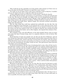"How would she get the vegetables out of the garden under all this ice if there were no one on the place but herself? I warrant you she'd have every variety."

"It's a pity we are not able to hire a man. If we could hire a man to help her, I wouldn't ask you. It's hard on the cook, to make her suffer for our poverty."

"A little suffering in that way will do her a world of good," said David, cheerily.

His mother did not hesitate, provocation or no provocation, to sting and reproach him in this way. She had never thought very highly of her son; her disappointment, therefore, over his failure at college had not been keen. Besides, tragic suffering is the sublime privilege of deep natures: she escaped by smallness. Nothing would have made her very miserable but hunger and bodily pains. Against hunger she exercised ceaseless precautions; bodily pains she had none.

The one other thing that could have agitated her profoundly was the idea that she would be compelled to leave Kentucky. It was hard for her to move about her house, much less move to Missouri. Not in months perhaps did she even go upstairs to bestow care upon the closets, the bed, the comforts of her son. As might be expected, she considered herself the superior person of the family; and as often happens, she imposed this estimate of herself upon her husband.

The terrifying vanity and self-sufficiency of the little-minded! Nature must set great store upon this type of human being, since it is regularly allowed to rule its betters. But his father!

David had been at home two months now, for this was the last of February, and not once during that long ordeal of daily living together had his father opened his lips either to reproach or question him. Letters had been received from the faculty, from the pastor; of that David was aware; but any conversation as to these or as to the events of which they were the sad consummation, his father would not have. The gulf between them had been wide before; now it was fathomless.

Yet David well foreknew that the hour of reckoning had to come, when all that was being held back would be uttered. He realized that both were silently making preparations for that crisis, and that each day brought it palpably nearer. Sometimes he could even see it threatening in his father's eye, hear it in his voice. It had reached the verge of explosion the night previous, with that prediction of coming bankruptcy, the selling of the farm of his Kentucky ancestors, the removal to Missouri in his enfeebled health.

Not until his return had David realized how literally his father had begun to build life anew on the hopes of him. And now, feel with him in his disappointment as deeply as he might, sympathy he could not openly offer, explanation he could not possibly give. His lifeproblem was not his father's problem; his father was simply not in a position to understand. Doubt anything in the Bible — doubt so-called orthodox Christianity — be expelled from the church and from college for such a reason — where could his father find patience or mercy for willful folly and impiety like that?

Meantime he had gone to work; on the very day after his return he had gone to work. Two sentences of his father's, on the afternoon of his coming home, had rung in David's ears loud and ceaselessly ever since: "*Why have you come back here?*" And "*I always knew there was nothing in you!*" The first assured him of the new footing on which he stood: he was no longer desired under that roof. The second summed up the life-long estimate which had been formed of his character before he had gone away.

Therefore he had worked as never even in the old preparatory days. So long as he remained there, he must at least earn daily bread. More than that, he must make good, as soon as possible, the money spent at college.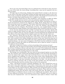So he sent away the hired Negro man; he undertook the work done by him and more: the care of the stock, the wood cutting, everything that a man can be required to do on a farm in winter.

Of bright days he broke hemp. Nothing had touched David so deeply as the discovery in one corner of the farm of that field of hemp: his father had secretly raised it to be a surprise to him, to help him through his ministerial studies. This David had learned from his mother; his father had avoided mention of it: it might rot in the field!

In equal silence David had set about breaking it; and sometimes at night his father would show enough interest merely to ask some questions regarding the day's work.

Yet, notwithstanding this impending tragedy with his father, and distress at their reduced circumstances caused by his expenses at college, David, during these two months, had entered into much new happiness. The doubts which had racked him for many months were ended. He had reached a decision not to enter the ministry; had stripped his mind clean and clear of dogmas. The theologies of his day, vast, tangled thickets of thorns overspreading the simple footpath of the pious pilgrim mind, interfered with him no more.

It was not now necessary for him to think or preach that any particular church with which he might identify himself was right, the rest of the human race wrong. He did not now have to believe that any soul was in danger of eternal damnation for disagreeing with him. Release from these things left his religious spirit more lofty and alive than ever.

For, moreover, David had set his feet a brief space on the wide plains of livingknowledge; he had encountered through their works many of the great minds of his century, been reached by the sublime thought-movements of his time, heard the deep roar of the spirit's ocean. Amid coarse, daily labor once more, amid the penury and discord in that ruined farmhouse, one true secret of happiness with David was the recollection of all the noble things of human life which he had discovered, and to which he meant to work his way again as soon as possible.

And what so helps one to believe in God as knowledge of the greatness of man?

Meantime, also, his mind was kept freshly and powerfully exercised. He had discarded his old way of looking at Nature and man's place in it; and of this fundamental change in him, no better proof could be given than the way in which he regarded the storm, as he left the breakfast-table this morning and went to the woods.

The damage was unreckonable. The trees had not been prepared against an event like that. For centuries some of them had developed strength in root and trunk and branch to resist the winds of the region when clad in all their leaves; or to carry the load of these leaves weighted with raindrops; or to bear the winter snows. Wise self-physicians of the forest! Removing a weak or useless limb, healing their own wounds and fractures! But to be buried under ice and then wrenched and twisted by the blast — for this they had received no training: and thus, like so many of the great prudent ones who look hourly to their well-being, they had been stricken down at last by the unexpected.

"Once," said David reverently to himself, beholding it all, "once I should have seen in this storm some direct intention of the Creator toward man, even toward me. It would have been a reminder of His power; perhaps been a chastisement for some good end which I must believe in, but could not discover. Men certainly once interpreted storms as communications from the Almighty, as they did pestilence and famine. There still may be in this neighborhood people who will derive some such lesson from this. My father may in his heart believe it a judgment sent on us and on our neighbors for my impiety. Have not cities been afflicted on account of the presence of one sinner? Thankful I am not to think in this way now of physical law — not so to misconceive man's place in Nature. I know that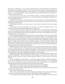this sleet, so important to us, is but one small incident in the long history of the planet's atmosphere and changing surface. It is the action of natural laws, operating without regard to man, though man himself may have had a share in producing it. It will bring death to many a creature; indirectly, it may bring death to me; but that would be among the results, not in the intention."

He set his face to cross the wood—sliding, skating, steadying himself against the trunks, driving his heels through the ice crust. The exercise was heating; his breath rose as a steam before his face.

Beyond the woods he crossed a field; then a forest of many acres and magnificent timber, on the far edge of which, under the forest trees and fronting a country lane, stood the schoolhouse of the district.

David looked anxiously, as he drew near, for any signs of injury that the storm might have done.

One enormous tree-top had fallen on the fence. A limb had dropped sheer on the steps. The entire yard was little better than a brush heap.

He soon turned away home relieved: he would be able to tell Gabriella tonight that none of the windows had been broken, nor the roof; only a new woods scholar, with little feet and a big hard head and a bunch of mistletoe in one hand, was standing on the steps, waiting for her to open the door.

David's college experience had effected the first great change in him as he passed from youth to manhood; Gabriella had wrought the second. The former was a fragment of the drama of man's soul with God; the latter was the drama of his heart with woman. It had begun the day the former ended — in the gloom of that winter twilight day, when he had quit the college after his final interview with the faculty, and had wandered forlorn and dazed into the happy town, just commencing to celebrate its season of peace on earth and good will to man. He had found her given up heart and soul to the work of decorating the church of her faith, the church of her fathers.

When David met her the second time, it was a few days after his return home. He was at work in the smoke-house. The meat had been salted down long enough after the killing: it must be hung, and he was engaged in hanging it. Several pieces lay piled inside the door suitably for the hand. He stood with his back to these beside the meat bench, scraping the saltpeter off a large middling and rubbing it with red pepper.

Suddenly the light of the small doorway failed; and, turning, he beheld his mother, and a few feet behind her—David said that he did not believe in miracles—but a few feet behind his mother there now stood a divine presence. Believe it or not, there she was, the miracle!

All the bashfulness of his lifetime—it had often made existence well-nigh insupportable — came crowding into that one moment. The feeblest little bleat of a spring lamb too weak to stand up for the first time would have been a deafening roar in comparison with the silence which now penetrated to the marrow of his bones.

He faced the two women at bay, with one hand resting on the middling.

"This is my son," said his mother neutrally, turning to the young lady.

This information did not help David at all. He knew who *he* was. He took it for granted that every one present knew.

The visitor at once relieved the situation.

"This is the school-teacher," she said, coloring and smiling. "I have been teaching here ever since you went away. And I am now an old resident of this neighborhood."

Not a thing moved about David except a little smoke in the chimney of his throat. But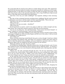the young lady did not wait for more silence to render things more tense. She stepped forward into the doorway beside his mother and peered curiously in, looking up at the smokeblackened joists, at the black cross sticks on which the links of sausages were hung, at the little heap of gray ashes in the ground underneath, with a ring of half-burnt chips around them, at the huge meat bench piled with salted joints.

"And this is the way you make middlings?" she inquired, smiling at him encouragingly.

The idea of that archangel knowing anything about middlings! David's mind executed a rudimentary movement, and his tongue and lips responded feebly. "This is the way."

"And this is the way you make hams, sugar-cured hams?"

"This is the way."

"And this is the way you make — shoulders?"

"This is the way."

David had found an answer, and he was going to abide by it while strength and daylight lasted. The young lady seemed to perceive that this was his intention.

"Let me see you *hang* one," she said desperately. "I have never seen bacon hanged—or hung. I suppose as I teach grammar, I must use both participles."

David caught up the huge middling by the string and swung it around in front of him, whereupon it slipped out of his nerveless fingers and fell over in the ashes. It did not break the middling, but it broke the ice.

"Can I help you?"

Those torturing, blistering words! David's face got as red as though it had been rubbed with red pepper and saltpeter both. The flame of it seemed to kindle some faint spark of spirit in him. He picked up the middling, and as he looked her squarely in the eye, with a humorous light in his, he nodded at the pieces of bacon by the entrance.

"Hang one of those," he said, "if you've a mind."

As he lifted the middling high, Gabriella noticed above his big red hands a pair of arms like marble for luster and whiteness (for he had his sleeves rolled far back) — as massive a pair of man's arms as ever were formed by life-long health and a life-long labor and lifelong right living.

"Thank you," she said, retreating through the door. "It's all very interesting. I have never lived in the country before. Your mother told me you were working here, and I asked her to let me come and look on. While I have been living in your neighborhood, you have been living in my town. I hope you will come to see me, and tell me a great deal."

As she said this, David perceived that she, standing behind his mother, looked at him with the veiled intention of saying far more. He had such an instinct for truth himself, that truth in others was bare to him. Those gentle, sympathetic eyes seemed to declare: "I know about your troubles. I am the person for whom, without knowing it, you have been looking. With me you can break silence about the great things. We can meet far above the level of such poor scenes as this. I have sought you to tell you this. Come."

"Mother," said David that evening, after his father had left the table, dropping his knife and fork and forgetting to eat, "who was that?"

He drew out all that could be drawn: that she had come to take charge of the school the autumn he had gone away; that she was liked as a teacher, liked by the old people. She had taken great interest in *him*, his mother said reproachfully, and the idea of his studying for the ministry. She had often visited the house, had been good to his father and to her. This was her first visit since she had gotten back; she had been in town spending the holidays.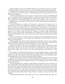David had begun to go to see Gabriella within a week. At first he went once a week on Saturday nights. Soon he went twice a week — Wednesdays and Saturdays invariably.

On that last day at college, when he had spoken out for himself, he had ended the student and the youth; when he met her, it was the beginning of the man: and the new reason of the man's happiness.

As he now returned home across the mile or more of country, having satisfied himself as to the uninjured condition of the schoolhouse, which had a great deal to do with Gabriella's remaining in that neighborhood, he renewed his resolve to go to see her tonight, though it was only Friday. Had not the storm upset all regular laws and customs?

Happily, then, on reaching the stable, he fell to work upon his plan of providing a shelter for the sheep.

David felt much more at home in the barn than at the house. For the stock saw no change in him. Believer or unbeliever, rationalist, evolutionist, he was still the same to them. Upon them, in reality, fell the ill consequences of his misspent or well-spent college life; for the money which might have gone for shingles and joists and more provender, had in part been spent on books describing the fauna of the earth and the distribution of species on its surface. Some had gone for treatises on animals under domestication, while his own animals under domestication were allowed to go poorly fed and worse housed. He had had the theory; they had had the practice. But they apprehended nothing of all this.

How many tragedies of evil passion brutes escape by not understanding their owners! We of the human species so often regret that individuals read each other's natures so dimly: let us be thankful!

David was glad, then, that this little aggregation of dependent creatures, his congregation of the faithful, neither perceived the change in him, nor were kept in suspense by the tragedy growing at the house. They had been glad to see him on his return.

Captain, who had met him first, was gladdest, perhaps. Then the horses, the same old ones. One of them, he fancied, had backed up to him, offering a ride. And the cows were friendly. They were the same; their calves were different. The sheep about maintained their number, their increase by nature nearly balancing their decrease by table use.

One member of the flock David looked for in vain: the boldest, gentlest—there usually is one such. Later on he found it represented by a saddle blanket. After his departure for college, his mother had conceived of this fine young wether in terms of sweetbreads, tallow for chapped noses, and a soft seat for the spine of her husband.

Even the larded dame of the snow-white sucklings had remembered him well, and had touched her snout against his boots; so that hardly had he in the old way begun to stroke her bristles, before she spoke comfortably of her joy, and rolled heavily over in what looked like a grateful swoon.

No: his animals had not changed in their feelings toward him; but how altered he in his understanding of them! He had formerly believed that these creatures were created for the use of man—that old conceited notion that the entire Earth was a planet of provisions for human consumption. It had never even occurred to him to think that the horses were made but to ride and to work. Cows of course gave milk for the sake of the dairy; cream rose on milk for ease in skimming; when churned, it turned sour, that the family might have fresh buttermilk. Hides were for shoes. The skin on sheep, it was put there for Man's woollens.

Now David declared that these beings were no more made for Man than Man was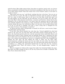made for them. Man might capture them, keep them in captivity, break, train, use, devour them, occasionally exterminate them by benevolent assimilation. But this was not the reason of their being created: what that reason was in the Creator's mind, no one knew or would ever know.

"Man seizes and uses you," said David, working that day in his barn, "but you are no more his than he is yours. He calls you dependent creatures: who has made you dependent? In a state of wild nature, there is not one of you that Man would dare meet: not the wild stallion, not the wild bull, not the wild boar, not even an angry ram. The argument that Man's whole physical constitution — structure and function — shows that he was intended to live on beef and mutton, is no better than the argument that the tiger finds man perfectly adapted to his system as a food, and desires none better. Every man-eating creature thinks the same: the wolf believes Man to be his prey; the crocodile believes him to be his; an old lion is probably sure that a man's young wife is designed for his maw alone. So she is, if he manages to catch her."

As David said this rather unexpectedly to himself, he fell into a novel reverie, forgetting philosophy and brute kind.

It was late when David finished his work that day. Toward nightfall the cloud had parted in the west; the sun had gone down with dark curtains closing heavily over it. Later, the cloud had parted in the east, and the moon had arisen amid white fleeces and floated above banks of pearl. Shining upon all splendid things else, it illumined one poor scene which must not be forgotten: the rear of an old barn, a sagging roof of rotting shingles; a few common sheep passing in, driven by a shepherd dog; and a big, thoughtful boy holding the door open. He had shifted the stock to make way for these additional pensioners, putting the horses into the new stalls, the cows where the horses had been, and the sheep under the shed of the cows. (It is the horse that always gets the best of everything in a stable.) He reproached himself that he did least for the creatures that demanded least "That's the nature of man," he said disapprovingly, "topmost of all brutes."

When he stepped out of doors after supper that night, the clouds had hidden the moon. But there was light enough for him to see his way across the ice fields to Gabriella. The Star of Love shone about his feet.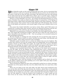#### Chapter X<sup>p</sup>

When Gabriella awoke on that same morning after the storm, she too ascertained that her shutters could not be opened. But Gabriella did not go down into the kitchen for hot water to melt the ice from the bolts and hinges. She fled back across the cold matting to the high-posted big bed and cuddled down solitary into its warmth again, tucking the counterpane under her chin and looking out from the pillows with eyes as fresh as flowers.

Flowers in truth Gabriella's eyes were — the closing and disclosing blossoms of a sweet nature. Somehow they made you think of earliest spring, of young leaves, of the flutings of birds deep within a glade sifted with golden light, fragrant with white fragrance. They had their other seasons: their summer hours of angry flash and swift downpour; their autumn days of still depths and soberness, and autumn nights of long, quiet rainfalls when no one knew.

One season they lacked: Gabriella's eyes had no winter, Brave spirit! Had nature not inclined her to spring rather than autumn, had she not inherited joyousness and the temperamental gayety of the well-born, she must long ago have failed, broken down.

Behind her were generations of fathers and mothers who had laughed heartily all their days. The simple gift of wholesome laughter, often the best as often the only remedy for so many discomforts and absurdities in life — this was perhaps to be accounted among her best psychological heirlooms.

Her first thought on awaking late this morning (for she too had been kept awake by the storm) was that there could be no school. And this was only Friday, with Saturday and Sunday to follow—three whole consecutive days of holiday!

Gabriella's spirits invariably rose in a storm; her darkest days were her brightest. The weather that tried her soul was the weather which was disagreeable, but not disagreeable enough to break up school. When she taught, she taught with all her powers and did it well; when not teaching, she hated it with every faculty and capacity of her being. And to discharge patiently and thoroughly a daily hated work — that takes noble blood.

Nothing in the household stirred below. The members of the family had remained up far into the night. As for the Negroes, they understand how to get a certain profit for themselves out of all disturbances of the weather. Gabriella was glad of the chance to wait for the house-girl to come up and kindle her fire — grateful for the luxury of lying in bed on Friday morning, instead of getting up to a farmer's early breakfast, when sometimes there were candles on the table to reveal the localities of the food! How she hated those candles, flaring in her eyes so early! How she loved the mellow flicker of them at night, and how she hated them in the morning—those early-breakfast candles!

In high spirits, then, with the certainty of a late breakfast and no school, she now lay on the pillows, looking across with sparkling eyes at last night's little gray ridge of ashes under the bars of her small grate.

Those hearthstones! When her bare soles accidentally touched one on winter mornings, Gabriella was of the opinion that they were the coldest bricks that ever came from a fiery furnace.

There was one thing in the room still colder: the little cherry-wood washstand away over on the other side of the big room between the windows — placed there at the greatest possible distance from the fire! Sometimes when she peeped down into her wash-pitcher of mornings, the ice bulged up at her like a white cannon-ball that had gotten lodged on the way out. She jabbed at it with the handle of her toothbrush; or, if her temper got the best of her (or the worst), with the poker. Often her last act at night was to dry her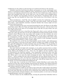toothbrush over the embers so that the hair in it would not be frozen in the morning.

Gabriella raised her head from the pillows and peeped over at the counterpane covering her. It consisted of stripes of different colors, starting from a point at the middle of the structure and widening toward the four sides. Her feet were tucked away under a bank of plum color sprinkled with salt; up her back ran a sort of comet's tail of puddled green. Over her shoulder and descending toward her chin flowed a broadening delta of wellbeaten egg. She was thankful for these colors. The favorite hue of the farmer's wife was lead.

Those hearthstones — lead! The strip of oilcloth covering the washstand — lead! The closet in the wall containing her things — lead! The stair-steps outside — lead! The porches down below — lead! Gabriella sometimes wondered whether this woman might not have had lead-colored ancestors.

A pair of recalcitrant feet were now heard mounting the stair: the flowers on the pillow closed their petals. When the Negro girl knelt down before the grate, with her back to the bed and the soles of her shoes set up straight side by side like two gray bricks, the eyes were softly opened again.

Gabriella had never seen a head like this Negro girl's, that is, never until the autumn before last, when she had come out into this neighborhood of plain farming people to teach a district school. Whenever she was awake early enough to see this curiosity, she never failed to renew her study of it with unflagging zest. It was such a mysterious, careful arrangement of knots, and pine cones, and the strangest-looking little black sticks wrapped with white packing thread, and the whole system of coils seemingly connected with a central mental battery, or idea, or plan, within.

She studied it now, as the fire was being kindled, and the kindler, with inflammatory blows of the poker on the bars of the grate, told her troubles over audibly to herself: "Set free, and still making fires of winter mornings; how was *that*? Where was any freedom in *that*? Her wages? Didn't she work for her wages? Didn't she *earn* her wages? Then where did freedom come in?"

One must look low for high truth sometimes, as we gather necessary fruit on nethermost boughs and dig the dirt for treasure. The Anglo-Saxon girl lying in the bed and the young African girl kindling her fire — these two, the highest and the humblest types of womanhood in the American republic — were inseparably connected in that room that morning as children of the same Revolution. It had cost the war of the Union, to enable this African girl to cast away the cloth enveloping her head — that detested sign of her slavery — and to arrange her hair with ancestral taste, the true African beauty sense. As long as she had been a slave, she had been compelled by her Anglo-Saxon mistress to wear her head-handkerchief; as soon as she was set free, she, with all the women of her race in the South, tore the head-handkerchief indignantly off.

In the same way, it cost the war of the Union to enable Gabriella to teach school. She had been set free also, and the bandage removed from her liberties. The Negress had been empowered to demand wages for her toil; the Anglo-Saxon girl had been empowered to accept without reproach the wages for hers.

Gabriella's memoirs might be writ large in four parts that would really be the history of the United States, just as a slender seam of gold can only be explained through the geology of the earth. But they can also be writ so small that each volume may be dropped, like certain minute-books of bygone fashions, into a waistcoat pocket, or even read, as through a magnifying glass, entire on a single page.

The first volume was the childhood book, covering the period from Gabriella's birth to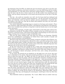the beginning of the Civil War, by which time she was fourteen years old: it was fairy tale. These earliest recollections went back to herself as a very tiny child living with her mother and grandmother in a big white house with green window-shutters, in Lexington—so big that she knew only the two or three rooms in one ell. Her mother wore mourning for her father, and was always drawing her to her bosom and leaving tears on her face or lily-like hands.

One day — she could not remember very well — but the house had been darkened and the servants never for a moment ceased amusing her — one day the house was all opened again and Gabriella could not find her mother; and her grandmother, everybody else, was kinder to her than ever. She did not think what kindness was then, but years afterward she learned perfectly.

Very slowly Gabriella's knowledge began to extend over the house and outside it. There were enormous, high-ceiled halls and parlors, and bedrooms and bedrooms and bedrooms. There were verandas front and back, so long that it took her breath away to run the length of one and return.

Upstairs, front and back, verandas again, balustraded so that little girls could not forget themselves and fall off. The pillars of these verandas at the rear of the house were connected by a network of wires, and trained up the pillars and branching over the wires were coiling, twisting vines of wisteria as large as Gabriella's neck.

This was the sunny southern side; and when the wisteria was blooming, Gabriella moved her establishment of playthings out behind those sunlit cascades of purple and green, musical sometimes with goldfinches.

The front of the house faced a yard of stately evergreens and great tubs of flowers, oleander, crepe myrtle, and pomegranate. Beyond the yard, a graveled carriage drive wound out of sight behind cedars, catalpa, and forest trees, shadowing a turfy lawn. At the end of the lawn was the great entrance gate and the street of the town. Gabriella long knew this approach only by her drives with her grandmother.

At the rear of the house was enough for her: a large yard, green grazing lots for the stable of horses, and best of all a high-fenced garden containing everything the heart could desire: vegetables, and flowers; summer-houses, and arbors with seats; pumps of cold water, and hot-houses of plants and grapes, and fruit trees, and a swing, and gooseberry bushes — everything.

In one corner, the ground was too shaded by an old apple tree to be of use: they gave this to Gabriella for her garden. She had attached particularly to her person a little Negress of about the same age — her Milly, the color of a ripe gourd. So when in spring the gardener began to make his garden, with her grandmother sometimes standing over him, directing, Gabriella, taking her little chair to the apple tree — with some pretended needlework and a real switch—would set Milly to work making hers. Nothing that they put into the earth ever was heard of again, though they would sometimes make the same garden over every day for a week. So that more than once, forsaking seed, they pulled off the tops of green things near by, planted these, and so had a perfect garden in an hour.

Then Gabriella, seated under the apple tree, would order Milly to water the flowers from the pump; and taking her switch and calling Milly close, she would give her a sharp rap or two around the bare legs (for that was expected), and tell her that if she didn't stop being so trifling, she would sell her South to the plantations. Whereupon Milly, injured more in heart than legs, and dropping the watering-pot, would begin to bore her dirty fists into her eyes.

Then Gabriella would say repentantly, "No, I won't, Milly! And you needn't work any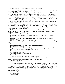more today. And you can have part of my garden if you want it."

Milly, smiling across the mud on her cheeks, would murmur, "You ain' goin' sell yo' Milly down South, is you, Miss Gabriella?"

"*I* won't. But I'm not so sure about grandmother, Milly. You know she *will* do it sometime. Our cotton's got to be picked by *somebody*, and who's to do it but you lazy Negroes?"

In those days the apple tree would be blooming, and the petals would sift down on Gabriella. Looking up at the marriage bell of blossoms, and speaking in the language of her grandmother, she would say, "Milly, when I grow up and get married, I am going to be married out of doors in spring under an apple tree."

"I don' know whah *I* gwine be married," Milly would say with a hoarse, careless cackle. "I 'spec' in a briar-patch."

Gabriella's first discovery of what meanness human nature can exhibit was connected with this garden. So long as everything was sour and green, she could play there by the hour; but as soon as anything got ripe and delicious, the gate with the high latch was shut and she could never enter it unguarded.

What tears she shed outside the fence as she peeped through! When they did take her in, they always held her by the hand. "*Don't* hold my hand, Sam," she said pleadingly to the Negro gardener. "It's so *hot*!"

"You fall down and hurt yourself."

"How absurd, Sam! The idea of my falling down when I am walking along slowly!" "You get lost."

"How can you say anything so amusing as that, Sam! Did I ever get lost in here?" "Snakes bite you."

"Why do you think they'd bite *me*, Sam? They have never been known to bite anybody else."

"You scratch yourself."

"How can I scratch myself, Sam, when I'm not doing anything?"

"Caterpillars crawl on you."

"They crawl on me when I'm not in the garden, Sam. So why do you harp on *that*?" Slowly they walked on — past the temptations of Eden.

"Please, let me try just once, Sam!"

"Try what, Miss Gabriella?"

"To see whether the snakes will bite me."

"I couldn't!"

"Then take me to see the grapes," she would say wearily.

There they were, hanging under the glass: bunches of black and of purple Hamburgs, and of translucent Malagas, big enough to have been an armful!

"Just one, Sam, please."

"Make you sick."

"They never make me sick when I eat them in the house. They are good for me! One *couldn't* make me sick. I'm sick because you *don't* give it to me. Don't I *look* sick, Sam?"

The time came when Gabriella began to extend her knowledge to the country, as she drove out beside her grandmother in the balmy spring and early summer afternoons.

"What is that, grandmother?" she would say, pointing with her small forefinger to a field by the turnpike.

"That is corn." "And what is that?"

"That is wheat."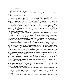"And what is that?"

"Oats, Gabriella."

"Oh, grandmother, what is *that*?"

"Tut, tut, child! Don't you know what that is? That's hemp. That is what bales all our cotton."

"Oh, grandmother, smell it!"

After this sometimes Gabriella would order the driver to turn off into some green lane about sunset and press on till they found a field by the way. As soon as they began to pass it, over into their faces would be wafted the clean, cooling, velvet-soft, balsam breath of the hemp. The carriage would stop, and Gabriella, standing up and facing the field, would fill her lungs again and again, smiling at her grandmother for approval. Then she would take her seat and say quietly, "Turn round, Tom, and drive back. I have smelt it enough."

These drives alone with her grandmother were for spring and early summer only. Full summer brought up from their plantations in Louisiana, Arkansas, and Mississippi, her uncles and the wives and children of some of them. All the bedrooms in the big house were filled, and Gabriella was nearly lost in the multitude, she being the only child of the only daughter of her grandmother.

And now what happy times there were. The silks, and satins, and laces! The plate, the gold, the cut glass! The dinners, the music, the laughter, the wines!

Later, some of her uncles' families might travel on with their servants to watering places farther north. But in September all were back again under the one broad Kentucky roof, stopping for the beautiful Lexington fair, then celebrated all over the land; and for the races — those days of the thoroughbred only; and until frost fall should make it safe to return to the swamps and bayous, loved by the yellow fever.

When all were departed, sometimes her grandmother, closing the house for the winter, would follow one of her sons to his plantation; thence later proceeding to New Orleans, at that time the most brilliant of American capitals; and so Gabriella would see the Father of Waters, and the things that happened in the floating palaces of the Mississippi; see the social life of the ancient French and Spanish city.

All that could be most luxurious and splendid in Kentucky during those last deep, rich years of the old social order, was Gabriella's: the extravagance, the gayety, the pride, the lovely manners, the selfishness and cruelty in its terrible, unconscious, and narrow way, the false ideals, the aristocratic virtues.

Then it was that, overspreading land and people, lay the full autumn of that sowing, which had moved silently on its way toward its fateful fruits for over fifty years. Everything was ripe, sweet, mellow, dropping, turning rotten.

O ye who have young children, if possible give them happy memories! Fill their earliest years with bright pictures!

A great historian many centuries ago wrote it down that the first thing conquered in battle are the eyes: the soldier flees from what he sees before him. But so often in the world's fight we are defeated by what we look back upon; we are whipped in the end by the things we saw in the beginning of life.

The time arrived for Gabriella when the gorgeous fairy tale of her childhood was all that she had to sustain her: when it meant consolation, courage, fortitude, victory. A war volume, black, fiery, furious, awful—this comprised the second part of her history: it contained the overthrow of half the American people, and the downfall of the child princess Gabriella.

An idea—how negative, nerveless, it looks printed! A little group of four ideas—how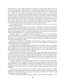should they have power of life and death over millions of human beings! But say that one is the idea of the right of self-government—much loved and fought for all round the earth by the Anglo-Saxon race. Say that a second is the idea that with his own property a man has a right to do as he pleases: another notion that has been warred over, world without end. Let these two ideas run in the blood and passions of the Southern people. Say that a third idea is that of national greatness (the preservation of the Union), another idol of this nation-building race. Say that the fourth idea is that of evolving humanity, or, at least, that slave-holding societies must be made non-slave-holding — if not peaceably, then by force of arms. Let these two ideas be running in the blood and passions of the Northern people. Bring the first set of ideas and the second set together in a struggle for supremacy. By all mankind it is now known what the result was for the nation.

What these ideas did for one little girl, living in Lexington, Kentucky, was part of that same sad, sublime history.

They ordered the grandmother across the lines, as a wealthy sympathizer and political agent of the Southern cause; they seized her house, confiscated it, used it as officers' headquarters: in the end they killed her with grief and care; they sent her sons, every man of them, into the Southern armies, ravaged their plantations, liberated their slaves, left them dead on the fields of battle, or wrecked in health, hope, fortune.

Gabriella, placed in a boarding-school in Lexington at that last hurried parting with her grandmother, stayed there a year. Then the funds left to her account in the bank were gone; she went to live with near relatives; and during the remaining years of the war was first in one household, then another, of kindred or friends, all of whom contended for the privilege of finding her a home.

But at the close of the war, Gabriella, issuing from the temporary shelters given her during the storm, might have been seen as a snow-white pigeon flying lost and bewildered across a black cloud covering half the sky.

The third volume — the Peace Book in which there was no Peace: this was the beginning of Gabriella, child of the Revolution. She did not now own a human being except herself; could give orders to none but herself; could train for this work, whip up to that duty, only herself; and if she was still minded to play the mistress — firm, kind, efficient, capable — she must be such a mistress solely to Gabriella.

By that social evolution of the race which in one country after another had wrought the overthrow of slavery, she had now been placed with a generation unique in history: a generation of young Southern girls, of gentle birth and breeding, of the most delicate nature, who, heiresses in slaves and lands at the beginning of the war, were penniless and unrecognized wards of the federal government at its close, their slaves having been made citizens and their plantations laid waste.

On these unprepared and innocent girls thus fell most heavily not only the mistakes and misdeeds of their own fathers and mothers, but the common guilt of the whole nation, and particularly of New England, as respects the original traffic in human souls. The change in the lives of these girls was as sudden and terrible as if one had entered a brilliant ballroom and in the voice of an overseer ordered the dancers to go as they were to the factories.

To the factories many of them went, in a sense: to hard work of some sort—to wageearning and wage-taking: sometimes becoming the mainstay of aged or infirm parents, the dependence of younger brothers and sisters. If the history of it all is ever written, it will make pitiful, heroic, noble reading.

The last volume of Gabriella's memoirs showed her in this field of struggle — of new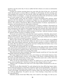growth to suit the newer day. It was so unlike the first volume as to seem no continuation of her own life.

It began one summer morning about two years after the close of the war—an interval which she had spent in various efforts at self-help, at self-training. On that morning, pale and trembling, but resolute, her face heavily veiled, she might have been seen on her way to Water Street in Lexington — a street she had heard of all her life and had been careful never to enter except to take or to alight from a train at the station.

Passing quickly along until she reached a certain ill-smelling little stairway which opened on the foul sidewalk, she mounted it, knocked at a low, black-painted plank door, and entered a room which was a curiosity shop. There she was greeted by an elderly gentleman, who united in himself the offices of superintendent of schools, experimental astronomer, and manufacturer of a high grade of mustard.

She had presented herself to be examined for a teacher's certificate. Fortunately for Gabriella, this kindly old sage remembered well her grandmother and her uncles: they had been connoisseurs; they had for years bought liberally of his mustard. Her uncles had used it first on their dinner tables as a condiment, and afterward on their foreheads and stomachs as a plaster. They had never failed to praise it to his face — both for its power to draw an appetite and for its power to withdraw an ache.

In turn he now praised them and asked the easiest questions. Gabriella, whose knowledge of arithmetic was as a grain of mustard seed, and who spoke beautiful English, but could not have parsed, "John, come here!" —received a first-class certificate for the sake of the future, and a box of mustard in memory of the past.

Early in that autumn, she climbed, one morning, into an old yellow-red, ever muddied stage-coach (the same that David had ridden in), and set out to a remote neighborhood, where, after many failures otherwise, she had secured a position to teach at a small country school. She was glad that it was distant; she had a feeling that the farther away it was from Lexington, the easier it would be to teach.

Nearly all that interminable day, the mechanism of the stage and the condition of the pike (much fresh-cracked limestone on it) administered to Gabriella's body such a massage as is not now known to medical science. But even this was as nothing in comparison to the rack on which she stretched every muscle of her mind.

What did she know about teaching? What kind of people would they be? Late that mild September afternoon she began to find out.

The stage stopped at the mouth of a lane; and, looking out with deathly faintness, Gabriella saw, standing beside a narrow, no-top buggy, a big, hearty, sunburned farmer with his waist-coat half unbuttoned, wearing a suit of butternut jeans and a yellow straw hat with the wide brim turned up like a cow's horns.

"Have you got my school-teacher in there?" he called out in a voice that carried like a heavy, sweet-sounding bell. "And did you bring me them things I told you to get?"

"Which is she?" he asked as he came over to the stage window and peered in at the several travelers.

"How do you do, Miss Gabriella?" he said, taking his hat clear off his big, honest, hairy, brown head and putting in a hand that would have held several of Gabriella's. "I'm glad to see you; and the children have been crying for you. Now, if you will just let me help you to a seat in the buggy, and hold the lines for a minute while I get some things Joe's brought me, we'll jog along home. I'm glad to see you. I been hearing a heap about you from the superintendent."

Gabriella already loved him! When they were seated in the buggy, he took up six-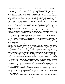sevenths of the space. She was so close to him that it scared her—so close that when he turned his head on his short, thick neck to look at her, he could hardly see her.

"He has a little slip of a wife," explained Gabriella to herself. "I'm in her seat: that's why he's used to it." So *she* got used to it; and soon felt a frank comfort in being able to nestle freely against him — to cling to him like a bat to a warm wall.

For cling sometimes she must. He was driving a sorrel fresh from pasture, with long, ragged hoofs, burrs in mane and tail, and a wild desire to get home to her foal; so that she fled across the country—bridges, ditches, everything, frantic with maternal passion.

One circumstance made for Gabriella's security: the buggy tilted over toward him so low, that she could not conveniently roll out: instead she felt as though she were being whirled around a steep hillside.

Meantime, how he talked to her! Told her the school was all made up: what families were going to send, and how many children from each. They had all heard from the superintendent what a fine teacher she was (not for nothing is it said that things are handed along kindly in Kentucky)!

"Oh," murmured Gabriella to herself, "if the family are only like *him!*" The mere way in which he called her by her first name, as though she were an old friend — a sort of old sweetheart of his whom for some reason he had failed to marry — filled her with perfect trust.

"That's my house!" he said at last, pointing with extended arm and whip (which latter he had no occasion to use) across the open country.

Gabriella followed his gesture with apprehensive eyes and beheld away off a big, comfortable-looking two-story brick dwelling with white-washed fences around it and all sorts of white-washed houses on one side or the other — a plain, sweet, country, Kentucky home, God bless it!

The whiteness won Gabriella at once; and with the whiteness went other things just as good: the assurance everywhere of thrift, comfort. Not a weed in sight, but September bluegrass, deep flowing, or fresh-ploughed fields or clean stubble. Every rail in its place on every fence; every gate well swung. Everything in sight in the way of livestock seemed to Gabriella either young or just old enough. The very stumps they passed looked healthy.

Her conjecture had been correct: the slender slip of a woman met her at the side porch a little diffidently, with a modest smile; then kissed her on the mouth and invited her in.

The supper table was already set in the middle of the room; and over in one corner was a big white bed—with a trundle bed (not visible) under it. Gabriella "took off her things" and laid them on the snowy counterpane; and the housewife told her she would let the children entertain her for a few minutes while she saw about supper.

The children accepted the agreement. They swarmed about her as about a new cake. Two or three of the youngest began to climb over her as they climbed over the ice-house, to sit on her as they sat on the stiles. The oldest produced their geographies and arithmetics and showed her how far they had gone. (They had gone a great deal farther than Gabriella!) No one paid the least attention to any one else, or stood in awe of anything or anybody: Fear had never come to that jungle!

But trouble must enter into the affairs of this world, and it entered that night into Gabriella. At supper the farmer, having picked out for her the best piece of the breast of the fried chicken, inquired in a voice which implied how cordially superfluous the question was, "Miss Gabriella, will you have cream gravy?"

"No, thank you."

The shock to that family! Not take cream gravy! What kind of a teacher was that, now?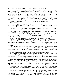Every small hand, old enough to use a knife or fork, held it suspended.

At the foot of the table, the farmer, dropping his head a little, helped the children, calling their names one by one, more softly and in a tone meant to restore cheerfulness if possible. The little wife at the head of the table had just put sugar into Gabriella's cup and was in the act of pouring the coffee. She hastily emptied the sugar back into the sugar-dish and asked with look of dismay, "Will you have sugar in your coffee?"

The situation grew worse at breakfast. In a voice to which confidence had been mysteriously restored during the night — a voice that seemed to issue from a honey-comb and to drip sweetness all the way across the table, that big fellow at the foot again inquired, "Miss Gabriella, will you have cream gravy — *this morning?*"

"No, thank you!"

The oldest boy cocked his eye sideways at his mother, openly announcing that he had won a secret wager. The mother hastily remarked, "I thought you might like a little for your breakfast."

The baby, noticing the stillness and trouble everywhere, and feeling itself deeply wounded because perfectly innocent, burst into frantic crying.

Gabriella could have outcried the baby! She resolved that if they had it for dinner, she would take it though it were the dessert.

A moment later she did better. Lifting her plate in both hands, she held it out, knife, fork, and all. "I believe I'll change my mind. It looks *so* tempting."

"I think you'll find it nice," remarked the housewife, conciliated, but resentful.

But every child now determined to watch and see what else she didn't take.

They watched in vain: she took everything. So that in a few days they recovered their faith in her and resumed their crawling. Gabriella had never herself realized how many different routes and stations she had in her own body until it had been thus traveled over: feet and ankles; knees; upper joints; trunk line; eastern and western divisions; head terminal.

There was never any more trouble for her in that household. They made only two demands: that she eat whatever was put on the table, and love them. Whatever was put on the table was good; and they were all lovable. They were one live, disorderly menagerie of nothing but love.

But love is not the only essential of life; and its phenomena can be trying.

Here, then, in this remote neighborhood of plain farmers, in a little district school situated on a mud road, Gabriella began, alone and without training, her new life — attempt of the Southern girl to make herself self-supporting in some one of the professions — sign of a vast national movement among the women of her people.

In her surroundings and ensuing struggles she had much use for that saving sense of humor which had been poured into her veins out of the deep clear wells of her ancestors; need also of that radiant, bountiful light which still fell upon her from the skies of the past; but more than these as staff to her young hands, cup to her lips, lamp to her feet, oil to her daily bruises, rest to her weary pillow, was reliance on Higher Help.

For the years — and they seemed to her many and wide — had already driven Gabriella, as they have driven countless others of her sex, out of the cold, windy world, into the church: she had become a Protestant devotee.

Had she been a Romanist, she would long ere this have been a nun. She was now fitted for any of those merciful and heroic services which keep fresh on earth the records of devoted women. The inner supporting stem of her nature had never been snapped; but it had been bruised enough to give off life-fragrance. Adversity had ennobled her. In truth, she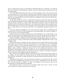had so weathered the years of a Revolution which had left her as destitute as it had left her free, that she was like Perdita's rosemary: a flower which keeps seeming and savor all the winter long.

The North Wind had bolted about her in vain his whitest snows; and now the woods were turning green. It was merely in keeping with Gabriella's nature, therefore, that as she grew to know the people among whom she had come to stay, their homes, their family histories, one household and one story should have engaged her deep interest: David's parents and David's career.

As she drove about the country, visiting with the farmer's wife, there had been pointed out a melancholy remnant of a farm, desperately resisting absorption by some one of three growing estates touching it on three sides. She had been taken to call on the father and mother; had seen the poverty within doors, the half-ruined condition of the outhouses; had heard of their son, now away at the university; of how they had saved and he had struggled. A proud father it was who now told of his son's magnificent progress already at college.

"Ah," she exclaimed, thinking it over in her room that night, "this is something worth hearing! Here is the hero in life! Among these easy-going people, this solitary struggler. I, too, am one now; I can understand him."

During the first year of her teaching, there had developed in her a noble desire to see David; but one long to be disappointed. He did not return home during his vacation; she went away during hers. The autumn following he was back in college; she at her school.

Then the Christmas holidays and his astounding, terrible home-coming, put out of college and church. As soon as she heard of that awful downfall, Gabriella felt a desire to go straight to him.

She did not reason or hesitate: she went. And now for two months they had been seeing each other every few days. Thus by the working out of vast forces, the lives of Gabriella and David had been jostled violently together. They were the children of two revolutions, separate, yet having a common end: she produced by the social revolution of the New World, which overthrew mediaeval slavery; he by the intellectual revolution of the Old World, which began to put forth scientific law, but in doing this brought on one of the greatest ages of religious doubt. So that both were early vestiges of the same immeasurable race evolution, proceeding along converging lines.

She, living on the artificial summits of a decaying social order, had farthest to fall, in its collapse, ere she reached the natural Earth; he, toiling at the bottom, had farthest to rise before he could look out upon the plains of widening modern thought and man's evolving destiny.

Through her fall and his rise, they had been brought to a common level. But on that level all that had befallen her had driven her as out of a blinding storm into the church, the seat and asylum of religion; all that had befallen him had driven him out of the churches as the fortifications of theology.

She had been drawn to that part of worship which lasts and is divine; he had been repelled by the part that passes and is human.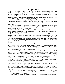### Chapter XĐI

Although Gabriella had joyously greeted the day, as bringing exemption from stifling hours in school, her spirits had drooped ere evening with monotony. There were no books in use among the members of that lovable household except school-books; they were too busy with the primary joys of life to notice the secondary resources of literature. She had no pleasant sewing. To escape the noise of the pent-up children, she must restrict herself to that part of the house which comprised her room.

A walk out of doors was impracticable, although she ventured once into the yard to study more closely the marvels of the ice-work; and to the edge of the orchard, to ascertain how the apple trees were bearing up under those avalanches of frozen silver slipped from the clouds.

So there were empty hours for her that day; and always the emptiest are the heaviest — those unfilled baskets of time which strangely become lightest only after we have heaped them with the best we have to give.

Gabriella filled the hour-baskets this day with thoughts of David, whose field work she knew would be interrupted by the storm, and whose movements about the house she vainly tried to follow in imagination.

Two months of close association with him in that dull country neighborhood had wrought great changes in the simple feeling with which she had sought him at first. He had then been to her only a Prodigal who had squandered his substance, tried to feed his soul on the swinish husks of Doubt, and returning to his father's house unrepentant, had been admitted, yet remained rejected: a Prodigal not of the flesh and the world but of the spirit and the Lord. But what has ever interested the heart of woman as a prodigal of some kind?

At other times he was figured by her sympathies as a young Samaritan gone traveling into a Divine country but fallen among spiritual thieves, who had stripped him of his seamless robe of Faith and left him bruised by Life's wayside: a maltreated Christneighbor whom it was her duty to succor if she could. But a woman's nursing of a man's wound — how often it becomes the nursing of the wounded!

Moreover, Gabriella had now long been aware of what she had become to her prodigal, her Samaritan; she saw the truth and watched it growing from day to day; for he was incapable of disguises. But often, what effect has such watching upon the watcher, a watcher who is alone in the world? So that while she fathomed with many feminine soundings all that she was to David, Gabriella did not dream what David had become to her.

Shortly after nightfall, when she heard his heavy tread on the porch below, the tedium of the day instantly vanished. Happiness rose in her like a clear fountain set suddenly playing — rose to her eyes — bathed her in refreshing vital emotions.

"I am so glad you came," she said as she entered the parlor, gave him her hand, and stood looking up into his softened rugged face, at his majestic head, which overawed her a little always. Large as was the mould in which nature had cast his body, this seemed to her dwarfed by the inner largeness of the man, whose development she could note as now going forward almost visibly from day to day: he had risen so far already and was still so young.

He did not reply to her greeting except with a look. In matters which involved his feeling for her, he was habitually hampered and ill at ease; only on general subjects did she ever see him master of his resources.

Gabriella had fallen into the habit of looking into his eyes for the best answers: there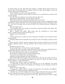he always spoke not only with ideas but emotions: a double speech much cared for by woman. They seated themselves on opposite sides of the wide, deep fireplace: a grate for soft coal had not yet destroyed that.

"Your schoolhouse is safe," he announced briefly.

"Oh, I've been wanting to know all day but had no one to send! How do you know?" she inquired quickly.

"It's safe. The yard will have to be cleared of brush: that's all."

She looked at him gratefully. "You are always so kind!"

"Well," observed David, with a great forward stride, "aren't you?"

Gabriella, being a woman, did not particularly prize this remark: it suggested his being kind because she had been kind; and a woman likes nothing as reward, everything as tribute. "And now if the apple trees are only not killed!" she exclaimed joyously, changing the subject.

"Why the apple trees?"

"If you had been here last spring, you would have understood. When they bloom, they are mine, I take possession."

After a moment she added: "They bring back the recollection of such happy times— springs long ago. Some time I'll tell you."

"When you were a little girl?"

"Yes."

"I wish I had known you when you were a little girl," said David, in an undertone, looking into the fire.

Gabriella reflected how impossible this would have been: the thought caused her sharp pain.

Some time later, David, who had appeared more and more involved in some inward struggle, suddenly asked a relieving question: "Do you know the first time I ever saw you?"

She did not answer at once.

"In the smoke-house," she said with a ripple of laughter.

Gabriella, when she was merry, made one think of some lovely green April hill, snowcapped. David shook his head slowly. His eyes grew soft and mysterious.

"It was the first time *I* ever saw *you*," she protested.

He continued to shake his head, and she looked puzzled.

"You saw me once before that, and smiled at me."

Gabriella seemed incredulous and not well pleased.

After a little while David began in the manner of one who sets out to tell a story he is secretly fond of. "Do you remember standing on the steps of a church the Friday evening before Christmas—a little after dark?"

Gabriella's eyes began to express remembrance.

"A wagon-load of cedar had just been thrown out on the sidewalk, the sexton was carrying it into the church, some children were helping, you were making a wreath: do you remember?"

She knew every word of this.

"A young man—a Bible student—passed, or tried to pass. You smiled at his difficulty. Not unkindly," he added, smiling not unkindly himself.

"And that was you? This explains why I have always believed I had seen you before. But it was only for a moment, your face was in the dark; how should I remember?"

After she said this, she looked grave: his face that night had been far from a happy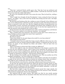one.

"That day," continued David, quickly grave also, "that day I saw my professors and pastor for the last time; it ended me as a Bible student. I had left the University and the scene of my trial only a little while before."

He rose as he concluded and took a turn across the room. Then he faced her, smiling a little sadly.

"Once I might have thought all that Providential. I mean, seeing the faces of my professors — my judges — last, as the end of my old life; then seeing your face next — the beginning of the new."

He had long used frankness like this, making no secret of himself, of her influence over him. It was embarrassing; it declared so much, assumed so much, that had never been declared or assumed in any other way. But her stripped and beaten young Samaritan was no labyrinthine courtier, bescented and bedraped and bedyed with worldliness and conventions: he came ever in her presence naked of soul. It was this that empowered her to take the measure of his feeling for her: it had its effect.

David returned to his chair and looked across with a mixture of hesitancy and determination. "I have never spoken to you about my expulsion—my unbelief."

After a painful pause she answered, "You must be aware that I have noticed your silence. Perhaps you do not realize how much I have regretted it."

"You know why I have not?"

She did not answer.

"I have been afraid. It's the only thing in the world I've ever been afraid of."

"Why should you have been?"

"I dreaded to know how you might feel. It has caused a difficulty with every one so far. It separated me from my friends among the Bible students. It separated me from my professors, my pastor. It has alienated my father and mother. I did not know how you would regard it."

"Have I not known it all the time? Has it made any difference?"

"Ah! but that might be only your toleration! Meantime it has become a question with me how far your toleration will go—what is back of your toleration! We tolerate so much in people who are merely acquaintances — people that we do not care particularly for and that we are never to have anything to do with in life. But if the tie begins to be closer, then the things we tolerated at a distance — what becomes of them then?"

He was looking at her steadily, and she dropped her eyes. This was another one of the Prodigal's assumptions—but never before put so pointedly.

"So I have feared that when I myself told you what I believe and what I do not believe, it might be the end of me. And when you learned my feelings toward what *you* believe that might be more troublesome still. But the time has come when I must know."

He turned his face away from her, and rising, walked several times across the room.

At last also the moment had arrived for which she had been waiting. Freely as they had spoken to each other of their pasts—she giving him glimpses of the world in which she had been reared, he taking her into his world which was equally unfamiliar — on this subject silence between them had never been broken.

She had often sought to pass the guard he placed around this tragic episode, but had always been turned away. The only original ground of her interest in him, therefore, still remained a background, obscure and unexplored.

She regretted this for many reasons. Her belief was that he was merely passing through a phase of religious life not uncommon with those who were born to go far in men-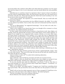tal travels before they settled in their Holy Land. She believed it would be over the sooner if he had the chance to live it out in discussion; and she herself offered the only possibility of this.

Gabriella was in a position to know by experience what it means in hours of trouble to need the relief of companionship. Ideas, she had learned, long shut up in the mind tend to germinate and take root. There had been discords which had ceased sounding in her own ear as soon as they were poured into another.

"I have always hoped," she repeated, as he seated himself, "that you would talk with me about these things."

And then to divert the conversation into less difficult channels, she added, "As to what you may think of my beliefs, I have no fear; they need not be discussed and they cannot be attacked."

"You are an Episcopalian," he suggested hesitatingly. "I do not wish to be rude, but your church has its dogmas."

"There is not a dogma of my church that I have ever thought of for a moment: or of any other church," she replied instantly and clearly.

In those simple words she had uttered unaware a long historic truth: that religion, not theology, forms the spiritual life of women. In the whole history of the world's opinions, no dogma of any weight has ever originated with a woman; wherein, as in many other ways, she shows points of superiority in her intellect. It is a man who tries to apprehend God through his logic and psychology; a woman understands Him better through emotions and deeds. It is the men who are concerned about the cubits, the cedar wood, the Urim and Thummim of the Tabernacle; woman walks straight into the Holy of Holies. Men constructed the Cross; women wept for the Crucified. It was a man — a Jew defending his faith in his own supernatural revelation—who tried to ram a sponge of vinegar into the mouth of Christ, dying; it was women who gathered at the sepulcher of Resurrection. If Christ could have had a few women among his Apostles, there might have been more of His religion in the world and fewer creeds barnacled on the World's Ship of Souls.

"How can you remain in your church without either believing or disbelieving its dogmas?" asked David, squarely.

"My church is the altar of Christ and the house of God," replied Gabriella, simply. "And so is any other church." That was all the logic she had and all the faith she needed; beyond that limit she did not even think.

"And you believe in *them all*?" he asked with wondering admiration.

"I believe in them all."

"Once I did also," observed David, reverently and with new reverence for her.

"What I regret is that you should have thrown away your religion on account of your difficulties with theology. Nothing more awful could have befallen you than that."

"It was the churches that made the difficulties," said David, "I did not. But there is more than theology in it. You do not know what I think about religions — revelations — inspirations—man's place in nature."

"What *do* you think?" she asked eagerly. "I suppose now I shall hear something about those great books." She put herself at ease in her chair like one who prepares to listen quietly.

"Shall I tell you how the whole argument runs as I have arranged it? I shall have to begin far away and come down to the subject by degrees." He looked apologetic.

"Tell me everything; I have been waiting a long time."

David reflected a few moments and then began: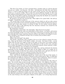"The first of my books, as I have arranged them, considers what we call the physical universe as a whole — our heavens — the stars — and discusses the little that man knows about it. I used to think the Earth was the center of this universe, the most important world in it, on account of Man. That is what the ancient Hebrews thought. In this room float millions of dust-particles too small to be seen by us. To say that the universe is made for the sake of the Earth would be something like saying that the Earth was created for the sake of one of these particles of its own dust."

He paused to see how she received this. "That ought to be a great book," she said approvingly. "I should like to study it."

"The second takes up that small part of the universe which we call our solar system and sums up the little we have learned regarding it. I used to think the Earth the most important part of the solar system, on account of Man. So the earliest natural philosophers believed. That is like believing that the American continent was created for the sake, say, of my father's farm."

He awaited her comment.

"That should be a great book," she said simply. "Some day let me see *that*."

"The third detaches for study one small planet of that system — our Earth — and reviews our latest knowledge of that: as to how it has been evolved into its present stage of existence through other stages requiring unknown millions and millions and millions of years. Once I thought it was created in six days. So it is written. Do you believe that?"

There was silence.

"What is the next book?" she asked.

"The fourth," said David, with a twinkle in his eye at her refusal to answer his question, "takes up the history of the Earth's surface — its crust — the layers of this — as one might study the skin of an apple as large as the globe. In the course of an almost infinite time, as we measure things, it discovers the appearance of Life on this crust, and then tries to follow the progress of Life from the lowest forms upward, always upward, to Man: another time infinitely vast, according to our standards."

He looked over for some comment but she made none, and he continued, his interest deepening, his face kindling: "The fifth takes up the subject of Man, as a single one of the myriads of forms of Life that have grown on the Earth's crust, and gives the best of what we know of him viewed as a species of animal. Does this tire you?"

Gabriella made the only gesture of displeasure he had ever seen.

"Now," said David, straightening himself up, "I draw near to the root of the matter. A sixth book takes up what we call the civilization of this animal species, Man. It subdivides his civilization into different civilizations. It analyzes these civilizations, where it is possible, into their arts, governments, literatures, religions, and other elements.

"And the seventh," he resumed after a grave pause, scrutinizing her face most eagerly, "the seventh takes up just one part of his civilizations — the religions of the globe and gives an account of these. It describes how they have grown and flourished, how some have passed as absolutely away as the civilizations that produced them. It teaches that those religions were as natural a part of those civilizations as their civil laws, their games, their wars, their philosophy; that the religious books of these races, which they themselves often thought inspired revelations, were no more inspired and no more revelations than their secular books; that Buddha's faith or Brahma's were no more direct from God than Buddhistic or Brahman temples were from God; that the Koran is no more inspired than Moorish architecture is inspired; that the ancient religion of the Jewish race stands on the same footing as the other great religions of the globe — as to being Supernatural;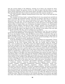that the second religion of the Hebrews, starting out of them, but rejected by them, the Christian religion, the greatest of all to us, takes its place with the others as a perfectly natural expression of the same human desire and effort to find God and to worship Him through all the best that we know in ourselves and of the universe outside us."

"Ah," said Gabriella, suddenly leaning forward in her chair, "that is the book that has done all the harm."

"One moment! All these books," continued David, for he was aroused now and did not pause to consider her passionate protest, "have this in common: that they try to discover and to trace Law. The universe—it is the expression of Law. Our solar system—it has been formed by Law. The sun—the driving force of Law has made it. Our Earth—Law has shaped that; brought Life out of it; evolved Life on it from the lowest to the highest; lifted primeval Man to modern Man; out of barbarism developed civilization; out of prehistoric religions, historic religions. And this one order—method—purpose—ever running and unfolding through the universe, is all that we know of Him whom we call Creator, God, our Father. So that His reign is the Reign of Law. He, Himself, is the author of the Law that we should seek Him. We obey, and our seekings are our religions.

"If you ask me whether I believe in the God of the Hebrews, I say 'Yes'; just as I believe in the God of the Babylonians, of the Egyptians, of the Greeks, of the Romans, of all men. But if you ask whether I believe what the Hebrews wrote of God, or what any other age or people thought of God, I say ' No.' I believe what the best thought of my own age thinks of Him in the light of man's whole past and of our greater present knowledge of the Laws of His universe," said David, stoutly, speaking for his masters.

"As for the theologies," he resumed hastily, as if not wishing to be interrupted, "I know of no book that has undertaken to number them. They, too, are part of Man's nature and civilization, of his never ceasing search. But they are merely what he thinks of God—never anything more. They often contain the highest thought of which he is capable in his time and place; but the awful mistake and cruelty of them is that they have regularly been put forth as the voice of God Himself, authoritative, inviolable, and unchanging. An assemblage of men have a perfect right to turn a man out of their church on theological grounds; but they have no right to do it in the name of God. With as much propriety a man might be expelled from a political party in the name of God. In the long life of any one of the great religions of the globe, how many brief theologies have grown up under it like annual plants under a tree! How many has the Christian religion itself sprouted, nourished, and trampled down as dead weeds! What do we think now of the Christian theology of the tenth century? of the twelfth? of the fifteenth? In the nineteenth century alone, how many systems of theology have there been? In the Protestantism of the United States, how many are there today? Think of the names they bear—older and newer! According to founders, and places, and sources, and contents, and methods: Arminian... Augustinian... Calvinistic... Lutheran... Gallican... Genevan... Mercersburg... New England... Oxford... national... revealed... Catholic... evangelical... fundamental... historica1... homiletical... moral... mystical... pastoral... practical... dogmatic... exegetical... polemic... rational... systematic... That sounds a little like Polonius," said David, stopping suddenly, "but there is no humor in it! One great lesson in the history of them all is not to be neglected: that through them also runs the great Law of Evolution, of the widening thoughts of men; so that now, in civilized countries at least, the churches persecute to the death no longer. You know what the Egyptian Priesthood would have done with me at my trial. What the Mediaeval hierarchy would have done. What the Protestant or the Catholic theology of two centuries ago might have done. Now mankind is developing better ideas of these little arrangements of human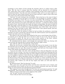psychology on the subject of God, though the churches still try to enforce them in His name. But the time is coming when the churches will be deserted by all thinking men, unless they cease trying to uphold, as the teachings of God, mere creeds of their ecclesiastical founders. Very few men reject all belief in God; and it is no man's right to inquire in what any man's belief consists; men do reject and have a right to reject what some man writes out as the eternal truth of the matter.

"And now," he said, turning to her sorrowfully, "that is the best or the worst of what I believe — according as one may like it or not like it. I see all things as a growth, a sublime unfolding by the Laws of God. The race ever rises toward Him. The old things which were its best once die off from it as no longer good. Its charity grows, its justice grows. All the nobler, finer elements of its spirit come forth more and more—a continuous advance along the paths of Law. And the better the world, the larger its knowledge, the easier its faith in Him who made it and who leads it on. The development of Man is itself the great Revelation of Him! But I have studied these things ignorantly, only a little while. I am at the beginning of my life, and hope to grow. Still I stand where I have placed myself. And now, are you like the others: do you give me up?"

He faced her with the manner in which he had sat before his professors, conceiving himself as on trial a second time. He had in him the stuff of martyrs and was prepared to stand by his faith at the cost of all things.

The silence in the room lasted. Her feeling for him was so much deeper than all this so centered, not in what his faith was to her but in what *he* was to her, that she did not trust herself to speak. He was not on trial in these matters in the least: without his knowing it, he had been on trial in many other ways for a long time.

He misunderstood her silence, read wrongly her expression which was obeying with some severity the need she felt to conceal what she had no right to show.

"Ah, well! Ah, well!" he cried piteously, rising slowly.

When she saw his face a moment later across the room as he turned, it was the face she had first seen in the dark street. It had stopped her singing then; it drew an immediate response from her now. She crossed over to him and took one of his hands in both of hers. Her cheeks were flushed, her voice trembled.

"I am not your judge," she said, "and in all this there is only one thing that is too sad, too awful, for me to accept. I am sorry you should have been misled into believing that the Christian religion is nothing more than one of the religions of the world, and Christ merely one of its religious teachers. I wish with all my strength you believed as you once believed, that the Bible is a direct Revelation from God, making known to us, beyond all doubt, the Resurrection of the dead, the Immortality of the Soul, in a better world than this, and the presence with us of a Father who knows our wants, pities our weakness, and answers our prayers. But I believe you will one day regain your faith: you will come back to the Church."

He shook his head. "Don't be deceived," he said.

"Men, great men, have said that before and they have come back. I am a woman, and these questions never trouble us; but is it not a common occurrence that men who think deeply on such mysteries pass through their period of doubt?"

"But suppose I never pass through mine! You have not answered my question," he said determinedly. "Does this make no difference in your feeling for me? Would it make none?"

"Will you bring me that book on the religions of the world?"

"Ah," he said, "you have not answered."

"I have told you that I am not your judge."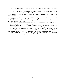"Ah, but that tells nothing: a woman is never a judge. She is either with one or against him."

"Which do I look like?" — she laughed evasively — "Mercy or Vengeance? And have you forgotten that it is late — too late to ask questions?"

He stood, comprehending her doubtfully, with immeasurable joy, and then went out to get his overcoat.

"Bring your things in here," she said, "it is cold in the hall. And wrap up warmly! That is more important than all the Genevan and the homiletical!"

He bade her good night, subdued with happiness that seemed to blot out the troublous past, to be the beginning of new life.

New happiness brought new awkwardness. "This was not my regular night," he said threateningly. "I came tonight instead of tomorrow night."

Gabriella could answer a remark like that quickly enough. "Certainly: it is hard to wait even for a slight pleasure, and it is best to be through with suffering."

He looked as if cold water and hot water had been thrown on him at the same time: he received shocks of different kinds and was doubtful as to the result. He shook his head questioningly. "I may do very well with science, but I am not so sure about women."

"Aren't women science?" "They are a branch of theology," he said; "they are what a man thinks about when he begins to probe his Destiny!"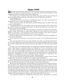### Chapter X<sup>p</sup>II

When he threw his shutters open late, he found that the storm had finished its work and gone and that the weather had settled stinging cold.

The heavens were hyacinth, the ground white with snow; and the sun, day-lamp of that vast ceiling of blue, made the earth radiant as for the bridal morn of Winter.

So his thoughts ran.

"Gabriella! Gabriella!" he cried, as he beheld the beauty, the purity, the breadth, the clearness. "It is you — except the coldness, the cruelty."

All day then those three: the hyacinthine sky, the flashing lamp, the white earth, with not one crystal thawing.

It being Saturday, there was double work for him. He knocked up the wood for that day and for Sunday also, packed and stored it; cut double the quantity of oats; threw over twice the usual amount of fodder.

The shocks were buried. He had hard kicking to do before he reached the rich brown fragrant stalks. Afterwards he made paths through the snow about the house for his mother; to the dairy, to the hen-house. In the wooden monotony of her life an interruption in these customary visits would have been to her a great loss.

The snow being over the cook's shoe-tops, he took a basket and dug the vegetables out of the holes in the garden.

In the afternoon he had gone to the pond in the woods to cut a drinking place for the cattle.

As he was returning with his axe on his shoulder, the water on it having instantly frozen, he saw, riding away across the stable lot, the one of their neighbors who was causing him so much trouble about the buying of the farm. He stopped hot with anger and watched him.

In those years a westward movement was taking place among the Kentuckians—a sad exodus. Many families rendered insolvent or bankrupt by the war and the loss of their slaves, while others interspersed among them had grown richer by Government contracts, were now being bought out, forced out, by debt or mortgage, and were seeking new homes where lay cheaper lands and escape from the suffering of living on, ruined, amid old prosperous acquaintances. It was a profound historic disturbance of population, destined later on to affect profoundly many younger commonwealths.

This was the situation now bearing heavily on David's father, on three sides of whose fragmentary estate lay rich neighbors, one of whom especially desired it.

The young man threw his axe over his shoulder again and took a line straight toward the house. "He shall not take advantage of my father's weakness again," he said, "nor shall he use to further his purposes what I have done to reduce him to this want."

He felt sure that this pressure upon his father lay in part back of the feeling of his parents toward him. His expulsion from college and their belief that he was a failure; the fact that for three years repairs had been neglected and improvements allowed to wait, in order that all possible revenues might be collected for him; even these caused them less acute distress than the fear that as a consequence they should now be forced so late in life to make that mournful pilgrimage into strange regions. David was saddened to think that ever at his father's side sat his mother, irritating him by dropping all day into his ear the half idle, half intentional words which are the water that wears out the rock.

The young man walked in a straight line toward the house, determined to ascertain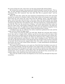the reason of this last visit, and to have out the long-awaited talk with his father.

He reached the yard gate, then paused and wheeled abruptly toward the barn. "Not today," he said, thinking of Gabriella and of his coming visit to her now but a few hours off. "Tomorrow! Day after tomorrow! Any time after this! But no quarrels today!" and his face softened.

Before the barn door, where the snow had been tramped down by the stock and seeds of grain lay scattered, he flushed a flock of little birds, nearly all strangers to each other. Some from the trees about the yard; some from the thickets, fences, and fields farther away. As he threw open the barn doors, a few more, shyer still, darted swiftly into hiding. He heard the quick heavy flap of wings on the joists of the oats loft overhead, and a hawk swooped out the back door and sailed low away. The barn had become a battle-field of hunger and life. This was the second day of famine — all seeds being buried first under ice and now under snow; swift hunger sending the littler ones to this granary, the larger following to prey on them. To-night there would be owls and in the darkness tragedies. In the morning, perhaps, he would find a feather which had floated from a breast.

A hundred years ago, he reflected, the wolves would have gathered here also and the cougar and the wildcat for bigger game.

It was sunset as he left the stable, his work done. Beside the yard gate there stood a locust tree, and on a bough of this, midway up, for he never goes to the tree-tops at this season, David saw a cardinal. He was sitting with his breast toward the clear crimson sky; every twig around him silver filigree; the whole tree glittering with a million gems of rose and white, gold and green; and wherever a fork, there a hanging of snow. The bird's crest was shot up. He had come forth to look abroad upon this strange wreck of nature and peril to his kind. David had scarcely stopped before him when with a quick shy movement he dived down into one of his ruined winter fortresses — a cedar dismembered and flattened out, never to rise again.

The supper that evening was a very quiet one. David felt that his father's eyes were often on him reproachfully; and that his mother's were approvingly on his father's. Time and again during the meal the impulse well-nigh overcame him to speak to his father then and there; but he knew it would be a cruel, angry scene; and each time the face of Gabriella restrained him. It was for peace; and his heart shut out all discord from around that new tenderer figure of her which had come forth within him this day.

Soon even the trouble at home was forgotten; he was on his way through the deep snow toward her.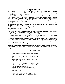### Chapter XVIII

Gabriella had brought with her into this neighborhood of good-natured, non-reading<br>presente the recollections of literature. These heavy health is a set of the set of the set of the set of the set of the set of the set of people the recollections of literature. These became her library of the mind; and deep joy she drew from its invisible volumes.

She had transported a fine collection of the heroes and heroines of good fiction (Gabriella, according to the usage of her class and time, had never read any but standard works). These, when the earlier years of adversity came on, had been her second refuge from the world; religion was the first. Now they were the means by which she returned to the world in imagination.

The failure to gather together so durable a company of friends leaves every mind the more destitute—especially a woman's, which has greater need to live upon ideals, and cannot always find these in actual life.

Then there were short poems and parts of long poems, which were as texts out of a high and beautiful Gospel of Nature.

One of these was on the snowstorm; and this same morning her memory long was busy, fitting the poem within her mind to the scenery around the farmhouse, as she passed joyously from window to window, looking out far and near.

There it all was as the great New England poet had described it: that masonry out of an unseen quarry, that frolic architecture of the snow, night-work of the North Wind, fierce artificer. In a few hours he had mimicked with wild and savage fancy the structures which human art can scarce rear, stone by stone, in an age: white bastions curved with projected roof round every windward stake or tree or door; the gateway overtopped with tapering turrets; coop and kennel hung mockingly with Parian wreaths; a swanlike form investing the hidden thorn.

From one upper window under the blue sky in the distance she could see what the poet had never beheld: a field of hemp shocks looking like a winter camp, dazzlingly white. The scene brought to her mind some verses written by a minor Kentucky writer on his own soil and people.

#### SONG OF THE HEMP

Ah, gentle are the days when the Year is young And rolling fields with rippling hemp are green And from old orchards pipes the thrush at morn. No land, no land like this is yet unsung Where man and maid at twilight meet unseen And Love is born.

Oh, mighty summer days and god of flaming tress When in the fields full-headed bends the stalk, And blossoms what was sown! No land, no land like this for tenderness When man and maid as one together walk And Love is grown.

Oh, dim, dim autumn days of sobbing rain When on the fields the ripened hemp is spread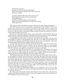And woods are brown. No land, no land like this for mortal pain When Love stands weeping by the sweet, sweet bed For Love cut down.

Ah, dark, unfathomably dark, white winter days When falls the sun from out the crystal deep On muffled farms. No land, no land like this for God's sad ways When near the tented fields Love's Soldier lies asleep With empty arms.

The verses were too sorrowful for this day, with its new, half- awakened happiness.

Had Gabriella been some strong-minded, uncompromising New England woman, she might have ended her association with David the night before, taking her place triumphantly beside an Accusing Judge. Or she might all the more fiercely have set on him an acrid conscience, and begun battling with him through the evidences of Christianity, that she might save his soul.

But this was a Southern girl of strong, warm, deep nature, who felt David's life in its simple entirety, and had no thought of rejecting the whole on account of some peculiarity in one of its parts; the white flock was more to her than one dark member.

Inexpressibly dear and sacred as was her own church, her own faith, she had never been taught to estimate a man primarily with reference to his. What was his family, how he stood in his profession, his honorable character, his manners, his manhood—these were what Gabriella had always been taught to look for first in a man.

In many other ways than in his faith and doubt, David was a new type of man to her. He was the most religious, the only religious, one she had ever known — a new spiritual growth arising out of his people as a young oak out of the soil. Had she been familiar with the Greek idea, she might have called him a Kentucky autochthon.

It was the first time also that she had ever encountered in a Kentuckian the type of student mind — that fitness and taste for scholarship which sometimes moves so unobtrusively and rises so high among that people, but is usually unobserved unless discovered pre-eminent and commanding far from the confines of the state.

Touching his skepticism, she looked upon him still as she had thought of him at first as an example of a sincere soul led astray for a time only. Strange as were his views (and far stranger they seemed in those years than now), she felt no doubt that, when the clouds marshaled across his clear vision from the minds of others had been withdrawn, he would once more behold the Sun of Righteousness as she did. Gabriella as by intuition reasoned that a good life most often leads to a belief in the Divine Goodness; that as we understand in others only what we are in ourselves, so it is the highest elements of humanity that must be relied upon to believe in the Most High: and of David's lofty nature she possessed the whole history of his life as evidence.

Her last act, then, the night before, had been, in her nightgown, on her knees, to offer up a prayer that he might be saved from the influences of false teachers and guided back to the only Great One.

But when a girl, with all the feelings which belong to her at that hour, seeks this pure audience and sends upward the name of a man on her spotless prayers, he is already a sacred happiness to her as well as a care.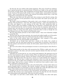On this day she was radiant with tender happiness. The snow of itself was exhilarating. It spread around her an enchanted land. It buried out of sight in the yard and stable lots all mire, all ugly things. This ennoblement of eternal objects reacted with comic effect on the interior of the house itself; outside it was a marble palace, surrounded by statuary; within—alas! It provoked her humor, that innocent fun-making which many a time had rendered her environment the more tolerable.

When she went down into the parlor early that evening to await David's coming, this gayety, this laughter of the generations of men and women who made up her past, possessed her still.

She made a fresh investigation of the parlor, took a new estimate of its peculiar furnishings. The hearthstones — lead color. The mohair furniture — cold at all temperatures of the room and slippery in every position of the body. The little marble-top table on which rested a glass case holding a stuffed blue jay clutching a varnished limb: tail and eyes stretched beyond the reach of muscles. Near the door an enormous shell which, on summer days, the cook blew as a dinner horn for the hands in the field. A collection of ambrotypes which, no matter how held, always caused the sitter to look as though the sun was shining in his eyes. The violence of the Brussels carpet.

But the cheap family portraits in thin wooden frames — these were Gabriella's delight in a mood like this.

The first time she saw these portraits, she turned and walked rapidly out of the parlor. She had enough troubles of her own without bearing the troubles of all these faces.

Later on she could confront them with equanimity—that company of the pallid, the desperately sick, the unaccountably uncomfortable.

All looked, not as though there had been a death in the family, but a death in the collection: only the same grief could have so united them as mourners. And whatever else they lacked, each showed two hands, the full number, placed where they were sure to be counted.

She was in the midst of this psychological reversion to ancestral gayety when David arrived.

Each looked quickly at the other with unconscious fear. Within a night and a day, each had drawn nearer to the other; and each secretly inquired whether the other now discovered this nearness.

Gabriella saw at least that he, too, was excited with happiness. He appeared to her for the first time handsome. He *was* better looking. When one approaches the confines of love, one nears the borders of beauty. Nature sets going a certain work of decoration, of transformation. Had David about this time been a grouse, he would probably have displayed a prodigious ruff. Had he been a bulbul and continued to feel as he did, he would have poured into the ear of night such roundelays as had never been conceived of by that disciplined singer. Had he been a master violinist, he would have been unable to play a note from a wild desire to flourish the bow.

He had long stood rooted passively in the soil of being like a century plant when it is merely keeping itself in existence. But latterly, feeling in advance the approach of the Great Blossoming Hour, he had begun to shoot up rapidly into a lofty life-stalk; there were inches of the rankest growth on him within the last twenty-four hours.

Tonight he was not even serious in his conversation; and therefore he was the more awkward. His emotions were unmanageable; much more his talk. But she who witnesses this awkwardness and understands — does she ever fail to pardon?

"Last night," he said with a droll twinkle, after the evening was about half spent,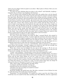"there was one subject I did not speak to you about — Man's place in Nature. Have you ever thought about that?"

"I've been too busy thinking about my place in the school!" said Gabriella, laughing — Gabriella who at all times was simplicity and clearness.

"You see Nature does nothing for Man except what she enables him to do for himself. In this way she has made a man of him; she has given him his resources and then thrown him upon them. Beyond that she cares nothing, does nothing, provides, arranges nothing. I used to think, for instance, that the greenness of the earth was intended for his eyes — all the loveliness of spring. On the contrary, she merely gave him an eye which has adapted itself to get pleasure out of the greenness. The beauty of spring would have been the same, year after year, century after century, had he never existed. And the blue of the sky-I used to think it was hung about the Earth for his sake; and the colors of the clouds, the great sunsets. But the blueness of the sky is nothing but the dust of the planet floating deep around it, too light to sink through the atmosphere, but reflecting the rays of the sun. These rays fall on the clouds and color them. It would all have been so, had Man never been born. The Earth's springs of drinking water, refreshing showers, the rainbow on the cloud — they would have been the same, had no human being ever stood on this planet to claim them for ages as the signs of providence and of covenant."

Gabriella had her own faith as to the rainbow.

"So, none of the other animals was made for Man," resumed David, who seemed to have some ulterior purpose in all this. "I used to think the structure and nature of the ass were given him that he might be adapted to bear Man's burdens; they were given him that he might bear his own burdens. Horses were not made for cavalry. And a camel — I never doubted that he was a wonderful contrivance to enable man to cross the desert; he is a wonderful contrivance in order that the contrivance itself may cross the desert."

"I hope I may never have to use one," said Gabriella, "when I commence to ride again. I prefer horses and carriages — though I suppose you would say that only the carriage was designed for me and that I had no right to be drawn in that way."

"Some day a horse may be designed for you, just as the carriage is. We do not use horses on railroads now; we did use them at first in Kentucky. Sometime you may not use horses in your carriage. You may have a horse that was designed for you."

"I think," said Gabriella, "I should prefer a horse that was designed for itself."

"And so," resumed David, moving straight on toward his concealed climax, "if I were a poet, I'd never write poems about flowers and clouds and lakes and mountains and moonbeams and all that; those things are not for a man. If I were a novelist, I'd never write stories about a grizzly bear, or a dog, or a red bird. If I were a sculptor, I'd not carve a lynx or a lion. If I were a painter, I'd never paint sheep. In all this universe there is only one thing that Nature ever created for a man. I'd write poems about that one thing! I'd write novels about it! I'd paint it! I'd carve it! I'd compose music to it!"

"Why, what is that?" said Gabriella, led sadly astray.

"A woman!" said David solemnly, turning red.

Gabriella fled into the uttermost caves of silence.

"And there was only one thing ever made for woman."

"I understand perfectly."

David felt rebuffed. He hardly knew why. But after a moment or two of silence he went on, still advancing with rough paces toward his goal.

"Sometimes," he said mournfully, "it's harder for a man to get the only thing in the world that was ever made for him than anything else! This difficulty, however, appertains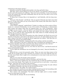exclusively to the human species."

Gabriella touched her handkerchief quickly to her lips and held it there.

"But then, many curious things are true of our species," he continued, with his eyes on the fire and in the manner of a soliloquy, "that never occur elsewhere. A man, for instance, is the only animal that will settle comfortably down for the rest of its days to live on the exertions of the female."

"It shows how a woman likes to be depended on," said Gabriella, with her deep womanliness.

"Tom-cats of the fireside," said David, "who are proud of what fat mice their wives feed them on. It may show what you say in the nature of the woman. But what does it show in the nature of the man?"

"That depends."

"I don't think it depends," replied David. "I think it is either one of the results of Christianity or a survival of barbarism. As one of the results of Christianity, it demonstrates what women will endure when they are imposed upon. As a relic of barbarism—when it happens in our country — why not regard it as derived from the North American Indians? The chiefs lounged around the house and smoked the best tobacco and sent the squaws out to work for them. Occasionally they broke silence by briefly declaring that they thought themselves immortal."

Gabriella tried to draw the conversation into other channels, but David was not to be diverted. "It has been a great fact in the history of your sex," he said, looking across at her, with a shake of his head, as though she did not appreciate the subject, "that idea that everything in the universe was made for Man."

"Why?" inquired Gabriella, resigning herself to the perilous and the irresistible.

"Well, in old times it led men to think that since everything else belonged to them, so did woman: therefore when they wanted her they did not ask for her; they took her."

"It is much better arranged at present, whatever the reason."

"Now a man cannot always get one, even when he asks for her," and David turned red again and knotted his hands.

"I am so glad the schoolhouse was not damaged by the storm," observed Gabriella, reflecting.

David fell into a revery but presently awoke. "There are more men than women in the world. On an average, that is only a fraction of a woman to every man. Still the men cannot take care of them. But it ought to be a real pleasure to every man to take care of an entire woman."

"Did you ever notice the hands in that portrait?"

David glanced at the portrait without noticing it, and went his way.

"Since a man knows nothing else was created for him, he feels his loneliness without her so much more deeply. They ought to be very good and true to each other—a man and a woman—since they two are alone in the universe."

He gulped down his words and stood up, trembling. "I must be going," he said, without even looking at Gabriella, and went out into the hall for his coat.

"Bring it in here." she called. "It is cold out there."

She watched how careless he was about making himself snug for his benumbing walk. He had a woollen comforter which he left loosely tied about his neck.

"Tie it closer," she commanded. "You had a cold last night, and it is worse tonight. Tuck it in close about your neck."

David made the attempt. He was not thinking.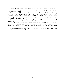"This way!" And Gabriella showed him by using her fingers around her own neck and collar. He tried again and failed, standing before her with a mingling of embarrassment and stubborn determination.

"That will never do!" she cried with genuine concern. She took hold of the comforter by the ends and drew the knot up close to his throat, he lifting his head to receive it as it came. Then David, with his eyes on the ceiling, felt his coat collar turned up and her soft warm fingers tucking the comforter in around his neck. When he looked down, she was standing over by the fireplace.

"Good night," she said positively, with a quick gesture of dismissal as she saw the look in his eyes.

Each of the million million men who made up the past of David, that moment reached a hand out of the distance and pushed him forward. But of them all there was none so helpless with modesty—so in need of hiding from every eye—even his own—the sacred annals of that moment.

He was standing by the table on which burned the candles. He bent down quickly and blew them out and went over to her by the dim firelight.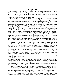### Chapter XIX

All high happiness has in it some element of love; all love contains a desire for peace. One immediate effect of new happiness, new love, is to make us turn toward the past with a wish to straighten out its difficulties, heal its breaches, forgive its wrongs. We think most hopefully of distressing things which may still be remedied, most regretfully of others that have passed beyond our reach and will.

It was between ten and eleven o'clock of the next day — Sunday. David's cold had become worse. He had turned over necessary work to the Negro man and stayed quietly in his room since the silent breakfast Two or three books chosen carelessly out of the trunk lay on his table before the fire: interest had gone out of them this day. With his face red and swollen, he was sitting beside this table with one hand loosely covering the forgotten books, his eyes turned to the window, but looking upon distant inward scenes.

Sunday morning between ten and eleven o'clock! the church-going hour of his Biblestudent life. In imagination he could hear across these wide leagues of winter land the faint, faint peals of the church bells which were now ringing. He was back in the town again — up at the college — in his room at the dormitory; and it was in the days before the times of his trouble. The students were getting ready for church, with freshly shaved faces, boots well blacked, best suits on, not always good ones. He could hear their talk in the rooms around his, hear fragments of hymns, the opening and shutting of doors along the hallways, and the running of feet down the stairs. By ones and twos and larger groups they passed down and out with their hymnals, Testaments, sometimes blank books for notes on the sermon. Several thrust bright, cordial faces in at the door, as they passed, to see whether he and his roommate had started.

The scene changed. He was in the church, which was crowded from pulpit to walls. He was sitting under the chandelier in the choir. The number of the first hymn had just been whispered along, and he began to sing, with hundreds of others, the music which then released the pinions of his love and faith as the air releases the wings of a bird. The hymn ceased; he could see the pastor rise from behind the pulpit, advance, and with a gesture gather that sea of heads to prayer. He could follow the sermon, most of all the exhortation; around him was such stillness in the church that his own heart-beats were audible. Then the Supper and then home to the dormitory again—with a pain of happiness filling him, the rest and the unrest of consecration.

Many other scenes he lived through in memory this morning—once lived in reality amid that brotherhood of souls.

His tenderest thoughts perhaps dwelt on the young men's prayer-meetings of Sunday afternoons at the college. There they drew nearest to the Eternal Strength which was behind their weakness, and closest to each other as student after student lifted a faltering, stumbling petition for a common blessing on their work. The Immortal seemed to be in that bare room, filling their hearts with holy flame, drawing around them the isolation of a devoted band. They were one in One.

Then had followed the change in him which produced the change in them: no fellowship, no friendship, with an unbeliever; and he was left without a comrade. His heart was yearning and sick this day to be reconciled to them all. How did they think of him, speak of him, now? Who slept in his bed? Who sat a little while, after the studies of the night were over, talking to his room-mate? Who knelt down across the room at his prayers when the lights were put out? And his professors — what bulwarks of knowledge and rectitude and kindness they were! —all with him at first, all against him at last, as in duty bound.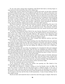To one man alone among those hundreds could David look back as having begun to take interest in him toward the close of his college days.

During that vacation which he had spent in reading and study, he had often refreshed himself by taking his book out to the woodland park near the city, which in those days was the grounds of one of the colleges of the University. There he found the green wild country again, a forest like his pioneer ancestor's. Regularly here he observed at out-of-door work the professor of Physical Science, who also was pressing his investigations forward during the leisure of those summer months. An authority from the north, from a New England university, who had resigned his chair to come to Kentucky, attracted by the fair prospects of the new institution. A great gray-bearded, eagle-faced, square-shouldered, big-footed man: reserved, absorbed, asking to be let alone, one of the silent masters.

But David, desperate with intellectual loneliness himself, and knowing this man to be a student of the new science, one day had introduced himself and made inquiry about entering certain classes in his course the following session. The professor shook his head. He was going back to New England himself the next year; and he moved away under the big trees, resuming his work.

As troubles had thickened about David, his case became discussed in University circles; and he was stopped on the street one day by this frigid professor and greeted with a man's grasp and a look of fresh beautiful affection. His apostasy from dogmatism had made him a friend of that lone thinker whose worship of God was the worship of Him through the laws of His universe and not through the dogmas of men.

This professor—and Gabriella: they alone, though from different motives, had been drawn to him by what had repelled all others.

It was his new relation to her beyond anything else that filled David this day with his deep desire for peace with his past. She had such peace in herself, such charity of feeling, such simple steadfast faith: she cast the music of these upon the chords of his own soul. To the influence of her religion she was now adding the influence of her love; it filled him, subdued, overwhelmed him.

And this morning, also out of his own happiness he remembered with most poignant suffering the unhappiness of his father. His own life was unfolding into fullness of affection and knowledge and strength; his father's was closing amid the weakness and troubles that had gathered about him; and he, David, had contributed his share to these. To be reconciled to his father this day—that was his sole thought.

It was about four o'clock. The house held that quiet which reigns of a Sunday afternoon when the servants have left the kitchen for the cabin, when all work is done, and the feeling of Sunday rest takes possession of our minds. The winter sunshine on the fields seems full of rest; the brutes rest—even those that are not beasts of burden. The birds appear to know the day, and to make note of it in quieter twitter and slower flight.

David rose resolutely and started downstairs.

As he entered his father's room, his mother was passing out. She looked at her son with apprehension, as she closed the door.

His father was sitting by a window, reading, as was his Sunday wont, the Bible. He had once written to David that his had always been a religious people; it was true. A grave, stern man — sternest, gravest on Sunday. When it was not possible to go to church, the greater to him the reason that the house itself should become churchlike in solemnity, out of respect to the day and the duty of self-examination. A man of many failings, but on this subject strong.

David sat down and waited for him to reach the end of the page or chapter. But his fa-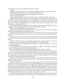ther read on with a slow perceptible movement of his lips.

"Father."

The gray head was turned slowly toward him in silent resentment of the interruption. "I thought it would be better to come down and talk with you."

The eyes resought the page, the lips resumed their movements.

"I am sorry to interrupt you."

The eye still followed the inspired words, from left to right, left to right, left to right.

"Father, things ought not to go on in this way between us. I have been at home now for two months. I have waited, hoping that you would give me the chance to talk about it all. You have declined, and meantime I have simply been at work, as I used to be. But this must not be put off longer for several reasons. There are other things in my life now that I have to think of and care for."

The tone in which David spoke these last words was unusual and significant. The eyes stopped at a point on the page. The lips were pressed tightly together.

David rose and walked quietly out of the room.

After he had closed the door behind him and put his foot on the stairs, he stopped and with fresh determination reopened the door.

His father had shut the Bible, laid it on the floor at the side of his chair, and was standing in the middle of the room with his eyes on the door through which David had passed.

He pointed to his son to be seated, and resumed his chair. He drew his penknife from his pocket and slowly trimmed the ravelings from his shirt-cuffs, blowing them off his wrists.

David saw that his hands were trembling violently. The tragedy in the poor action cut him to the heart and he threw himself remorsefully into the midst of things.

"Father, I know I have disappointed you! Know it as well as you do; but I could not have done differently."

"*You* not believe in Christianity! *You* not believe the Bible!" The suppressed enraged voice summed up again the old contemptuous opinion.

The young man felt that there was another than himself whom it wounded.

"Sir, you must not speak to me with that feeling! Try to see that I am as sincere as you are. As to the goodness of my mind, I did not derive it from myself and am not to blame. I have only made an earnest and an honest use of what mind was given me. But I have not relied upon it alone. There are great men, some of the greatest minds of the world, who have been my teachers and determined my belief."

"All your life you had the word of God as your teacher and you believed it. Now these men tell you not to believe it and you believe them. And then you complain that I do not think more highly of you."

"Father," cried David, "there is one man whose name is very dear to us both. The blood of that man is in me as it is in you. Sir, it is your grandfather. Do you remember what the church of his day did with him? Do you forget that, standing across the fields yonder, is the church he himself built to freedom of opinion in religious matters? I grew up, not under the shadow of that church, for it casts none, but in the light of it. I have seen many churches worship there. I have had before me, from the time I could remember, my greatgrandfather's words: they seemed to me the voice of God by whom all men were created, and the spirit of Christ by whom, as you believe, men are to be saved."

The younger man stopped and waited in vain for the older one to reply. But his father also waited, and David went on: "I do not expect you to stand against the church in what it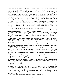has done with me: that *had* to be done. If you had been an elder of that church, I know you, too, would have voted to expel me. What I do ask of you is that you think me as sincere in my belief as I think you in yours. I do ask for your toleration, your charity. Everything else between us will be easy, if you can see that I have done only what I could. The faith of the world grows, changes. Sons cannot always agree with their fathers; otherwise the world would stand still. You do not believe many things your own grandfather believed — the man of whose memory you are so proud. The faith you hold did not even exist among men in his day. I can no longer agree with you: I do not think the less of you because I believe differently; do not think the less of me!"

The young man could not enter into any argument with the old one. He would not have disturbed if he could his father's faith: it was too late in life for that. Neither could he defend his own views without attacking his father's: that also would have been cruelty in itself and would have been accepted as insulting. Still David could not leave his case without witnesses.

"There are things in the old Bible that no scholar now believes."

"The Almighty declares they are true; you say they are not: I prefer to believe the Almighty. Perhaps He knows better than you and the scholars."

David fell into sorrowful silence. "There are some other matters about which I should like to speak with you, father," he said, changing the subject. "I recall one thing you said to me the day I came home. You asked me why I had come back here: do you still feel that way?"

"I do. This is a Christian house. This is a Christian community. You are out of place under this roof and in this neighborhood. Life was hard enough for your mother and me before. But we did for you what we could; you were pleased to make us this return. It will be better for you to go."

Every word seemed to have been hammered out of iron, once melted in the forge, but now cold and unchangeably shaped to its heavy purpose. The young man writhed under the hopelessness of the situation.

"Sir, is it all on one side? Have I done nothing for you in all these years? Until I was nearly a man's age, did I not work? For my years of labor did I receive more than a bare living? Did you ever know a slave as faithful? Were you ever a harsh master to this slave? Do you owe me nothing for all those years? I do not mean money—I mean kindness, justice!"

"How many years before you began to work for us did your mother and I work for you? Did you owe us nothing for all that?"

"I did! I do! I always shall! But do you count it against me that Nature brought me forth helpless and kept me helpless for so many years afterwards? If my being born was a fault, whose was it? Is the dependence of an infant on its parent a debt? Father! father! Be just! be just! that you may be more kind to me."

"Kind to *you*! Just to *you*!"

Hitherto his father had spoken with a quietude which was terrible, on account of the passion raging beneath. But now he sprang to his feet, strode across, and, pulling a ragged shirt-cuff down from under his coat-sleeve, shook it in his son's eyes — poverty. He went to one of the rotting doors and jerking it open without turning the knob, rattled it on its loose hinges — poverty. He turned to the window, and with one gesture depicted ruined outhouses and ruined barn, now hidden under the snow, and beautiful in the Sunday evening light — poverty.

He turned and faced his son, majestic in mingled grief and care.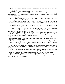"Kind! just! you who have trifled with your advantages, you who are sending your mother out of her home-"

David sprang toward him in an agony of trouble and remorse.

"It is not true, it is not necessary! Father, you have been too much influenced by my mother's fears. This is Bailey's doing. It is about this I have wanted to talk to you. I shall see Bailey tomorrow."

"I forbid you to see him or to interfere."

"I must see him, whether you wish it or not," and David, to save other hard words that were coming, turned quickly and left the room.

He did not go down to supper. Toward bedtime, as he sat before his fire, he heard a slow, unfamiliar step mounting the stair. Not often in a year did he have the chance to recognize that step.

His mother entered, holding a small iron stew-pan, from under the cover of which steamed a sweet, spicy odor.

"This will do your cold good," she said, tasting the stew out of a spoon which she brought in her other hand, and setting it down on the hot hearth. Then she stood looking a little fearfully at her son, who had not moved.

Ah, that is woman's way! She incites men to a difficulty, and then appears innocently on the battle-field with bandages for the belligerents. How many of the quarrels of this world has she caused — and how few ever witnessed!

David was sick in heart and body, and kept his chair and made no reply. His mother suddenly turned, feeling a cold draft on her back, and observed the broken window-pane and the flapping sheet of paper.

"There's putty and glass in the store-room: why don't you put that pane of glass in?"

"I will sometime," said David, absently. She went over to his bed and beat up the bolster and made everything ready for him.

"You ought to have clean sheets and pillow-cases," she remarked confidently; "the Negroes are worthless. Good night," she said, with her hand on the door, looking back at him timidly.

He sprang up and went over to her. "Oh, mother! mother! mother!" he cried, and then he checked the useless words that came rushing in a flood. "Good night! and thank you for coming. Good night! Be careful, I'll bring the candle, the stairway is dark. Good night!"

"Oh, Gabriella! Gabriella!" he murmured as he went back to his table.

He buried his head on his arms a moment, then, starting up, threw off his clothes, drank the mixture, and got into bed.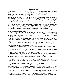# Chapter XX

 $\mathcal{F}$ t dead of night out in a lonely country, what sound freezes the blood like the quick cry of an animal seized and being killed? The fright, the pain, the despair: whosoever has heard these notes has listened to the wild death-music of Nature, ages old.

On the still frozen air near two or three o'clock of next morning, such a cry rang out from inside the barn. There were the short rushes to and fro, round and round; then violent leapings against the door, the troughs, and sides of the stable; then mad plunging, struggling, panting; then a long, terrified, weakened wail, which told everything beyond the clearness of words.

Up in his room, perfectly dark, for the coals in the grate were now sparkless, David was lying on his back, sleeping heavily and bathed in perspiration. Overheated, he had pushed the bed covers off from his throat; he had hollowed the pillow away from his face.

So deep was the stillness of the house and of the night air outside, that almost the first sounds had reached his ear and sunk down into his brain: he stirred slightly.

As the tumult grew louder, he tossed his head from side to side uneasily, and muttered a question in his broken dreams.

And now the barn was in an uproar; and the dog, chained at his kennel behind the house, was howling, roaring to get loose. Would he never waken? Would the tragedy which he himself had unwittingly planned and staged be played to its end without his hearing a word? (So often it is that way in life.)

At last, as one who has long tugged at his own sleep, striving to rend it as a smothering blanket and burst through into free air, he sat up in bed, confused, listening.

"Dogs!" he exclaimed, grinding his teeth. He was out of bed in an instant, groping for his clothes. It seemed he would never find them. As he dressed, he muttered remorsefully to himself, "I simply put them into a trap."

When he had drawn on socks, boots, and trousers, he slipped into his overcoat, felt for his hat, and hurried down.

He released the dog, which instantly was off in a noiseless run, and followed, buttoning the coat about him as he went: the air was like ice against his bare, hot throat.

Another moment and he could hear the dogs fighting.

When he reached the door of the shed and threw it open, the flock of sheep bounded out past him in a wild rush for the open. He stepped inside, searching around with his foot as he groped. Presently it struck against something large and soft close to the wall in a corner.

He reached down and, taking it by the legs, pulled the sheep out into the moonlight, several yards across the snow: a red track followed, as though made with a broad dripping brush.

David stood looking down at it and kicked it two or three times.

"Did it make any difference to you whether your life were taken by dog or man? The dog killing you from instinct and famine; a man killing you as a luxury and with a fine calculation? And who is to blame now for your death, if blame there be? I who went to college instead of building a stable? Or the storm which deprived these prowlers of nearer food and started them on a far hunt, desperate with hunger? Or man who took you from wild Nature and made you more defenseless under his keeping? Or Nature herself who edged the tooth and the mind of the dog-wolf in the beginning, that he might lengthen his life by shortening yours? Where and with what purpose began on this planet the taking of life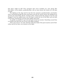that there might be life? Poor questions that never troubled you, poor sheep! But that follow, as his shadow, pondering Man, who no more knows the reason of it all than you did."

The fighting of the dogs had for the first few moments sounded farther and farther away, retreating through the barn and thence into the lot; and by and by the shepherd ran around and stood before David, awaiting orders. David seized the sheep by the feet and dragged it into the saddle-house; sent the dog to watch the rest of the flock; and ran back to the house, drawing his overcoat more tightly about him.

As quickly as possible he got into bed and covered up warmly. Something caused him to recollect just then the case of one of the Bible students.

"Now I am in for it," he said. And this made him think of his great masters and of Gabriella; and he lay there very anxious in the night.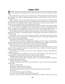# Chapter XXI

Wilight had three times descended on the drear land. Three times Gabriella, standing At her windows and looking out upon the snow and ice, had seen everything disappear.

How softly white were the snow-covered trees; how soft the black that thickened about them till they were effaced. Gabriella thought of them as still perfectly white out there in the darkness.

Three evenings with her face against the pane she had watched for a familiar figure to stalk towering up the yard path, and no familiar figure had come. Three evenings she had returned to her firelight, and sat before it with an ear on guard for the sound of a familiar step on the porch below; but no step had been heard.

On the first night she had all but hoped that he would not seek her; the avowal of their love for each other had well-nigh left it an unendurable joy. But the second night she had begun to expect him confidently; and when the hour had passed and he had not come, Gabriella sat long before her fire with a new wound — she who had felt so many.

By the third day she had reviewed all that she had ever heard of him or known of him: gathered it all afresh as a beautiful thing for receiving him with when he should come to her that night.

Going early to her room, she had taken her chair to the window and, with her face close to the pane, had watched again — watched that white yard; and again nothing moved in that white yard but the darkness.

She sprang up and began to walk to and fro.

"If he does not come tonight, something has happened. I know, I know, I know! Something is wrong. My heart is not mistaken. Oh, if anything were to happen to him! I must not think of it! I have borne many things; but *that*! I must not think of it!"

She sank into her chair with her ear strained toward the porch below.

For a long time there was no sound. Then she heard the noise of heavy boots—a tapping of the toes against the pillars, to knock off the snow, and then the slow creaking of soles across the frozen boards.

She started up. "It is some one else," she cried, wringing her hands. "Something has happened to him."

She stopped still in the middle of the room, her arms dropped at her sides, her eyes stretched wide. The house girl's steps were heard running upstairs.

Gabriella jerked the door open in her face. "What is the matter?" she cried.

A Negro man had come with a message for her. The girl looked frightened. Gabriella ran past her down into the hall.

"What is the matter?" she asked.

His Marse David had sent for her and wanted her to come at once. He had brought a horse for her.

"Is he ill—seriously ill?"

He had had a bad cold and was worse.

"The doctor — has he sent for the doctor?"

The Negro said that he was to take her back first and then go for the doctor.

"Go at once."

It was very dark, he urged, and slippery.

"Go on for the doctor! Where have you left the horse?"

The horse was at the stiles. The Negro insisted that it would be better for him to go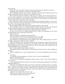back with her.

"Don't lose time," she said, "and don't keep me waiting. Go! As quickly as you can!" The Negro cautioned her to dismount at the frozen creek.

When Gabriella, perhaps an hour later, knocked at the side door of David's home—his father's and mother's room— there was no summons to enter.

She turned the knob and walked in. The room was empty; the fire had burned low; a cat lay on the hearthstones. It raised its head halfway and looked at her through the narrow slits of its yellow eyes and curled the tip of its tail— the cat which is never inconvenienced, which shares all comforts and no troubles.

She sat down in a chair, overcome with excitement and hesitating what to do. In a moment she noticed that the door opening on the foot of the staircase stood ajar. It led to his room. Not a sound reached her from above.

She summoned all her self-control, mounted the stairway, and entered.

The two Negro women were standing inside with their backs to the door. On one side of the bed sat David's mother; on the other his father. Both were looking at David.

He lay in the middle of the bed, his eyes fixed restlessly on the door.

As soon as he saw her, he lifted himself with an effort and stretched out his arms and shook them at her with hoarse little cries.

"Oh! oh! oh! oh!"

The next moment he locked his arms about her.

"Oh, it has been so long!" he said, drawing her close, "so long!"

"Ah, why did you not send for me? I have waited and waited."

He released her and fell back upon the pillows; then, with a slight gesture, he said to his father and mother, "Will you leave us alone?"

When they had gone out, he took one of her hands and pressed it against his cheek and lay looking at her piteously. Gabriella saw the change in him: his anxious expression, his cheeks flushed with a red spot, his restlessness, his hand burning. She could feel the big veins throbbing too fast, too crowded.

But a woman smiles while her heart breaks.

He propped himself a little higher on the pillows and turned on his side, clutching at his lung.

"Don't be frightened," he said, searching her face, "I've got something to tell you. Promise."

"I promise."

"I am going to have pneumonia, or I have it now. You are not frightened?"

Her eyes answered for her.

"I had a cold. I had taken something to throw me into a sweat — that was the night after I saw you."

At the thought of their last interview, he took her hand again and pressed it to his lips, looking tenderly at it.

"The dogs were killing the sheep, and I got up and went out while I was in a perspiration. I know it's pneumonia. I have had a long, hard chill. My head feels like it would burst, and there are other symptoms. This lung! It's pneumonia. One of the Bible college students had it. I helped to nurse him. Oh, he got well," he said, shaking his head at her with a smile, "and so will I!"

"I know it," she murmured, "I'm sure of it."

"What I want to ask is, will you stay with me?"

"Ah, nothing could take me from you."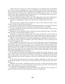"I don't want you to leave me. I want to feel that you are right here by me through it all. I have to tell you something else: I may be delirious and not know what is going on. I have sent for the doctor. But there is a better one in Lexington. You try to get him to come. I know that he goes wherever he is called and stays till the danger is past or — or — till it is settled. Don't spare anything that can be done for me. I am in danger, and I must live. I must not lose all the greatness of life and lose you."

"Ah," she implored, seeing how ill he was. "Everything that can be done shall be done. Now oughtn't you to be quiet and let me make you comfortable till the doctor comes?"

"I must say something else while I can, and am sure. I might not get over this —"

" $Ah$ —"

"Let me say this: I *might* not! If I should not, have no fear about the future; I have none; it will all be well with me in Eternity."

He lay quiet a moment, his face turned off. She had buried hers on the bed. The flood of tears would come. He turned over, and seeing it, laid his hand on it very lightly.

"If it be so, Gabriella, I hope all the rest of your life you will be happy. I hope no more trouble will ever come to you."

Suddenly he sat up, lifted her head, and threw his arms around her again. "Oh, Gabriella!" he cried, "you have been all there is to me."

"Some day," he continued a moment later, "if it turns out that way, come over here to see my father and mother. And tell them I left word that perhaps they had never quite understood me and so had never been able to do me justice. Now, will you call my mother?"

"Mother," he said, taking her by the hand and placing it in Gabriella's, "this is my wife, as I hope she will be, and your daughter; and I have asked her to stay and help you to nurse me through this cold."

Three twilights more and there was a scene in the little upper room of the farmhouse: David drawn up on the bed; at one side of it, the poor distracted mother, rocking herself and loudly weeping; for though mothers may not greatly have loved their grown sons, when the big men lie stricken and the mothers once more take their hands to wash them, bathe their faces with a cloth, put a spoon to their lips, memory brings back the days when those huge erring bodies lay across their breasts. They weep for the infant, now an infant again and perhaps falling into a long sleep.

On the other side of the bed sat David's father, bending over toward, trying now, as he had so often tried, to reach his son; thinking at swift turns of the different will he would have to make and of who would write it; of his own harshness; and also not free from the awful dread that this was the summons to his son to enter Eternity with his soul unprepared.

At the foot of the bed were the two doctors, watchful, whispering to each other, one of whom led the mother out of the room; over by the door the two Negro women and the Negro man.

Gabriella was not there. Gabriella had gone once more to where she had been many times: gone to pour out in secret the prayer of her church, and of her own soul for the sick—with faith that her prayer would be answered.

A dark hour: a dog howling on the porch below; at the stable the cries of hungry, neglected animals; the winter hush settling over the great evening land.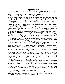### Chapter XXII

When one sets out to walk daily across a wood or field in a fresh direction, starting always at the same point and arriving always at the same, without intention one makes a path; it may be long first, but in time the path will come.

It commences at the home gate or bars and reaches forward by degrees; it commences at the opposite goal and lengthens backward thence: some day the ends meet and we discover with surprise how slightly we have deviated in all those crossings and recrossings. The mind has unconsciously marked a path long before the feet have traced it.

When Gabriella had begun teaching, she passed daily out of the yard into an apple orchard and thence across a large woodland pasture, in the remote corner of which the schoolhouse was situated. Through this woods the children had made their path: the straight instinctive path of childhood.

But Gabriella, leaving this at the woods-gate, had begun to make one for herself. She followed her will from day to day; now led in this direction by some better vista; now drawn aside toward a group of finer trees; or seeing, farther on, some little nook-like place.

In time, she had out of short disjointed threads sown a continuous path; it was made up of her loves, and she loved it. Of mornings a brisk walk along this braced her mind for the day; in the evening it quieted jangled nerves and revived a worn-out spirit: shedding her toil at the schoolhouse door as a heavy suffocating garment, she stepped gratefully out into its largeness, its woodland odors, and twilight peace.

On the night of the sleet tons of timber altogether had descended across this by-way. When the snow fell the next night, it brought down more. But the snow melted, leaving the ice; the ice melted, leaving the dripping boughs and bark. In time these were warmed and dried by sun and wind. New edges of greenness appeared running along the path. The tree-tops above were tossing and roaring in the wild gales of March, Under loose autumn leaves the earliest violets were dim with blue. But Gabriella had never once been there to realize how her path had been ruined, or to note the birth of spring.

It was perhaps a month afterward that, one morning at the usual school hour, her tall, lithe figure, clad in gray hood and cloak, appeared at last walking along this path, stepping over or passing around the fallen boughs. She was pale and thin, but the sweet warm womanliness of her, if possible, lovelier. There was a look of religious gratitude in the eyes, but about her mouth new happiness. Her duties were done earlier than usual that afternoon, for not much could be accomplished on this first day of reassembling the children. They were gone; and she stood on the steps of the school- house, facing toward a gray field on a distant hillside, which caught the faint sunshine. It drew her irresistibly in heart and foot, and she set out toward it.

The day was one of those on which the seasons meet. Strips of snow ermined the field; but on the stumps, wandering and warbling before Gabriella as she advanced, were bluebirds, those wings of the sky, those breasts of earth. She reached the spot she was seeking, and paused.

There it was—the whole pitiful scene! His hemp brake; the charred rind of a stump where he had kindled a fire to warm his hands; the remnant of the shock fallen over and left unfinished that last afternoon; trailing across his brake a handful of hemp partly broken out. She surveyed it all with wistful tenderness.

Then she looked away to the house. She could see the window of his room at which she had sat how many days, gazing out toward this field! On his bed in that room he was now stretched weak and white, but struggling back into health.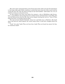She came closer and gazed down at his frozen boot prints. How near his feet had drawn to that long colder path which would have carried him away from her. How nearly had his young life been left, like the hand of hemp he last had handled — half broken out, not yet ready for strong use and good service.

At that moment one scene rose before her memory: a day at Bethlehem nigh Jerusalem; a young Hebrew girl issuing from her stricken house and hastening to meet Him who was the Resurrection and the Life; then in her despair uttering her one cry: "Lord, if Thou hadst been here, my brother had not died."

The mist of tears blinded Gabriella, whose love and faith were as Martha's. She knelt down and laid her cheek against the coarse hemp where it had been wrapped about his wrist.

"Lord," she said, "hadst Thou not been here, hadst Thou not heard my prayer for him, he would have died!"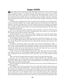# Chapter XXIII

Spring, who breaks all promises in the beginning to keep them in the end, had ceased from chilling caprice and withdrawals: the whole land was now the frank revelation of her loveliness. Autumn — the hours of falling and of departing; spring — season of rise and of return. The rise of sap from root to summit; the rise of plant from soil to sun; the rise of bud from bark to bloom; the rise of song from heart to hearing: vital days. And days when things that went away come back, when woods, fields, thickets, and streams are full of returns.

Gabriella was not disappointed. Those provident old tree-mothers on the orchard slope, whose red-cheeked children are autumn apples, had not let themselves be fatally surprised by the great February frost: their bark-cradled bud-infants had only been wrapped away the more warmly till danger was over. For many days now the hillside had been a grove of pink and white domes, under each of which hung faint fragrance: the great silent marriage-bells of the trees.

After the early family supper, Gabriella, if there had been no shower, would take her shawl to sit on and some bit of work for companionship. She would go out to the edge of this orchard, away from the tumult of the house.

The hill sloped down into a wide, green valley, winding away toward the forest below. Through this valley a stream of white spring water, drunk by the stock, ran within banks of mint and over a bed of rocks and moss.

On the hillside opposite was a field of young hemp stretching westward — soon to be a low sea of rippling green. Beyond this field was the sunset; over it flashed the evening star; and for the past few days beside the star had hung the inconstant, the constant, crescent of ages.

She liked to spread her shawl on the edge of the orchard overlooking the valley — a deep carpet of grass sprinkled with wind-blown petals; to watch the sky kindle and burn out; see the recluse Evening come forth before the Night and walk softly down the valley toward the woods; feel as an elixir about her the air, sweet from the trees, sweet with earth odors, sweet with all the lingering history of the day.

Nearer, ever nearer would swing the stars into her view. The moon, late a bow of thinnest, mistiest silver, now of broadening, brightening gold, would begin to drive the darkness downward from the white domes of the trees till it lay as a faint shadow beneath them.

These were hours fraught with peace and rest to her tired mind and tired body.

One day she was sitting thus, absently knitting herself some bleaching gloves (Gabriella's hands were as if stained by all the mixed petals of the boughs). The sun was going down beyond the low hills. In the orchard behind her she could hear the flutter of wings and the last calls of quieting birds.

She had dropped the threads of her handiwork into her lap, and with folded hands was knitting memories.

At twilights such as this in years gone by, she, a little girl, had been used to drive out into the country with her grandmother — often choosing the routes herself and ordering the carriage to be stopped on the road as her fancy pleased. For in those aristocratic days, Southern children, like those of royal families, were encouraged early in life to learn how to give orders and to exact obedience and to rule: when they grew up they would have many under them: and not to reign was to be ruined. So that the infantile autocrat Gabriella was being instructed in this way and in that way by the powerful, strong-minded, effi-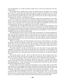cient grandmother as a tender old lioness might train a cub for the mastering of its dangerous world.

She recalled these twilight drives when the fields along the turnpikes were turning green with the young grain; the homeward return through the lamp-lit town to the big iron entrance-gate, the park-like lawn; the brilliant supper in the great house, the noiseless movements, the perfect manners of the many servants; later in the evening the music, the dancing, the wild joy—fairyland once more.

But how far, far away now! And how the forces of life had tossed things since then like straws on the eddies of a tempest: her grandmother killed, thousands of miles away, with sorrow; her uncles with their oldest sons, mere boys, fighting and falling together; tears, poverty, ruin everywhere: and she, after years of struggle, cast completely out of the only world she had ever known into another that she had never imagined.

Gabriella felt this evening what often came to her at times: a deep yearning for her own people of the past, for their voices, their ways of looking at life; for the gentleness and courtesy, and the thousand unconscious moods and acts that rendered them distinguished and delightful. She would have liked to slip back into the old elegance, to have been surrounded by the old rich and beautiful things.

The child-princess who was once her sole self was destined to live within Gabriella always. But she knew that the society in which she had moved was lost to her finally. Not alone through the vicissitudes of the war; for after the war, despite the overthrow, the almost complete disappearance, of many families, it had come together, it had reconstituted itself, it flourished still. It was lost to her because she had become penniless and because she had gone to work.

When it transpired that she had declined all aid, thrown off all disguises, and taken her future into her own hands, to work and to receive wages for her work, in the social world where she was known and where the generations of her family had been leaders, there were kind offers of aid, secret condolences, whispered regrets, visible distress: her resolve was a new thing for a girl in those years.

She could, indeed, in a way, have kept her place; but she could not have endured the sympathy, the change, with which she would have been welcomed — and discarded. She made trial of this a few times and was convinced: up to the day of the cruel discovery of that, Gabriella had never dreamed what her social world could be to one who had dropped out of it.

Her church and the new life—these two had been left her. She no longer had a pew, but she had her faith, and this was enough; for it always gave her, wherever she was, some secret place in which to kneel, and from which to rise strengthened and comforted.

As for the fearful fields of work into which she had come, a strange and solitary learner, these had turned into the abiding, the living landscapes of life now. Here she had found independence — sweet, wholesome crust; found another self within herself; and here found her mission for the future—David.

So that looking upon the disordered and planless years, during which it had often seemed that she was struggling unwatched, Gabriella now believed that through them she had most been guided. When many hands had let hers go, One had taken it; when old pathways were closed, a new one was opened; and she had been led along it — home.

David's illness had deepened beyond any other experience her faith in an overruling Providence. His return to health was to her a return from death: it was an answer to her prayers: it was a resurrection. Henceforth his life was a gift for the second time to himself, to her, to the world, for which he must work with all his powers, and work aright.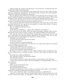And her pledge, her compact with the Divine, was to help him, to guide him back into the faith from which he had wandered.

Outside of prayer, days and nights at his bedside had made him hers: vigils, nursing, suffering, helplessness, dependence — all these had been as purest oil to that alabaster lamp of love which burned within her chaste soul.

The sun had gone down. The hush of twilight was descending from the clear sky, in the depths of which the brightest stars began to appear as points of silvery flame. The air had the balm of early summer, the ground was dry and warm. Gabriella began to watch.

The last time she had gone to see him, as he walked part of the way back with her, he had said: "I am well now; the next time *I* am coming to see *you*."

Soon, along the edge of the orchard from the direction of the house, she saw him walking slowly toward her, thin, gaunt; he was leaning on a rough, stout hickory, as long as himself, in the manner of an old man.

She rose quickly and hastened to him.

"Did you walk?"

"I rode. But I am walking now — barely. This young tree is escorting me."

They went back to her shawl, which she opened and spread, making a place for him. She moved it back a little, for safety, so that it was under the boughs of one of the trees.

How quiet the land was, how beautiful the evening light, how sweet the air! Now and then a petal from some finished blossom sifted down on Gabriella. They were at such peace: their talk was interrupted by the long silences which are peace.

"Gabriella, you saved my life."

"It is not I who have power over life and death."

"It was your nursing."

"It was my prayers," murmured Gabriella.

"And you gave me the will to get well: that also was a great help: without you I should not have had that same will to live."

"It was a higher Will than yours or mine."

"And the doctor from town who stayed with me."

"And a Greater Physician who stayed also."

He made no reply for a while, but then asked, turning his face toward her uneasily: "Our different ways of looking at things—will they never make any difference with you?"

"Some day there will be no difference."

"You will agree with me?" he exclaimed joyfully.

"You will agree with me."

"Do not expect that! Do not expect that I shall ever again believe in the old things."

"I expect you to believe in God, in the New Testament, in the Resurrection, in the answer to prayer."

"If I do not?"

"Then you will in the Life to come."

"But will this separate us?"

"You will need me all the more."

The light was fading: they could no longer see the green of the valley. A late bird fluttered into the boughs overhead and more petals came down.

"It is a nest," said David, softly, "a good thing to go home to, a night like this.

"And now," he continued, "there are matters about which I must consult you. You will be glad to know that things are pleasanter at home. Since my illness my father and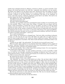mother have changed toward me. Sickness, nearness to death, is a great reconciler. Your being in the house had much to do with this — especially your influence over my mother. My father was talked to by the doctor from town. During the days and nights he stayed with me, he got into my trunk of books, for he is a great reader; and — as he told me before leaving — a believer in the New Science, an evolutionist. He knew of my expulsion, of course, and of the reasons. I think he explained a great deal to my father, who said to me one day simply that the doctor had talked to him."

"He talked to me, also," said Gabriella.

"And did not persuade you?"

"He said I almost persuaded him!"

"And then, too, my father and I have arranged the money trouble. It is not the best, but the best possible. When I came home from college, I brought with me almost half the money I had accumulated. I turned this over to my father, of course. It will go toward making necessary repairs. But it was not enough, and the woods has had to go. The farm shall not be sold, but the woods is rented for a term of years as hemp land, the trees must be deadened and cut down. I am sorry; it is the last of the forest of my great-grandfather. But with the proceeds, the place can be put into fairly good condition, and this is the greatest relief to my father and mother—and to me."

"It is a good arrangement."

After a pause, he continued in a changed tone: "And now while everything is pleasant at home, it is the time for me to go away. My father was right: this is no place for me. I must be where people think as I do—must live where I shall not be alone. There will soon be plenty of companions everywhere. The whole world will believe in Evolution before I am an old man."

"I think you are right," she said quietly. "It is best for you to go and to go at once."

When he spoke again, plainly he was inspired with fresh confidence by her support of his plans. "And now, Gabriella, I must tell you what I have determined to do in life: I want your approval of that, and then I am perfectly happy."

"Ah," she said quickly, "that is what I have been wanting to know. It is very important. Your whole future depends on a wise choice."

"I am going to some college — to some northern university, as soon as possible. I shall have to work my way through, sometimes by teaching, in whatever way I can. I want to study physical science. I want to teach some branch of it. It draws me, draws all that is in me. That is to be my life-work. And now?"

He waited for her answer: it did not come at once.

"You have chosen wisely. I am so glad!"

"Oh, Gabriella!" he cried, "if you had failed me in that, I do not know what I should have done! Science! Science! There is the fresh path for the faith of the race! For the race henceforth must get its idea of God, and build its religion to Him, from its knowledge of the laws of His universe. A million years from now! Where will our dark theological dogmas be in that radiant time? The Creator of all life, in all life He must be studied! And in the study of science there is least wrangling, least tyranny, least bigotry, no persecution. It teaches charity, it teaches a well-ordered life, it teaches the world to be more kind. It is the great new path of knowledge into the future. All things must follow whither it leads. Our religion will more and more be what our science is, and some day they will be the same."

She had no controversy to raise with him about this. She was too intently thinking of troublous problems nearer heart and home.

And these rose before him also: he fell into silence.